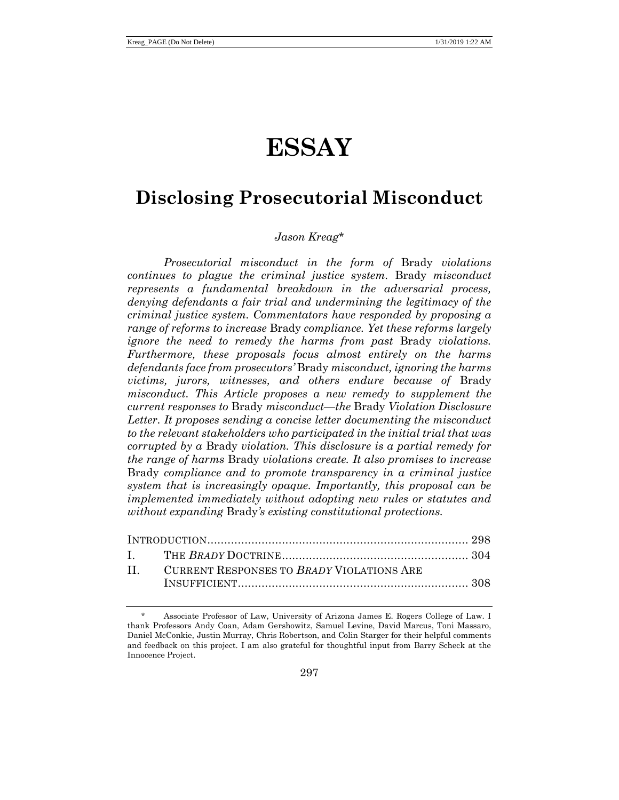# **ESSAY**

# **Disclosing Prosecutorial Misconduct**

# *Jason Kreag*\*

*Prosecutorial misconduct in the form of* Brady *violations continues to plague the criminal justice system.* Brady *misconduct represents a fundamental breakdown in the adversarial process, denying defendants a fair trial and undermining the legitimacy of the criminal justice system. Commentators have responded by proposing a range of reforms to increase* Brady *compliance. Yet these reforms largely ignore the need to remedy the harms from past* Brady *violations. Furthermore, these proposals focus almost entirely on the harms defendants face from prosecutors'* Brady *misconduct, ignoring the harms victims, jurors, witnesses, and others endure because of* Brady *misconduct. This Article proposes a new remedy to supplement the current responses to* Brady *misconduct—the* Brady *Violation Disclosure Letter. It proposes sending a concise letter documenting the misconduct to the relevant stakeholders who participated in the initial trial that was corrupted by a* Brady *violation. This disclosure is a partial remedy for the range of harms* Brady *violations create. It also promises to increase*  Brady *compliance and to promote transparency in a criminal justice system that is increasingly opaque. Importantly, this proposal can be implemented immediately without adopting new rules or statutes and without expanding* Brady*'s existing constitutional protections.*

| II. CURRENT RESPONSES TO BRADY VIOLATIONS ARE |  |
|-----------------------------------------------|--|
|                                               |  |

<sup>\*</sup> Associate Professor of Law, University of Arizona James E. Rogers College of Law. I thank Professors Andy Coan, Adam Gershowitz, Samuel Levine, David Marcus, Toni Massaro, Daniel McConkie, Justin Murray, Chris Robertson, and Colin Starger for their helpful comments and feedback on this project. I am also grateful for thoughtful input from Barry Scheck at the Innocence Project.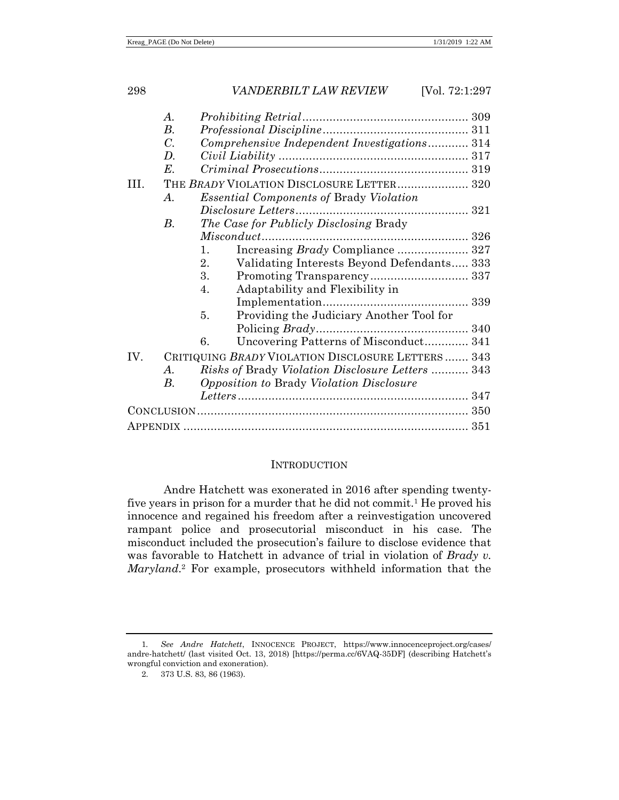|      | $\boldsymbol{\mathcal{A}}$ . |                                                    |  |
|------|------------------------------|----------------------------------------------------|--|
|      | $B$ .                        |                                                    |  |
|      | $C_{\cdot}$                  | Comprehensive Independent Investigations 314       |  |
|      | $D_{\cdot}$                  |                                                    |  |
|      | $E_{\cdot}$                  |                                                    |  |
| III. |                              | THE BRADY VIOLATION DISCLOSURE LETTER 320          |  |
|      | A.                           | <i>Essential Components of Brady Violation</i>     |  |
|      |                              |                                                    |  |
|      | $B$ .                        | The Case for Publicly Disclosing Brady             |  |
|      |                              |                                                    |  |
|      |                              | Increasing Brady Compliance  327<br>1.             |  |
|      |                              | Validating Interests Beyond Defendants 333<br>2.   |  |
|      |                              | 3.                                                 |  |
|      |                              | Adaptability and Flexibility in<br>4.              |  |
|      |                              |                                                    |  |
|      |                              | Providing the Judiciary Another Tool for<br>5.     |  |
|      |                              | Policing <i>Brady</i>                              |  |
|      |                              | Uncovering Patterns of Misconduct 341<br>6.        |  |
| IV.  |                              | CRITIQUING BRADY VIOLATION DISCLOSURE LETTERS  343 |  |
|      | $\bm{A}$ .                   | Risks of Brady Violation Disclosure Letters  343   |  |
|      | В.                           | <i>Opposition to Brady Violation Disclosure</i>    |  |
|      |                              |                                                    |  |
|      |                              |                                                    |  |
|      |                              |                                                    |  |
|      |                              |                                                    |  |

#### <span id="page-1-0"></span>**INTRODUCTION**

Andre Hatchett was exonerated in 2016 after spending twentyfive years in prison for a murder that he did not commit.<sup>1</sup> He proved his innocence and regained his freedom after a reinvestigation uncovered rampant police and prosecutorial misconduct in his case. The misconduct included the prosecution's failure to disclose evidence that was favorable to Hatchett in advance of trial in violation of *Brady v. Maryland*. <sup>2</sup> For example, prosecutors withheld information that the

<sup>1</sup>*. See Andre Hatchett*, INNOCENCE PROJECT, https://www.innocenceproject.org/cases/ andre-hatchett/ (last visited Oct. 13, 2018) [https://perma.cc/6VAQ-35DF] (describing Hatchett's wrongful conviction and exoneration).

<sup>2.</sup> 373 U.S. 83, 86 (1963).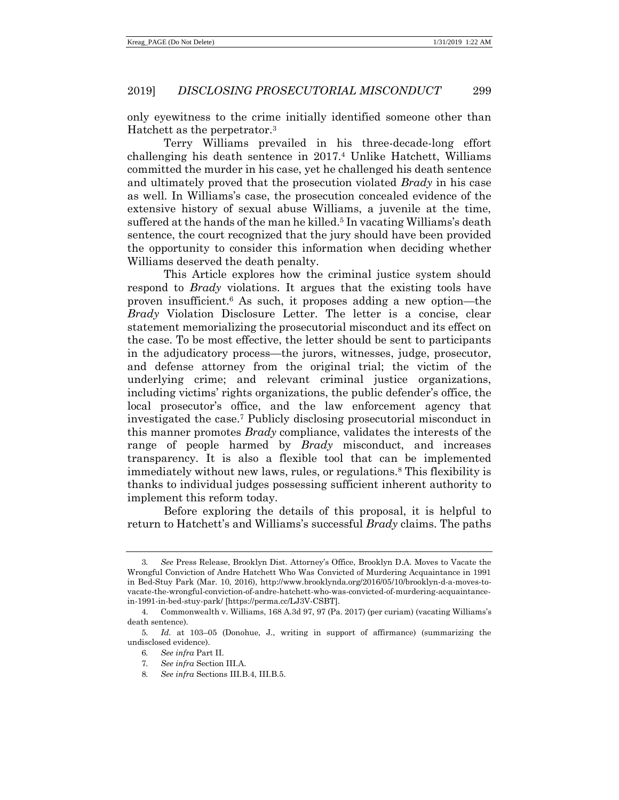<span id="page-2-0"></span>only eyewitness to the crime initially identified someone other than Hatchett as the perpetrator.<sup>3</sup>

Terry Williams prevailed in his three-decade-long effort challenging his death sentence in 2017.<sup>4</sup> Unlike Hatchett, Williams committed the murder in his case, yet he challenged his death sentence and ultimately proved that the prosecution violated *Brady* in his case as well. In Williams's case, the prosecution concealed evidence of the extensive history of sexual abuse Williams, a juvenile at the time, suffered at the hands of the man he killed.<sup>5</sup> In vacating Williams's death sentence, the court recognized that the jury should have been provided the opportunity to consider this information when deciding whether Williams deserved the death penalty.

This Article explores how the criminal justice system should respond to *Brady* violations. It argues that the existing tools have proven insufficient.<sup>6</sup> As such, it proposes adding a new option—the *Brady* Violation Disclosure Letter. The letter is a concise, clear statement memorializing the prosecutorial misconduct and its effect on the case. To be most effective, the letter should be sent to participants in the adjudicatory process—the jurors, witnesses, judge, prosecutor, and defense attorney from the original trial; the victim of the underlying crime; and relevant criminal justice organizations, including victims' rights organizations, the public defender's office, the local prosecutor's office, and the law enforcement agency that investigated the case.<sup>7</sup> Publicly disclosing prosecutorial misconduct in this manner promotes *Brady* compliance, validates the interests of the range of people harmed by *Brady* misconduct, and increases transparency. It is also a flexible tool that can be implemented immediately without new laws, rules, or regulations.<sup>8</sup> This flexibility is thanks to individual judges possessing sufficient inherent authority to implement this reform today.

Before exploring the details of this proposal, it is helpful to return to Hatchett's and Williams's successful *Brady* claims. The paths

8*. See infra* Sections III.B.4, III.B.5.

<sup>3</sup>*. See* Press Release, Brooklyn Dist. Attorney's Office, Brooklyn D.A. Moves to Vacate the Wrongful Conviction of Andre Hatchett Who Was Convicted of Murdering Acquaintance in 1991 in Bed-Stuy Park (Mar. 10, 2016), http://www.brooklynda.org/2016/05/10/brooklyn-d-a-moves-tovacate-the-wrongful-conviction-of-andre-hatchett-who-was-convicted-of-murdering-acquaintancein-1991-in-bed-stuy-park/ [https://perma.cc/LJ3V-CSBT].

<sup>4.</sup> Commonwealth v. Williams, 168 A.3d 97, 97 (Pa. 2017) (per curiam) (vacating Williams's death sentence).

<sup>5</sup>*. Id.* at 103–05 (Donohue, J., writing in support of affirmance) (summarizing the undisclosed evidence).

<sup>6</sup>*. See infra* Part II.

<sup>7</sup>*. See infra* Section III.A.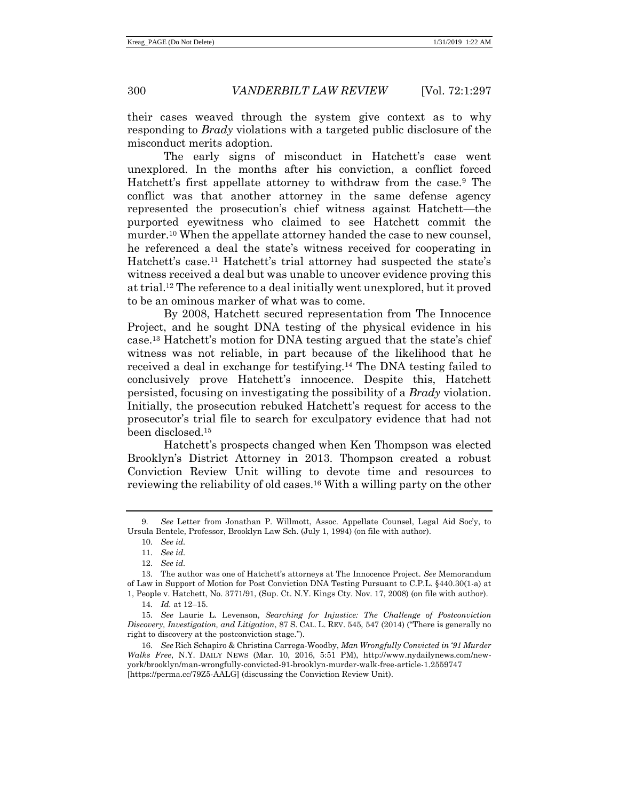their cases weaved through the system give context as to why responding to *Brady* violations with a targeted public disclosure of the misconduct merits adoption.

The early signs of misconduct in Hatchett's case went unexplored. In the months after his conviction, a conflict forced Hatchett's first appellate attorney to withdraw from the case.<sup>9</sup> The conflict was that another attorney in the same defense agency represented the prosecution's chief witness against Hatchett—the purported eyewitness who claimed to see Hatchett commit the murder.<sup>10</sup> When the appellate attorney handed the case to new counsel, he referenced a deal the state's witness received for cooperating in Hatchett's case.<sup>11</sup> Hatchett's trial attorney had suspected the state's witness received a deal but was unable to uncover evidence proving this at trial.<sup>12</sup> The reference to a deal initially went unexplored, but it proved to be an ominous marker of what was to come.

By 2008, Hatchett secured representation from The Innocence Project, and he sought DNA testing of the physical evidence in his case.<sup>13</sup> Hatchett's motion for DNA testing argued that the state's chief witness was not reliable, in part because of the likelihood that he received a deal in exchange for testifying.<sup>14</sup> The DNA testing failed to conclusively prove Hatchett's innocence. Despite this, Hatchett persisted, focusing on investigating the possibility of a *Brady* violation. Initially, the prosecution rebuked Hatchett's request for access to the prosecutor's trial file to search for exculpatory evidence that had not been disclosed. 15

<span id="page-3-1"></span>Hatchett's prospects changed when Ken Thompson was elected Brooklyn's District Attorney in 2013. Thompson created a robust Conviction Review Unit willing to devote time and resources to reviewing the reliability of old cases.<sup>16</sup> With a willing party on the other

<sup>9.</sup> *See* Letter from Jonathan P. Willmott, Assoc. Appellate Counsel, Legal Aid Soc'y, to Ursula Bentele, Professor, Brooklyn Law Sch. (July 1, 1994) (on file with author).

<span id="page-3-0"></span><sup>10</sup>*. See id.*

<sup>11</sup>*. See id.*

<sup>12.</sup> *See id.*

<sup>13.</sup> The author was one of Hatchett's attorneys at The Innocence Project. *See* Memorandum of Law in Support of Motion for Post Conviction DNA Testing Pursuant to C.P.L. §440.30(1-a) at 1, People v. Hatchett, No. 3771/91, (Sup. Ct. N.Y. Kings Cty. Nov. 17, 2008) (on file with author).

<sup>14</sup>*. Id.* at 12–15.

<sup>15</sup>*. See* Laurie L. Levenson, *Searching for Injustice: The Challenge of Postconviction Discovery, Investigation, and Litigation*, 87 S. CAL. L. REV. 545, 547 (2014) ("There is generally no right to discovery at the postconviction stage.").

<sup>16</sup>*. See* Rich Schapiro & Christina Carrega-Woodby, *Man Wrongfully Convicted in '91 Murder Walks Free*, N.Y. DAILY NEWS (Mar. 10, 2016, 5:51 PM), http://www.nydailynews.com/newyork/brooklyn/man-wrongfully-convicted-91-brooklyn-murder-walk-free-article-1.2559747 [https://perma.cc/79Z5-AALG] (discussing the Conviction Review Unit).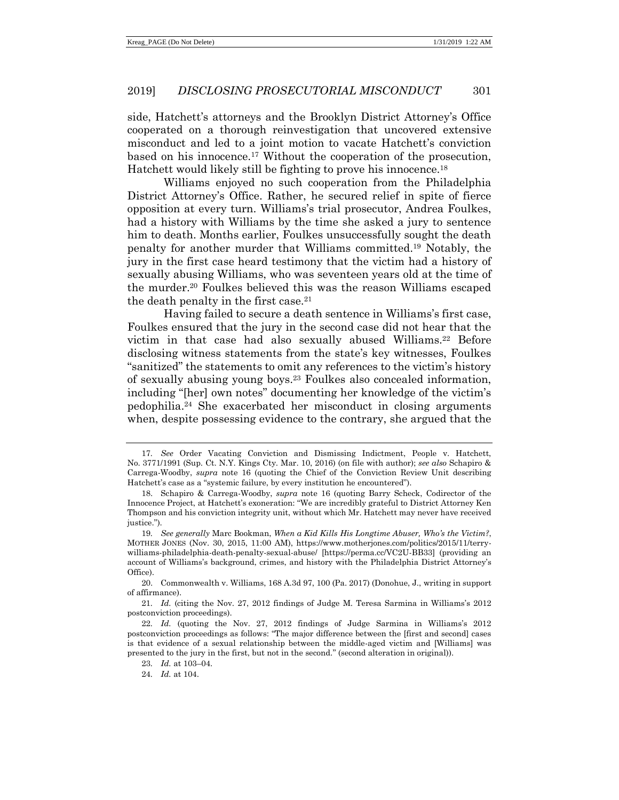side, Hatchett's attorneys and the Brooklyn District Attorney's Office cooperated on a thorough reinvestigation that uncovered extensive misconduct and led to a joint motion to vacate Hatchett's conviction based on his innocence.<sup>17</sup> Without the cooperation of the prosecution, Hatchett would likely still be fighting to prove his innocence.<sup>18</sup>

<span id="page-4-1"></span><span id="page-4-0"></span>Williams enjoyed no such cooperation from the Philadelphia District Attorney's Office. Rather, he secured relief in spite of fierce opposition at every turn. Williams's trial prosecutor, Andrea Foulkes, had a history with Williams by the time she asked a jury to sentence him to death. Months earlier, Foulkes unsuccessfully sought the death penalty for another murder that Williams committed.<sup>19</sup> Notably, the jury in the first case heard testimony that the victim had a history of sexually abusing Williams, who was seventeen years old at the time of the murder.<sup>20</sup> Foulkes believed this was the reason Williams escaped the death penalty in the first case.<sup>21</sup>

Having failed to secure a death sentence in Williams's first case, Foulkes ensured that the jury in the second case did not hear that the victim in that case had also sexually abused Williams.<sup>22</sup> Before disclosing witness statements from the state's key witnesses, Foulkes "sanitized" the statements to omit any references to the victim's history of sexually abusing young boys.<sup>23</sup> Foulkes also concealed information, including "[her] own notes" documenting her knowledge of the victim's pedophilia.<sup>24</sup> She exacerbated her misconduct in closing arguments when, despite possessing evidence to the contrary, she argued that the

21*. Id.* (citing the Nov. 27, 2012 findings of Judge M. Teresa Sarmina in Williams's 2012 postconviction proceedings).

<sup>17</sup>*. See* Order Vacating Conviction and Dismissing Indictment, People v. Hatchett, No. 3771/1991 (Sup. Ct. N.Y. Kings Cty. Mar. 10, 2016) (on file with author); *see also* Schapiro & Carrega-Woodby, *supra* note [16](#page-3-0) (quoting the Chief of the Conviction Review Unit describing Hatchett's case as a "systemic failure, by every institution he encountered").

<sup>18.</sup> Schapiro & Carrega-Woodby, *supra* note [16](#page-3-0) (quoting Barry Scheck, Codirector of the Innocence Project, at Hatchett's exoneration: "We are incredibly grateful to District Attorney Ken Thompson and his conviction integrity unit, without which Mr. Hatchett may never have received justice.").

<sup>19</sup>*. See generally* Marc Bookman, *When a Kid Kills His Longtime Abuser, Who's the Victim?*, MOTHER JONES (Nov. 30, 2015, 11:00 AM), https://www.motherjones.com/politics/2015/11/terrywilliams-philadelphia-death-penalty-sexual-abuse/ [https://perma.cc/VC2U-BB33] (providing an account of Williams's background, crimes, and history with the Philadelphia District Attorney's Office).

<sup>20.</sup> Commonwealth v. Williams, 168 A.3d 97, 100 (Pa. 2017) (Donohue, J., writing in support of affirmance).

<sup>22</sup>*. Id.* (quoting the Nov. 27, 2012 findings of Judge Sarmina in Williams's 2012 postconviction proceedings as follows: "The major difference between the [first and second] cases is that evidence of a sexual relationship between the middle-aged victim and [Williams] was presented to the jury in the first, but not in the second." (second alteration in original)).

<sup>23</sup>*. Id.* at 103–04.

<sup>24</sup>*. Id.* at 104.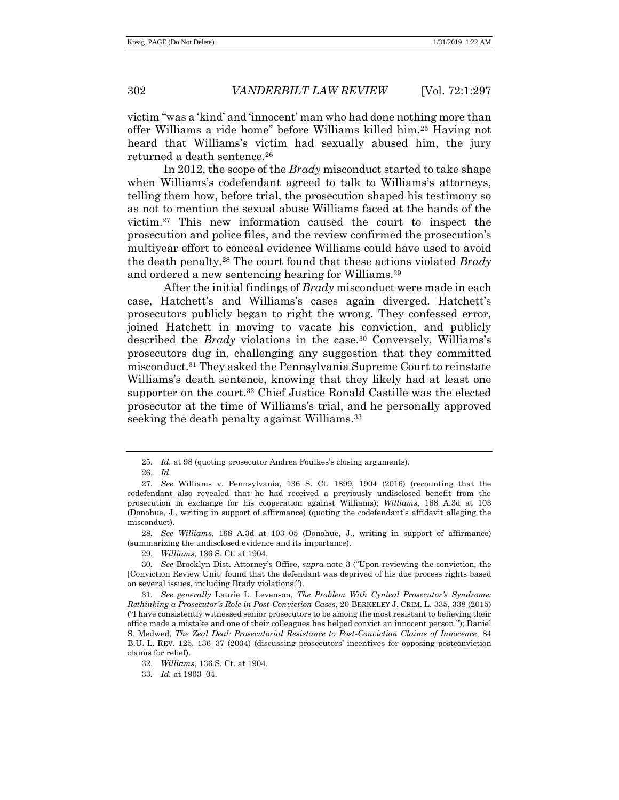victim "was a 'kind' and 'innocent' man who had done nothing more than offer Williams a ride home" before Williams killed him.<sup>25</sup> Having not heard that Williams's victim had sexually abused him, the jury returned a death sentence.<sup>26</sup>

In 2012, the scope of the *Brady* misconduct started to take shape when Williams's codefendant agreed to talk to Williams's attorneys, telling them how, before trial, the prosecution shaped his testimony so as not to mention the sexual abuse Williams faced at the hands of the victim.<sup>27</sup> This new information caused the court to inspect the prosecution and police files, and the review confirmed the prosecution's multiyear effort to conceal evidence Williams could have used to avoid the death penalty.<sup>28</sup> The court found that these actions violated *Brady* and ordered a new sentencing hearing for Williams.<sup>29</sup>

<span id="page-5-0"></span>After the initial findings of *Brady* misconduct were made in each case, Hatchett's and Williams's cases again diverged. Hatchett's prosecutors publicly began to right the wrong. They confessed error, joined Hatchett in moving to vacate his conviction, and publicly described the *Brady* violations in the case.<sup>30</sup> Conversely, Williams's prosecutors dug in, challenging any suggestion that they committed misconduct.<sup>31</sup> They asked the Pennsylvania Supreme Court to reinstate Williams's death sentence, knowing that they likely had at least one supporter on the court.<sup>32</sup> Chief Justice Ronald Castille was the elected prosecutor at the time of Williams's trial, and he personally approved seeking the death penalty against Williams.<sup>33</sup>

28*. See Williams*, 168 A.3d at 103–05 (Donohue, J., writing in support of affirmance) (summarizing the undisclosed evidence and its importance).

29. *Williams*, 136 S. Ct. at 1904.

30*. See* Brooklyn Dist. Attorney's Office, *supra* note [3](#page-2-0) ("Upon reviewing the conviction, the [Conviction Review Unit] found that the defendant was deprived of his due process rights based on several issues, including Brady violations.").

31*. See generally* Laurie L. Levenson, *The Problem With Cynical Prosecutor's Syndrome: Rethinking a Prosecutor's Role in Post-Conviction Cases*, 20 BERKELEY J. CRIM. L. 335, 338 (2015) ("I have consistently witnessed senior prosecutors to be among the most resistant to believing their office made a mistake and one of their colleagues has helped convict an innocent person."); Daniel S. Medwed, *The Zeal Deal: Prosecutorial Resistance to Post-Conviction Claims of Innocence*, 84 B.U. L. REV. 125, 136–37 (2004) (discussing prosecutors' incentives for opposing postconviction claims for relief).

<sup>25</sup>*. Id.* at 98 (quoting prosecutor Andrea Foulkes's closing arguments).

<sup>26.</sup> *Id.*

<sup>27</sup>*. See* Williams v. Pennsylvania, 136 S. Ct. 1899, 1904 (2016) (recounting that the codefendant also revealed that he had received a previously undisclosed benefit from the prosecution in exchange for his cooperation against Williams); *Williams*, 168 A.3d at 103 (Donohue, J., writing in support of affirmance) (quoting the codefendant's affidavit alleging the misconduct).

<sup>32.</sup> *Williams*, 136 S. Ct. at 1904.

<sup>33</sup>*. Id.* at 1903–04.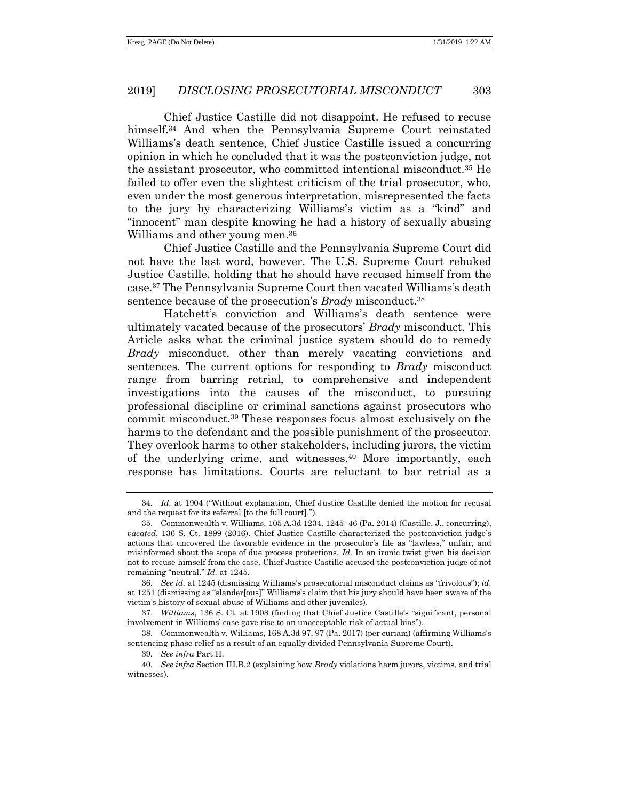Chief Justice Castille did not disappoint. He refused to recuse himself.<sup>34</sup> And when the Pennsylvania Supreme Court reinstated Williams's death sentence, Chief Justice Castille issued a concurring opinion in which he concluded that it was the postconviction judge, not the assistant prosecutor, who committed intentional misconduct.<sup>35</sup> He failed to offer even the slightest criticism of the trial prosecutor, who, even under the most generous interpretation, misrepresented the facts to the jury by characterizing Williams's victim as a "kind" and "innocent" man despite knowing he had a history of sexually abusing Williams and other young men.<sup>36</sup>

Chief Justice Castille and the Pennsylvania Supreme Court did not have the last word, however. The U.S. Supreme Court rebuked Justice Castille, holding that he should have recused himself from the case.<sup>37</sup> The Pennsylvania Supreme Court then vacated Williams's death sentence because of the prosecution's *Brady* misconduct.<sup>38</sup>

Hatchett's conviction and Williams's death sentence were ultimately vacated because of the prosecutors' *Brady* misconduct. This Article asks what the criminal justice system should do to remedy *Brady* misconduct, other than merely vacating convictions and sentences. The current options for responding to *Brady* misconduct range from barring retrial, to comprehensive and independent investigations into the causes of the misconduct, to pursuing professional discipline or criminal sanctions against prosecutors who commit misconduct.<sup>39</sup> These responses focus almost exclusively on the harms to the defendant and the possible punishment of the prosecutor. They overlook harms to other stakeholders, including jurors, the victim of the underlying crime, and witnesses.<sup>40</sup> More importantly, each response has limitations. Courts are reluctant to bar retrial as a

<sup>34</sup>*. Id.* at 1904 ("Without explanation, Chief Justice Castille denied the motion for recusal and the request for its referral [to the full court].").

<sup>35.</sup> Commonwealth v. Williams, 105 A.3d 1234, 1245–46 (Pa. 2014) (Castille, J., concurring), *vacated*, 136 S. Ct. 1899 (2016). Chief Justice Castille characterized the postconviction judge's actions that uncovered the favorable evidence in the prosecutor's file as "lawless," unfair, and misinformed about the scope of due process protections. *Id.* In an ironic twist given his decision not to recuse himself from the case, Chief Justice Castille accused the postconviction judge of not remaining "neutral." *Id.* at 1245.

<sup>36</sup>*. See id.* at 1245 (dismissing Williams's prosecutorial misconduct claims as "frivolous"); *id.* at 1251 (dismissing as "slander[ous]" Williams's claim that his jury should have been aware of the victim's history of sexual abuse of Williams and other juveniles).

<sup>37.</sup> *Williams*, 136 S. Ct. at 1908 (finding that Chief Justice Castille's "significant, personal involvement in Williams' case gave rise to an unacceptable risk of actual bias").

<sup>38.</sup> Commonwealth v. Williams, 168 A.3d 97, 97 (Pa. 2017) (per curiam) (affirming Williams's sentencing-phase relief as a result of an equally divided Pennsylvania Supreme Court).

<sup>39</sup>*. See infra* Part II.

<sup>40</sup>*. See infra* Section III.B.2 (explaining how *Brady* violations harm jurors, victims, and trial witnesses).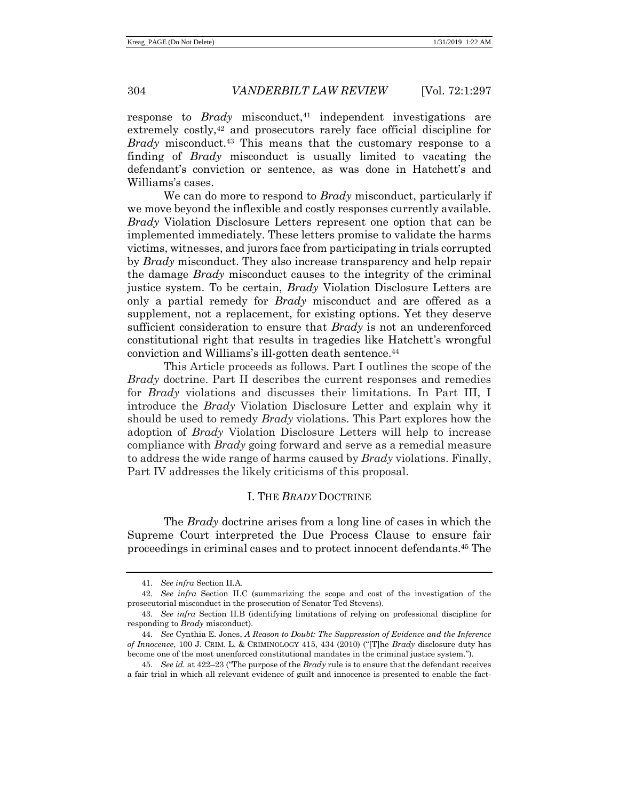response to *Brady* misconduct, <sup>41</sup> independent investigations are extremely costly,<sup>42</sup> and prosecutors rarely face official discipline for *Brady* misconduct.<sup>43</sup> This means that the customary response to a finding of *Brady* misconduct is usually limited to vacating the defendant's conviction or sentence, as was done in Hatchett's and Williams's cases.

We can do more to respond to *Brady* misconduct, particularly if we move beyond the inflexible and costly responses currently available. *Brady* Violation Disclosure Letters represent one option that can be implemented immediately. These letters promise to validate the harms victims, witnesses, and jurors face from participating in trials corrupted by *Brady* misconduct. They also increase transparency and help repair the damage *Brady* misconduct causes to the integrity of the criminal justice system. To be certain, *Brady* Violation Disclosure Letters are only a partial remedy for *Brady* misconduct and are offered as a supplement, not a replacement, for existing options. Yet they deserve sufficient consideration to ensure that *Brady* is not an underenforced constitutional right that results in tragedies like Hatchett's wrongful conviction and Williams's ill-gotten death sentence.<sup>44</sup>

This Article proceeds as follows. Part I outlines the scope of the *Brady* doctrine. Part II describes the current responses and remedies for *Brady* violations and discusses their limitations. In Part III, I introduce the *Brady* Violation Disclosure Letter and explain why it should be used to remedy *Brady* violations. This Part explores how the adoption of *Brady* Violation Disclosure Letters will help to increase compliance with *Brady* going forward and serve as a remedial measure to address the wide range of harms caused by *Brady* violations. Finally, Part IV addresses the likely criticisms of this proposal.

# <span id="page-7-1"></span><span id="page-7-0"></span>I. THE *BRADY* DOCTRINE

The *Brady* doctrine arises from a long line of cases in which the Supreme Court interpreted the Due Process Clause to ensure fair proceedings in criminal cases and to protect innocent defendants.<sup>45</sup> The

<sup>41.</sup> *See infra* Section II.A.

<sup>42</sup>*. See infra* Section II.C (summarizing the scope and cost of the investigation of the prosecutorial misconduct in the prosecution of Senator Ted Stevens).

<sup>43</sup>*. See infra* Section II.B (identifying limitations of relying on professional discipline for responding to *Brady* misconduct).

<sup>44</sup>*. See* Cynthia E. Jones, *A Reason to Doubt: The Suppression of Evidence and the Inference of Innocence*, 100 J. CRIM. L. & CRIMINOLOGY 415, 434 (2010) ("[T]he *Brady* disclosure duty has become one of the most unenforced constitutional mandates in the criminal justice system.").

<sup>45</sup>*. See id.* at 422–23 ("The purpose of the *Brady* rule is to ensure that the defendant receives a fair trial in which all relevant evidence of guilt and innocence is presented to enable the fact-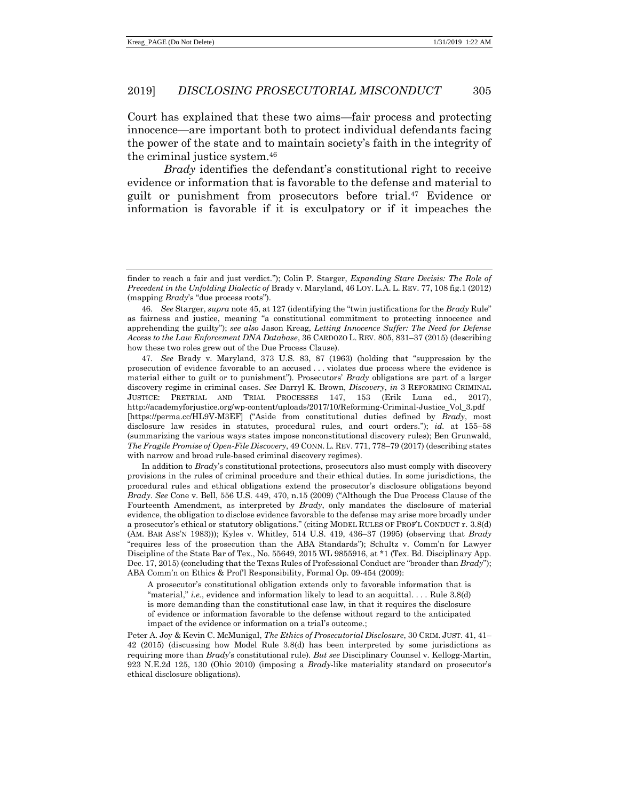Court has explained that these two aims—fair process and protecting innocence—are important both to protect individual defendants facing the power of the state and to maintain society's faith in the integrity of the criminal justice system.<sup>46</sup>

<span id="page-8-0"></span>*Brady* identifies the defendant's constitutional right to receive evidence or information that is favorable to the defense and material to guilt or punishment from prosecutors before trial.<sup>47</sup> Evidence or information is favorable if it is exculpatory or if it impeaches the

47*. See* Brady v. Maryland, 373 U.S. 83, 87 (1963) (holding that "suppression by the prosecution of evidence favorable to an accused . . . violates due process where the evidence is material either to guilt or to punishment"). Prosecutors' *Brady* obligations are part of a larger discovery regime in criminal cases. *See* Darryl K. Brown, *Discovery*, *in* 3 REFORMING CRIMINAL JUSTICE: PRETRIAL AND TRIAL PROCESSES 147, 153 (Erik Luna ed., 2017), http://academyforjustice.org/wp-content/uploads/2017/10/Reforming-Criminal-Justice\_Vol\_3.pdf [https://perma.cc/HL9V-M3EF] ("Aside from constitutional duties defined by *Brady*, most disclosure law resides in statutes, procedural rules, and court orders."); *id.* at 155–58 (summarizing the various ways states impose nonconstitutional discovery rules); Ben Grunwald, *The Fragile Promise of Open-File Discovery*, 49 CONN. L. REV. 771, 778–79 (2017) (describing states with narrow and broad rule-based criminal discovery regimes).

In addition to *Brady*'s constitutional protections, prosecutors also must comply with discovery provisions in the rules of criminal procedure and their ethical duties. In some jurisdictions, the procedural rules and ethical obligations extend the prosecutor's disclosure obligations beyond *Brady*. *See* Cone v. Bell, 556 U.S. 449, 470, n.15 (2009) ("Although the Due Process Clause of the Fourteenth Amendment, as interpreted by *Brady*, only mandates the disclosure of material evidence, the obligation to disclose evidence favorable to the defense may arise more broadly under a prosecutor's ethical or statutory obligations." (citing MODEL RULES OF PROF'L CONDUCT r. 3.8(d) (AM. BAR ASS'N 1983))); Kyles v. Whitley, 514 U.S. 419, 436–37 (1995) (observing that *Brady* "requires less of the prosecution than the ABA Standards"); Schultz v. Comm'n for Lawyer Discipline of the State Bar of Tex., No. 55649, 2015 WL 9855916, at \*1 (Tex. Bd. Disciplinary App. Dec. 17, 2015) (concluding that the Texas Rules of Professional Conduct are "broader than *Brady*"); ABA Comm'n on Ethics & Prof'l Responsibility, Formal Op. 09-454 (2009):

A prosecutor's constitutional obligation extends only to favorable information that is "material," *i.e.*, evidence and information likely to lead to an acquittal. . . . Rule 3.8(d) is more demanding than the constitutional case law, in that it requires the disclosure of evidence or information favorable to the defense without regard to the anticipated impact of the evidence or information on a trial's outcome.;

Peter A. Joy & Kevin C. McMunigal, *The Ethics of Prosecutorial Disclosure*, 30 CRIM. JUST. 41, 41– 42 (2015) (discussing how Model Rule 3.8(d) has been interpreted by some jurisdictions as requiring more than *Brady*'s constitutional rule). *But see* Disciplinary Counsel v. Kellogg-Martin, 923 N.E.2d 125, 130 (Ohio 2010) (imposing a *Brady*-like materiality standard on prosecutor's ethical disclosure obligations).

finder to reach a fair and just verdict."); Colin P. Starger, *Expanding Stare Decisis: The Role of Precedent in the Unfolding Dialectic of* Brady v. Maryland, 46 LOY. L.A. L. REV. 77, 108 fig.1 (2012) (mapping *Brady*'s "due process roots").

<sup>46</sup>*. See* Starger, *supra* not[e 45,](#page-7-0) at 127 (identifying the "twin justifications for the *Brady* Rule" as fairness and justice, meaning "a constitutional commitment to protecting innocence and apprehending the guilty"); *see also* Jason Kreag, *Letting Innocence Suffer: The Need for Defense Access to the Law Enforcement DNA Database*, 36 CARDOZO L. REV. 805, 831–37 (2015) (describing how these two roles grew out of the Due Process Clause).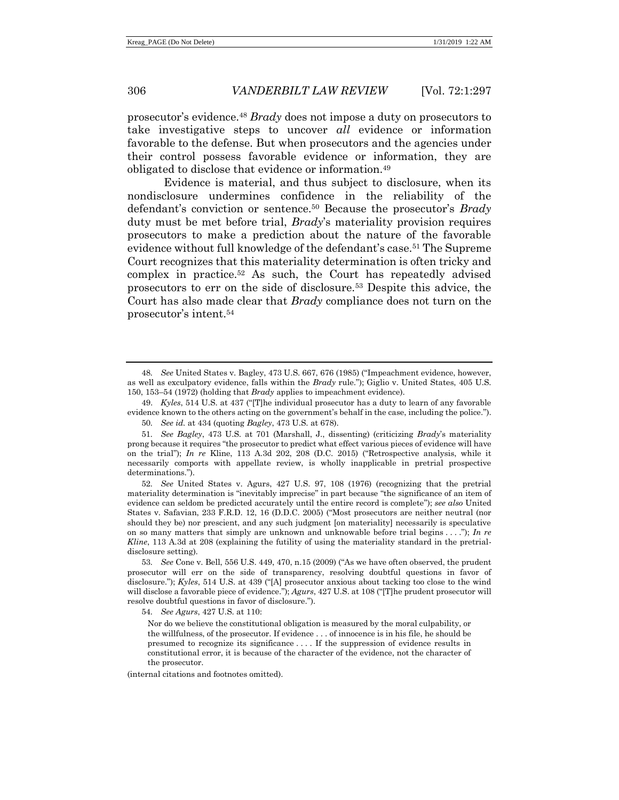prosecutor's evidence.<sup>48</sup> *Brady* does not impose a duty on prosecutors to take investigative steps to uncover *all* evidence or information favorable to the defense. But when prosecutors and the agencies under their control possess favorable evidence or information, they are obligated to disclose that evidence or information. 49

Evidence is material, and thus subject to disclosure, when its nondisclosure undermines confidence in the reliability of the defendant's conviction or sentence.<sup>50</sup> Because the prosecutor's *Brady* duty must be met before trial, *Brady*'s materiality provision requires prosecutors to make a prediction about the nature of the favorable evidence without full knowledge of the defendant's case.<sup>51</sup> The Supreme Court recognizes that this materiality determination is often tricky and complex in practice.<sup>52</sup> As such, the Court has repeatedly advised prosecutors to err on the side of disclosure.<sup>53</sup> Despite this advice, the Court has also made clear that *Brady* compliance does not turn on the prosecutor's intent.<sup>54</sup>

53*. See* Cone v. Bell, 556 U.S. 449, 470, n.15 (2009) ("As we have often observed, the prudent prosecutor will err on the side of transparency, resolving doubtful questions in favor of disclosure."); *Kyles*, 514 U.S. at 439 ("[A] prosecutor anxious about tacking too close to the wind will disclose a favorable piece of evidence."); *Agurs*, 427 U.S. at 108 ("[T]he prudent prosecutor will resolve doubtful questions in favor of disclosure.").

54*. See Agurs*, 427 U.S. at 110:

(internal citations and footnotes omitted).

<sup>48</sup>*. See* United States v. Bagley, 473 U.S. 667, 676 (1985) ("Impeachment evidence, however, as well as exculpatory evidence, falls within the *Brady* rule."); Giglio v. United States, 405 U.S. 150, 153–54 (1972) (holding that *Brady* applies to impeachment evidence).

<sup>49.</sup> *Kyles*, 514 U.S. at 437 ("[T]he individual prosecutor has a duty to learn of any favorable evidence known to the others acting on the government's behalf in the case, including the police.").

<sup>50</sup>*. See id.* at 434 (quoting *Bagley*, 473 U.S. at 678).

<sup>51</sup>*. See Bagley*, 473 U.S. at 701 (Marshall, J., dissenting) (criticizing *Brady*'s materiality prong because it requires "the prosecutor to predict what effect various pieces of evidence will have on the trial"); *In re* Kline, 113 A.3d 202, 208 (D.C. 2015) ("Retrospective analysis, while it necessarily comports with appellate review, is wholly inapplicable in pretrial prospective determinations.").

<sup>52</sup>*. See* United States v. Agurs, 427 U.S. 97, 108 (1976) (recognizing that the pretrial materiality determination is "inevitably imprecise" in part because "the significance of an item of evidence can seldom be predicted accurately until the entire record is complete"); *see also* United States v. Safavian, 233 F.R.D. 12, 16 (D.D.C. 2005) ("Most prosecutors are neither neutral (nor should they be) nor prescient, and any such judgment [on materiality] necessarily is speculative on so many matters that simply are unknown and unknowable before trial begins . . . ."); *In re Kline*, 113 A.3d at 208 (explaining the futility of using the materiality standard in the pretrialdisclosure setting).

Nor do we believe the constitutional obligation is measured by the moral culpability, or the willfulness, of the prosecutor. If evidence . . . of innocence is in his file, he should be presumed to recognize its significance . . . . If the suppression of evidence results in constitutional error, it is because of the character of the evidence, not the character of the prosecutor.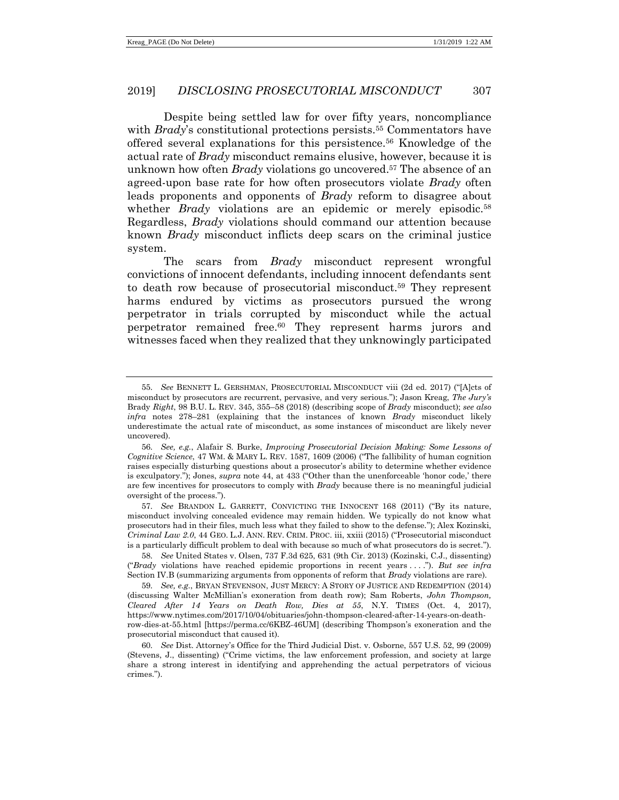<span id="page-10-1"></span><span id="page-10-0"></span>Despite being settled law for over fifty years, noncompliance with *Brady*'s constitutional protections persists.<sup>55</sup> Commentators have offered several explanations for this persistence.<sup>56</sup> Knowledge of the actual rate of *Brady* misconduct remains elusive, however, because it is unknown how often *Brady* violations go uncovered. <sup>57</sup> The absence of an agreed-upon base rate for how often prosecutors violate *Brady* often leads proponents and opponents of *Brady* reform to disagree about whether *Brady* violations are an epidemic or merely episodic.<sup>58</sup> Regardless, *Brady* violations should command our attention because known *Brady* misconduct inflicts deep scars on the criminal justice system.

The scars from *Brady* misconduct represent wrongful convictions of innocent defendants, including innocent defendants sent to death row because of prosecutorial misconduct.<sup>59</sup> They represent harms endured by victims as prosecutors pursued the wrong perpetrator in trials corrupted by misconduct while the actual perpetrator remained free. <sup>60</sup> They represent harms jurors and witnesses faced when they realized that they unknowingly participated

<sup>55</sup>*. See* BENNETT L. GERSHMAN, PROSECUTORIAL MISCONDUCT viii (2d ed. 2017) ("[A]cts of misconduct by prosecutors are recurrent, pervasive, and very serious."); Jason Kreag, *The Jury's*  Brady *Right*, 98 B.U. L. REV. 345, 355–58 (2018) (describing scope of *Brady* misconduct); *see also infra* notes [278](#page-51-0)–[281](#page-51-1) (explaining that the instances of known *Brady* misconduct likely underestimate the actual rate of misconduct, as some instances of misconduct are likely never uncovered).

<sup>56</sup>*. See, e.g.*, Alafair S. Burke, *Improving Prosecutorial Decision Making: Some Lessons of Cognitive Science*, 47 WM. & MARY L. REV. 1587, 1609 (2006) ("The fallibility of human cognition raises especially disturbing questions about a prosecutor's ability to determine whether evidence is exculpatory."); Jones, *supra* note [44,](#page-7-1) at 433 ("Other than the unenforceable 'honor code,' there are few incentives for prosecutors to comply with *Brady* because there is no meaningful judicial oversight of the process.").

<sup>57</sup>*. See* BRANDON L. GARRETT, CONVICTING THE INNOCENT 168 (2011) ("By its nature, misconduct involving concealed evidence may remain hidden. We typically do not know what prosecutors had in their files, much less what they failed to show to the defense."); Alex Kozinski, *Criminal Law 2.0*, 44 GEO. L.J. ANN. REV. CRIM. PROC. iii, xxiii (2015) ("Prosecutorial misconduct is a particularly difficult problem to deal with because so much of what prosecutors do is secret.").

<sup>58</sup>*. See* United States v. Olsen, 737 F.3d 625, 631 (9th Cir. 2013) (Kozinski, C.J., dissenting) ("*Brady* violations have reached epidemic proportions in recent years . . . ."). *But see infra* Section IV.B (summarizing arguments from opponents of reform that *Brady* violations are rare).

<sup>59</sup>*. See, e.g.*, BRYAN STEVENSON, JUST MERCY: A STORY OF JUSTICE AND REDEMPTION (2014) (discussing Walter McMillian's exoneration from death row); Sam Roberts, *John Thompson, Cleared After 14 Years on Death Row, Dies at 55*, N.Y. TIMES (Oct. 4, 2017), https://www.nytimes.com/2017/10/04/obituaries/john-thompson-cleared-after-14-years-on-deathrow-dies-at-55.html [https://perma.cc/6KBZ-46UM] (describing Thompson's exoneration and the prosecutorial misconduct that caused it).

<sup>60</sup>*. See* Dist. Attorney's Office for the Third Judicial Dist. v. Osborne, 557 U.S. 52, 99 (2009) (Stevens, J., dissenting) ("Crime victims, the law enforcement profession, and society at large share a strong interest in identifying and apprehending the actual perpetrators of vicious crimes.").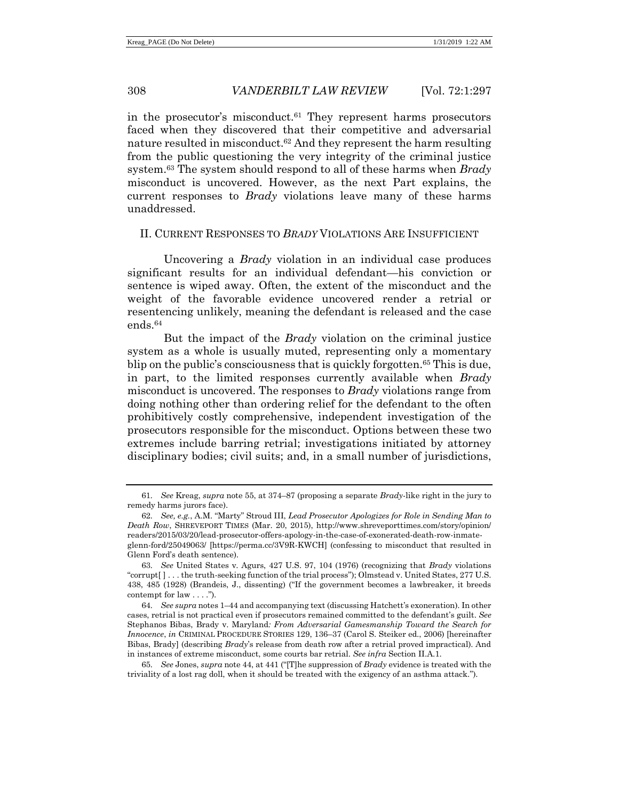<span id="page-11-0"></span>in the prosecutor's misconduct. $61$  They represent harms prosecutors faced when they discovered that their competitive and adversarial nature resulted in misconduct.<sup>62</sup> And they represent the harm resulting from the public questioning the very integrity of the criminal justice system.<sup>63</sup> The system should respond to all of these harms when *Brady* misconduct is uncovered. However, as the next Part explains, the current responses to *Brady* violations leave many of these harms unaddressed.

#### II. CURRENT RESPONSES TO *BRADY* VIOLATIONS ARE INSUFFICIENT

Uncovering a *Brady* violation in an individual case produces significant results for an individual defendant—his conviction or sentence is wiped away. Often, the extent of the misconduct and the weight of the favorable evidence uncovered render a retrial or resentencing unlikely, meaning the defendant is released and the case ends. 64

<span id="page-11-1"></span>But the impact of the *Brady* violation on the criminal justice system as a whole is usually muted, representing only a momentary blip on the public's consciousness that is quickly forgotten.<sup>65</sup> This is due, in part, to the limited responses currently available when *Brady* misconduct is uncovered. The responses to *Brady* violations range from doing nothing other than ordering relief for the defendant to the often prohibitively costly comprehensive, independent investigation of the prosecutors responsible for the misconduct. Options between these two extremes include barring retrial; investigations initiated by attorney disciplinary bodies; civil suits; and, in a small number of jurisdictions,

<sup>61</sup>*. See* Kreag, *supra* not[e 55,](#page-10-0) at 374–87 (proposing a separate *Brady*-like right in the jury to remedy harms jurors face).

<sup>62</sup>*. See, e.g.*, A.M. "Marty" Stroud III, *Lead Prosecutor Apologizes for Role in Sending Man to Death Row*, SHREVEPORT TIMES (Mar. 20, 2015), http://www.shreveporttimes.com/story/opinion/ readers/2015/03/20/lead-prosecutor-offers-apology-in-the-case-of-exonerated-death-row-inmateglenn-ford/25049063/ [https://perma.cc/3V9R-KWCH] (confessing to misconduct that resulted in Glenn Ford's death sentence).

<sup>63</sup>*. See* United States v. Agurs, 427 U.S. 97, 104 (1976) (recognizing that *Brady* violations "corrupt[ ] . . . the truth-seeking function of the trial process"); Olmstead v. United States, 277 U.S. 438, 485 (1928) (Brandeis, J., dissenting) ("If the government becomes a lawbreaker, it breeds contempt for law . . . .").

<sup>64</sup>*. See supra* note[s 1](#page-1-0)–[44](#page-7-1) and accompanying text (discussing Hatchett's exoneration). In other cases, retrial is not practical even if prosecutors remained committed to the defendant's guilt. *See* Stephanos Bibas, Brady v. Maryland*: From Adversarial Gamesmanship Toward the Search for Innocence*, *in* CRIMINAL PROCEDURE STORIES 129, 136–37 (Carol S. Steiker ed., 2006) [hereinafter Bibas, Brady] (describing *Brady*'s release from death row after a retrial proved impractical). And in instances of extreme misconduct, some courts bar retrial. *See infra* Section II.A.1.

<sup>65</sup>*. See* Jones, *supra* note [44,](#page-7-1) at 441 ("[T]he suppression of *Brady* evidence is treated with the triviality of a lost rag doll, when it should be treated with the exigency of an asthma attack.").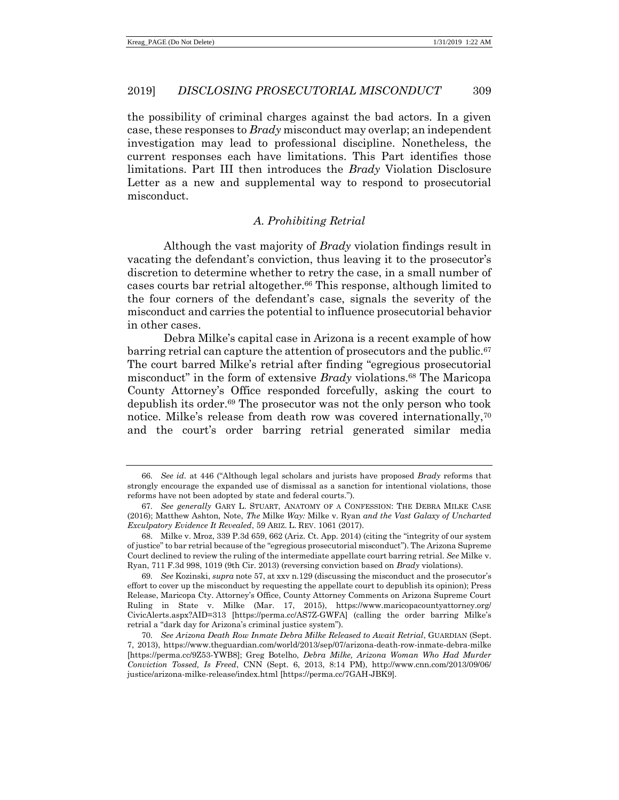the possibility of criminal charges against the bad actors. In a given case, these responses to *Brady* misconduct may overlap; an independent investigation may lead to professional discipline. Nonetheless, the current responses each have limitations. This Part identifies those limitations. Part III then introduces the *Brady* Violation Disclosure Letter as a new and supplemental way to respond to prosecutorial misconduct.

# <span id="page-12-0"></span>*A. Prohibiting Retrial*

Although the vast majority of *Brady* violation findings result in vacating the defendant's conviction, thus leaving it to the prosecutor's discretion to determine whether to retry the case, in a small number of cases courts bar retrial altogether. <sup>66</sup> This response, although limited to the four corners of the defendant's case, signals the severity of the misconduct and carries the potential to influence prosecutorial behavior in other cases.

Debra Milke's capital case in Arizona is a recent example of how barring retrial can capture the attention of prosecutors and the public.<sup>67</sup> The court barred Milke's retrial after finding "egregious prosecutorial misconduct" in the form of extensive *Brady* violations.<sup>68</sup> The Maricopa County Attorney's Office responded forcefully, asking the court to depublish its order.<sup>69</sup> The prosecutor was not the only person who took notice. Milke's release from death row was covered internationally,<sup>70</sup> and the court's order barring retrial generated similar media

<sup>66</sup>*. See id.* at 446 ("Although legal scholars and jurists have proposed *Brady* reforms that strongly encourage the expanded use of dismissal as a sanction for intentional violations, those reforms have not been adopted by state and federal courts.").

<sup>67</sup>*. See generally* GARY L. STUART, ANATOMY OF A CONFESSION: THE DEBRA MILKE CASE (2016); Matthew Ashton, Note, *The* Milke *Way:* Milke v. Ryan *and the Vast Galaxy of Uncharted Exculpatory Evidence It Revealed*, 59 ARIZ. L. REV. 1061 (2017).

<sup>68.</sup> Milke v. Mroz, 339 P.3d 659, 662 (Ariz. Ct. App. 2014) (citing the "integrity of our system of justice" to bar retrial because of the "egregious prosecutorial misconduct"). The Arizona Supreme Court declined to review the ruling of the intermediate appellate court barring retrial. *See* Milke v. Ryan, 711 F.3d 998, 1019 (9th Cir. 2013) (reversing conviction based on *Brady* violations).

<sup>69</sup>*. See* Kozinski, *supra* not[e 57,](#page-10-1) at xxv n.129 (discussing the misconduct and the prosecutor's effort to cover up the misconduct by requesting the appellate court to depublish its opinion); Press Release, Maricopa Cty. Attorney's Office, County Attorney Comments on Arizona Supreme Court Ruling in State v. Milke (Mar. 17, 2015), https://www.maricopacountyattorney.org/ CivicAlerts.aspx?AID=313 [https://perma.cc/AS7Z-GWFA] (calling the order barring Milke's retrial a "dark day for Arizona's criminal justice system").

<sup>70</sup>*. See Arizona Death Row Inmate Debra Milke Released to Await Retrial*, GUARDIAN (Sept. 7, 2013), https://www.theguardian.com/world/2013/sep/07/arizona-death-row-inmate-debra-milke [https://perma.cc/9Z53-YWB8]; Greg Botelho, *Debra Milke, Arizona Woman Who Had Murder Conviction Tossed, Is Freed*, CNN (Sept. 6, 2013, 8:14 PM), http://www.cnn.com/2013/09/06/ justice/arizona-milke-release/index.html [https://perma.cc/7GAH-JBK9].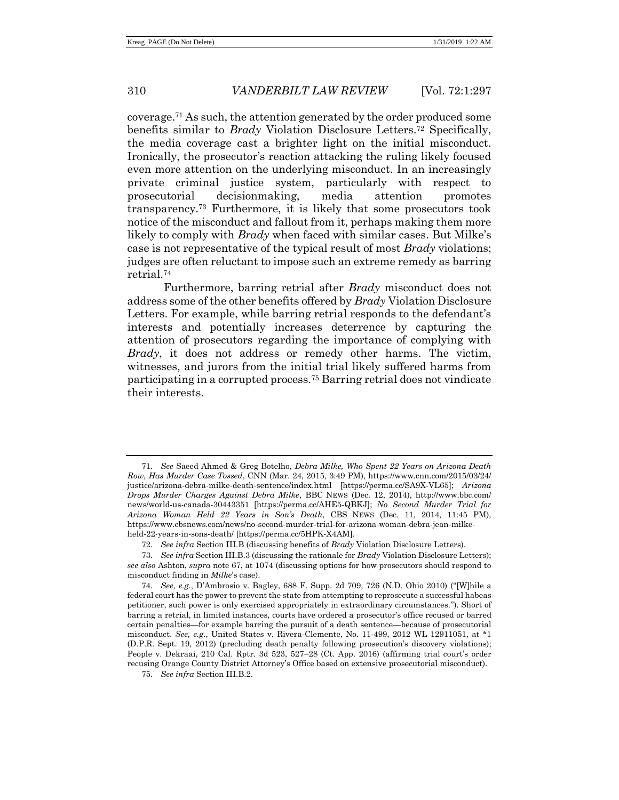coverage.<sup>71</sup> As such, the attention generated by the order produced some benefits similar to *Brady* Violation Disclosure Letters.<sup>72</sup> Specifically, the media coverage cast a brighter light on the initial misconduct. Ironically, the prosecutor's reaction attacking the ruling likely focused even more attention on the underlying misconduct. In an increasingly private criminal justice system, particularly with respect to prosecutorial decisionmaking, media attention promotes transparency.<sup>73</sup> Furthermore, it is likely that some prosecutors took notice of the misconduct and fallout from it, perhaps making them more likely to comply with *Brady* when faced with similar cases. But Milke's case is not representative of the typical result of most *Brady* violations; judges are often reluctant to impose such an extreme remedy as barring retrial.<sup>74</sup>

Furthermore, barring retrial after *Brady* misconduct does not address some of the other benefits offered by *Brady* Violation Disclosure Letters. For example, while barring retrial responds to the defendant's interests and potentially increases deterrence by capturing the attention of prosecutors regarding the importance of complying with *Brady*, it does not address or remedy other harms. The victim, witnesses, and jurors from the initial trial likely suffered harms from participating in a corrupted process.<sup>75</sup> Barring retrial does not vindicate their interests.

<sup>71</sup>*. See* Saeed Ahmed & Greg Botelho, *Debra Milke, Who Spent 22 Years on Arizona Death Row, Has Murder Case Tossed*, CNN (Mar. 24, 2015, 3:49 PM), https://www.cnn.com/2015/03/24/ justice/arizona-debra-milke-death-sentence/index.html [https://perma.cc/SA9X-VL65]; *Arizona Drops Murder Charges Against Debra Milke*, BBC NEWS (Dec. 12, 2014), http://www.bbc.com/ news/world-us-canada-30443351 [https://perma.cc/AHE5-QBKJ]; *No Second Murder Trial for Arizona Woman Held 22 Years in Son's Death*, CBS NEWS (Dec. 11, 2014, 11:45 PM), https://www.cbsnews.com/news/no-second-murder-trial-for-arizona-woman-debra-jean-milkeheld-22-years-in-sons-death/ [https://perma.cc/5HPK-X4AM].

<sup>72</sup>*. See infra* Section III.B (discussing benefits of *Brady* Violation Disclosure Letters).

<sup>73</sup>*. See infra* Section III.B.3 (discussing the rationale for *Brady* Violation Disclosure Letters); *see also* Ashton, *supra* note [67,](#page-12-0) at 1074 (discussing options for how prosecutors should respond to misconduct finding in *Milke*'s case).

<sup>74</sup>*. See, e.g.*, D'Ambrosio v. Bagley, 688 F. Supp. 2d 709, 726 (N.D. Ohio 2010) ("[W]hile a federal court has the power to prevent the state from attempting to reprosecute a successful habeas petitioner, such power is only exercised appropriately in extraordinary circumstances."). Short of barring a retrial, in limited instances, courts have ordered a prosecutor's office recused or barred certain penalties—for example barring the pursuit of a death sentence—because of prosecutorial misconduct. *See, e.g.*, United States v. Rivera-Clemente, No. 11-499, 2012 WL 12911051, at \*1 (D.P.R. Sept. 19, 2012) (precluding death penalty following prosecution's discovery violations); People v. Dekraai, 210 Cal. Rptr. 3d 523, 527−28 (Ct. App. 2016) (affirming trial court's order recusing Orange County District Attorney's Office based on extensive prosecutorial misconduct).

<sup>75</sup>*. See infra* Section III.B.2.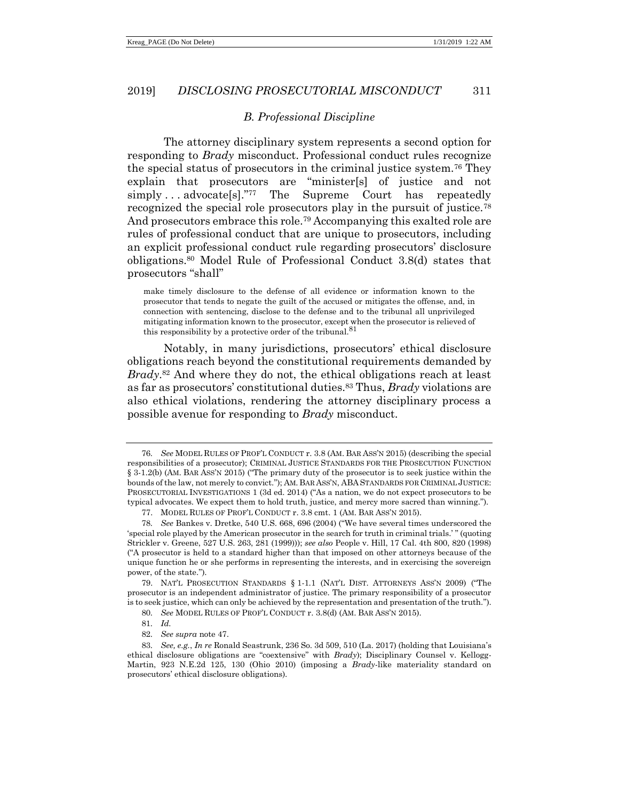# <span id="page-14-0"></span>*B. Professional Discipline*

The attorney disciplinary system represents a second option for responding to *Brady* misconduct. Professional conduct rules recognize the special status of prosecutors in the criminal justice system.<sup>76</sup> They explain that prosecutors are "minister[s] of justice and not simply . . . advocate[s]."<sup>77</sup> The Supreme Court has repeatedly recognized the special role prosecutors play in the pursuit of justice.<sup>78</sup> And prosecutors embrace this role.<sup>79</sup> Accompanying this exalted role are rules of professional conduct that are unique to prosecutors, including an explicit professional conduct rule regarding prosecutors' disclosure obligations.<sup>80</sup> Model Rule of Professional Conduct 3.8(d) states that prosecutors "shall"

make timely disclosure to the defense of all evidence or information known to the prosecutor that tends to negate the guilt of the accused or mitigates the offense, and, in connection with sentencing, disclose to the defense and to the tribunal all unprivileged mitigating information known to the prosecutor, except when the prosecutor is relieved of this responsibility by a protective order of the tribunal.  $81$ 

Notably, in many jurisdictions, prosecutors' ethical disclosure obligations reach beyond the constitutional requirements demanded by *Brady*. <sup>82</sup> And where they do not, the ethical obligations reach at least as far as prosecutors' constitutional duties.<sup>83</sup> Thus, *Brady* violations are also ethical violations, rendering the attorney disciplinary process a possible avenue for responding to *Brady* misconduct.

<sup>76</sup>*. See* MODEL RULES OF PROF'L CONDUCT r. 3.8 (AM. BAR ASS'N 2015) (describing the special responsibilities of a prosecutor); CRIMINAL JUSTICE STANDARDS FOR THE PROSECUTION FUNCTION § 3-1.2(b) (AM. BAR ASS'N 2015) ("The primary duty of the prosecutor is to seek justice within the bounds of the law, not merely to convict."); AM. BAR ASS'N, ABA STANDARDS FOR CRIMINAL JUSTICE: PROSECUTORIAL INVESTIGATIONS 1 (3d ed. 2014) ("As a nation, we do not expect prosecutors to be typical advocates. We expect them to hold truth, justice, and mercy more sacred than winning.").

<sup>77.</sup> MODEL RULES OF PROF'L CONDUCT r. 3.8 cmt. 1 (AM. BAR ASS'N 2015).

<sup>78</sup>*. See* Bankes v. Dretke, 540 U.S. 668, 696 (2004) ("We have several times underscored the 'special role played by the American prosecutor in the search for truth in criminal trials.' " (quoting Strickler v. Greene, 527 U.S. 263, 281 (1999))); *see also* People v. Hill, 17 Cal. 4th 800, 820 (1998) ("A prosecutor is held to a standard higher than that imposed on other attorneys because of the unique function he or she performs in representing the interests, and in exercising the sovereign power, of the state.").

<sup>79.</sup> NAT'L PROSECUTION STANDARDS § 1-1.1 (NAT'L DIST. ATTORNEYS ASS'N 2009) ("The prosecutor is an independent administrator of justice. The primary responsibility of a prosecutor is to seek justice, which can only be achieved by the representation and presentation of the truth.").

<sup>80</sup>*. See* MODEL RULES OF PROF'L CONDUCT r. 3.8(d) (AM. BAR ASS'N 2015).

<sup>81</sup>*. Id.*

<sup>82</sup>*. See supra* note [47.](#page-8-0)

<sup>83</sup>*. See, e.g.*, *In re* Ronald Seastrunk, 236 So. 3d 509, 510 (La. 2017) (holding that Louisiana's ethical disclosure obligations are "coextensive" with *Brady*); Disciplinary Counsel v. Kellogg-Martin, 923 N.E.2d 125, 130 (Ohio 2010) (imposing a *Brady*-like materiality standard on prosecutors' ethical disclosure obligations).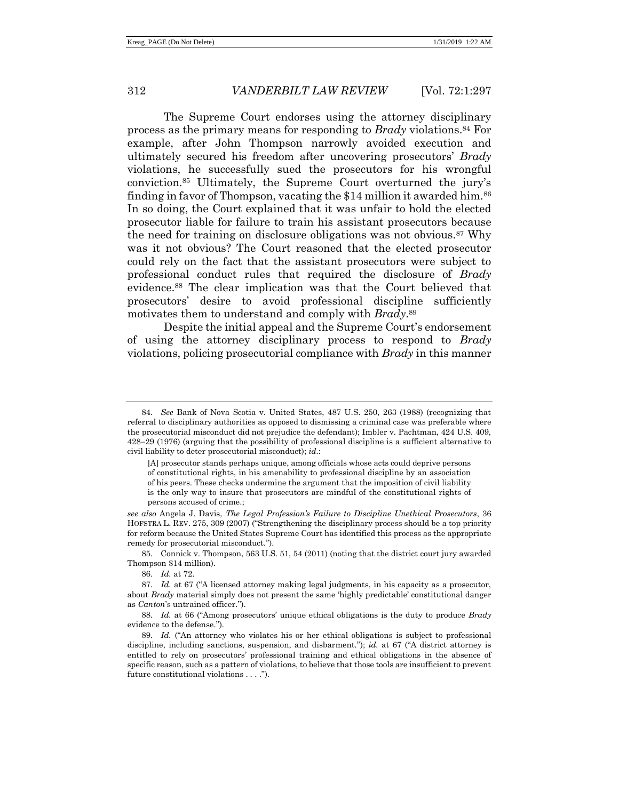<span id="page-15-0"></span>The Supreme Court endorses using the attorney disciplinary process as the primary means for responding to *Brady* violations.<sup>84</sup> For example, after John Thompson narrowly avoided execution and ultimately secured his freedom after uncovering prosecutors' *Brady* violations, he successfully sued the prosecutors for his wrongful conviction.<sup>85</sup> Ultimately, the Supreme Court overturned the jury's finding in favor of Thompson, vacating the \$14 million it awarded him.<sup>86</sup> In so doing, the Court explained that it was unfair to hold the elected prosecutor liable for failure to train his assistant prosecutors because the need for training on disclosure obligations was not obvious.<sup>87</sup> Why was it not obvious? The Court reasoned that the elected prosecutor could rely on the fact that the assistant prosecutors were subject to professional conduct rules that required the disclosure of *Brady* evidence.<sup>88</sup> The clear implication was that the Court believed that prosecutors' desire to avoid professional discipline sufficiently motivates them to understand and comply with *Brady*. 89

Despite the initial appeal and the Supreme Court's endorsement of using the attorney disciplinary process to respond to *Brady* violations, policing prosecutorial compliance with *Brady* in this manner

<sup>84</sup>*. See* Bank of Nova Scotia v. United States, 487 U.S. 250, 263 (1988) (recognizing that referral to disciplinary authorities as opposed to dismissing a criminal case was preferable where the prosecutorial misconduct did not prejudice the defendant); Imbler v. Pachtman, 424 U.S. 409, 428−29 (1976) (arguing that the possibility of professional discipline is a sufficient alternative to civil liability to deter prosecutorial misconduct); *id.*:

<sup>[</sup>A] prosecutor stands perhaps unique, among officials whose acts could deprive persons of constitutional rights, in his amenability to professional discipline by an association of his peers. These checks undermine the argument that the imposition of civil liability is the only way to insure that prosecutors are mindful of the constitutional rights of persons accused of crime.;

*see also* Angela J. Davis, *The Legal Profession's Failure to Discipline Unethical Prosecutors*, 36 HOFSTRA L. REV. 275, 309 (2007) ("Strengthening the disciplinary process should be a top priority for reform because the United States Supreme Court has identified this process as the appropriate remedy for prosecutorial misconduct.").

<sup>85</sup>*.* Connick v. Thompson, 563 U.S. 51, 54 (2011) (noting that the district court jury awarded Thompson \$14 million).

<sup>86.</sup> *Id.* at 72.

<sup>87</sup>*. Id.* at 67 ("A licensed attorney making legal judgments, in his capacity as a prosecutor, about *Brady* material simply does not present the same 'highly predictable' constitutional danger as *Canton*'s untrained officer.").

<sup>88</sup>*. Id.* at 66 ("Among prosecutors' unique ethical obligations is the duty to produce *Brady* evidence to the defense.").

<sup>89</sup>*. Id.* ("An attorney who violates his or her ethical obligations is subject to professional discipline, including sanctions, suspension, and disbarment."); *id.* at 67 ("A district attorney is entitled to rely on prosecutors' professional training and ethical obligations in the absence of specific reason, such as a pattern of violations, to believe that those tools are insufficient to prevent future constitutional violations . . . .").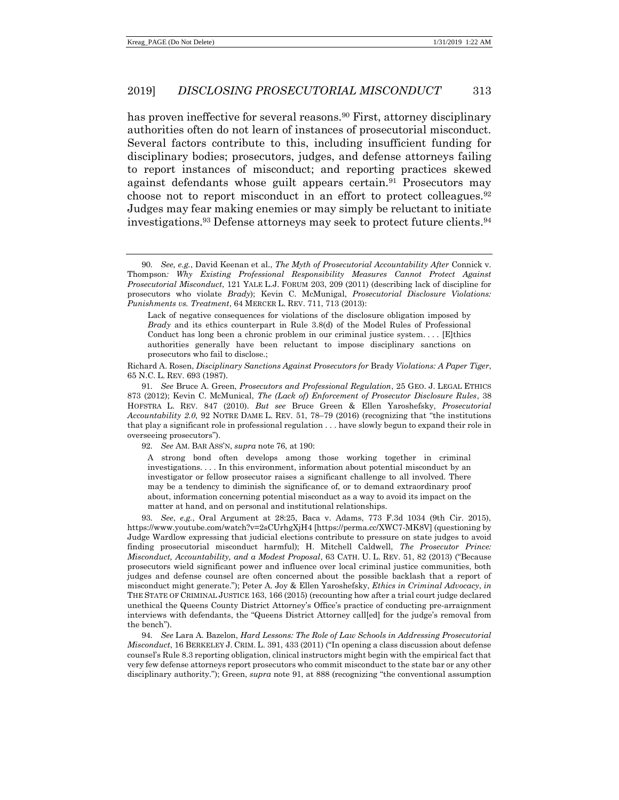<span id="page-16-1"></span><span id="page-16-0"></span>has proven ineffective for several reasons.<sup>90</sup> First, attorney disciplinary authorities often do not learn of instances of prosecutorial misconduct. Several factors contribute to this, including insufficient funding for disciplinary bodies; prosecutors, judges, and defense attorneys failing to report instances of misconduct; and reporting practices skewed against defendants whose guilt appears certain.<sup>91</sup> Prosecutors may choose not to report misconduct in an effort to protect colleagues.<sup>92</sup> Judges may fear making enemies or may simply be reluctant to initiate investigations.<sup>93</sup> Defense attorneys may seek to protect future clients.<sup>94</sup>

Lack of negative consequences for violations of the disclosure obligation imposed by *Brady* and its ethics counterpart in Rule 3.8(d) of the Model Rules of Professional Conduct has long been a chronic problem in our criminal justice system.... [E]thics authorities generally have been reluctant to impose disciplinary sanctions on prosecutors who fail to disclose.;

Richard A. Rosen, *Disciplinary Sanctions Against Prosecutors for* Brady *Violations: A Paper Tiger*, 65 N.C. L. REV. 693 (1987).

91*. See* Bruce A. Green, *Prosecutors and Professional Regulation*, 25 GEO. J. LEGAL ETHICS 873 (2012); Kevin C. McMunical, *The (Lack of) Enforcement of Prosecutor Disclosure Rules*, 38 HOFSTRA L. REV. 847 (2010). *But see* Bruce Green & Ellen Yaroshefsky, *Prosecutorial Accountability 2.0*, 92 NOTRE DAME L. REV. 51, 78−79 (2016) (recognizing that "the institutions that play a significant role in professional regulation . . . have slowly begun to expand their role in overseeing prosecutors").

92*. See* AM. BAR ASS'N, *supra* note [76,](#page-14-0) at 190:

A strong bond often develops among those working together in criminal investigations. . . . In this environment, information about potential misconduct by an investigator or fellow prosecutor raises a significant challenge to all involved. There may be a tendency to diminish the significance of, or to demand extraordinary proof about, information concerning potential misconduct as a way to avoid its impact on the matter at hand, and on personal and institutional relationships.

93*. See*, *e.g.*, Oral Argument at 28:25, Baca v. Adams, 773 F.3d 1034 (9th Cir. 2015), https://www.youtube.com/watch?v=2sCUrhgXjH4 [https://perma.cc/XWC7-MK8V] (questioning by Judge Wardlow expressing that judicial elections contribute to pressure on state judges to avoid finding prosecutorial misconduct harmful); H. Mitchell Caldwell, *The Prosecutor Prince: Misconduct, Accountability, and a Modest Proposal*, 63 CATH. U. L. REV. 51, 82 (2013) ("Because prosecutors wield significant power and influence over local criminal justice communities, both judges and defense counsel are often concerned about the possible backlash that a report of misconduct might generate."); Peter A. Joy & Ellen Yaroshefsky, *Ethics in Criminal Advocacy*, *in* THE STATE OF CRIMINAL JUSTICE 163, 166 (2015) (recounting how after a trial court judge declared unethical the Queens County District Attorney's Office's practice of conducting pre-arraignment interviews with defendants, the "Queens District Attorney call[ed] for the judge's removal from the bench").

94*. See* Lara A. Bazelon, *Hard Lessons: The Role of Law Schools in Addressing Prosecutorial Misconduct*, 16 BERKELEY J. CRIM. L. 391, 433 (2011) ("In opening a class discussion about defense counsel's Rule 8.3 reporting obligation, clinical instructors might begin with the empirical fact that very few defense attorneys report prosecutors who commit misconduct to the state bar or any other disciplinary authority."); Green, *supra* note [91,](#page-16-0) at 888 (recognizing "the conventional assumption

<sup>90</sup>*. See, e.g.*, David Keenan et al., *The Myth of Prosecutorial Accountability After* Connick v. Thompson*: Why Existing Professional Responsibility Measures Cannot Protect Against Prosecutorial Misconduct*, 121 YALE L.J. FORUM 203, 209 (2011) (describing lack of discipline for prosecutors who violate *Brady*); Kevin C. McMunigal, *Prosecutorial Disclosure Violations: Punishments vs. Treatment*, 64 MERCER L. REV. 711, 713 (2013):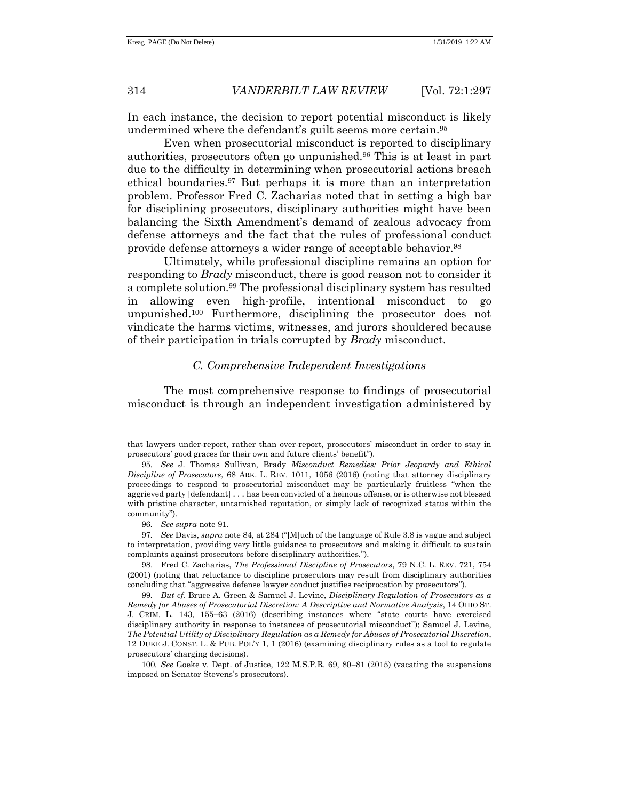In each instance, the decision to report potential misconduct is likely undermined where the defendant's guilt seems more certain.<sup>95</sup>

Even when prosecutorial misconduct is reported to disciplinary authorities, prosecutors often go unpunished.<sup>96</sup> This is at least in part due to the difficulty in determining when prosecutorial actions breach ethical boundaries.<sup>97</sup> But perhaps it is more than an interpretation problem. Professor Fred C. Zacharias noted that in setting a high bar for disciplining prosecutors, disciplinary authorities might have been balancing the Sixth Amendment's demand of zealous advocacy from defense attorneys and the fact that the rules of professional conduct provide defense attorneys a wider range of acceptable behavior.<sup>98</sup>

Ultimately, while professional discipline remains an option for responding to *Brady* misconduct, there is good reason not to consider it a complete solution.<sup>99</sup> The professional disciplinary system has resulted in allowing even high-profile, intentional misconduct to go unpunished.<sup>100</sup> Furthermore, disciplining the prosecutor does not vindicate the harms victims, witnesses, and jurors shouldered because of their participation in trials corrupted by *Brady* misconduct.

#### <span id="page-17-0"></span>*C. Comprehensive Independent Investigations*

The most comprehensive response to findings of prosecutorial misconduct is through an independent investigation administered by

98. Fred C. Zacharias, *The Professional Discipline of Prosecutors*, 79 N.C. L. REV. 721, 754 (2001) (noting that reluctance to discipline prosecutors may result from disciplinary authorities concluding that "aggressive defense lawyer conduct justifies reciprocation by prosecutors").

that lawyers under-report, rather than over-report, prosecutors' misconduct in order to stay in prosecutors' good graces for their own and future clients' benefit").

<sup>95</sup>*. See* J. Thomas Sullivan, Brady *Misconduct Remedies: Prior Jeopardy and Ethical Discipline of Prosecutors*, 68 ARK. L. REV. 1011, 1056 (2016) (noting that attorney disciplinary proceedings to respond to prosecutorial misconduct may be particularly fruitless "when the aggrieved party [defendant] . . . has been convicted of a heinous offense, or is otherwise not blessed with pristine character, untarnished reputation, or simply lack of recognized status within the community").

<sup>96</sup>*. See supra* not[e 91.](#page-16-0)

<sup>97</sup>*. See* Davis, *supra* not[e 84,](#page-15-0) at 284 ("[M]uch of the language of Rule 3.8 is vague and subject to interpretation, providing very little guidance to prosecutors and making it difficult to sustain complaints against prosecutors before disciplinary authorities.").

<sup>99</sup>*. But cf.* Bruce A. Green & Samuel J. Levine, *Disciplinary Regulation of Prosecutors as a Remedy for Abuses of Prosecutorial Discretion: A Descriptive and Normative Analysis*, 14 OHIO ST. J. CRIM. L. 143, 155−63 (2016) (describing instances where "state courts have exercised disciplinary authority in response to instances of prosecutorial misconduct"); Samuel J. Levine, *The Potential Utility of Disciplinary Regulation as a Remedy for Abuses of Prosecutorial Discretion*, 12 DUKE J. CONST. L. & PUB. POL'Y 1, 1 (2016) (examining disciplinary rules as a tool to regulate prosecutors' charging decisions).

<sup>100</sup>*. See* Goeke v. Dept. of Justice, 122 M.S.P.R. 69, 80−81 (2015) (vacating the suspensions imposed on Senator Stevens's prosecutors).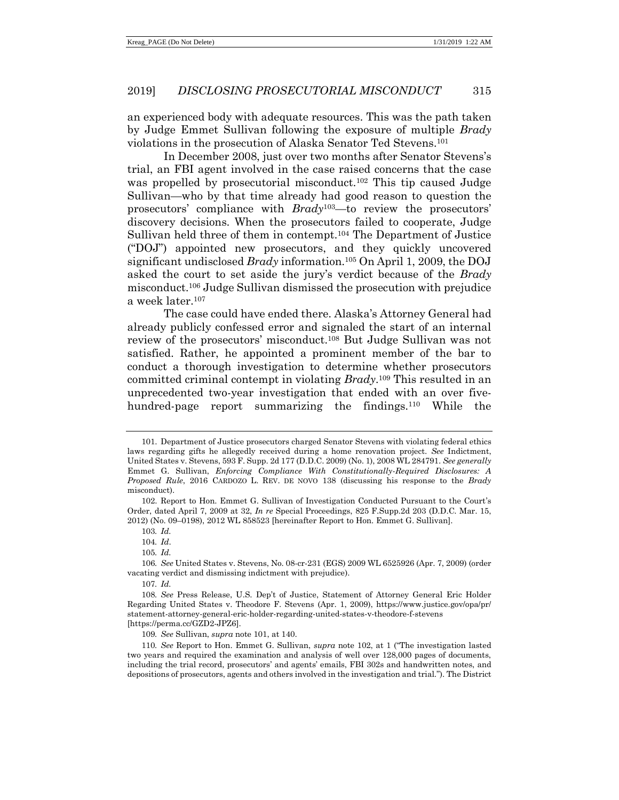an experienced body with adequate resources. This was the path taken by Judge Emmet Sullivan following the exposure of multiple *Brady* violations in the prosecution of Alaska Senator Ted Stevens.<sup>101</sup>

<span id="page-18-1"></span><span id="page-18-0"></span>In December 2008, just over two months after Senator Stevens's trial, an FBI agent involved in the case raised concerns that the case was propelled by prosecutorial misconduct.<sup>102</sup> This tip caused Judge Sullivan—who by that time already had good reason to question the prosecutors' compliance with *Brady*103—to review the prosecutors' discovery decisions. When the prosecutors failed to cooperate, Judge Sullivan held three of them in contempt.<sup>104</sup> The Department of Justice ("DOJ") appointed new prosecutors, and they quickly uncovered significant undisclosed *Brady* information.<sup>105</sup> On April 1, 2009, the DOJ asked the court to set aside the jury's verdict because of the *Brady* misconduct.<sup>106</sup> Judge Sullivan dismissed the prosecution with prejudice a week later.<sup>107</sup>

<span id="page-18-2"></span>The case could have ended there. Alaska's Attorney General had already publicly confessed error and signaled the start of an internal review of the prosecutors' misconduct.<sup>108</sup> But Judge Sullivan was not satisfied. Rather, he appointed a prominent member of the bar to conduct a thorough investigation to determine whether prosecutors committed criminal contempt in violating *Brady*. <sup>109</sup> This resulted in an unprecedented two-year investigation that ended with an over fivehundred-page report summarizing the findings.<sup>110</sup> While the

<sup>101.</sup> Department of Justice prosecutors charged Senator Stevens with violating federal ethics laws regarding gifts he allegedly received during a home renovation project. *See* Indictment, United States v. Stevens, 593 F. Supp. 2d 177 (D.D.C. 2009) (No. 1), 2008 WL 284791. *See generally* Emmet G. Sullivan, *Enforcing Compliance With Constitutionally-Required Disclosures: A Proposed Rule*, 2016 CARDOZO L. REV. DE NOVO 138 (discussing his response to the *Brady* misconduct).

<sup>102.</sup> Report to Hon. Emmet G. Sullivan of Investigation Conducted Pursuant to the Court's Order, dated April 7, 2009 at 32, *In re* Special Proceedings, 825 F.Supp.2d 203 (D.D.C. Mar. 15, 2012) (No. 09–0198), 2012 WL 858523 [hereinafter Report to Hon. Emmet G. Sullivan].

<sup>103</sup>*. Id.*

<sup>104</sup>*. Id*.

<sup>105</sup>*. Id.*

<sup>106</sup>*. See* United States v. Stevens, No. 08-cr-231 (EGS) 2009 WL 6525926 (Apr. 7, 2009) (order vacating verdict and dismissing indictment with prejudice).

<sup>107</sup>*. Id.*

<sup>108</sup>*. See* Press Release, U.S. Dep't of Justice, Statement of Attorney General Eric Holder Regarding United States v. Theodore F. Stevens (Apr. 1, 2009), https://www.justice.gov/opa/pr/ statement-attorney-general-eric-holder-regarding-united-states-v-theodore-f-stevens [https://perma.cc/GZD2-JPZ6].

<sup>109</sup>*. See* Sullivan, *supra* note [101,](#page-18-0) at 140.

<sup>110</sup>*. See* Report to Hon. Emmet G. Sullivan, *supra* note [102,](#page-18-1) at 1 ("The investigation lasted two years and required the examination and analysis of well over 128,000 pages of documents, including the trial record, prosecutors' and agents' emails, FBI 302s and handwritten notes, and depositions of prosecutors, agents and others involved in the investigation and trial."). The District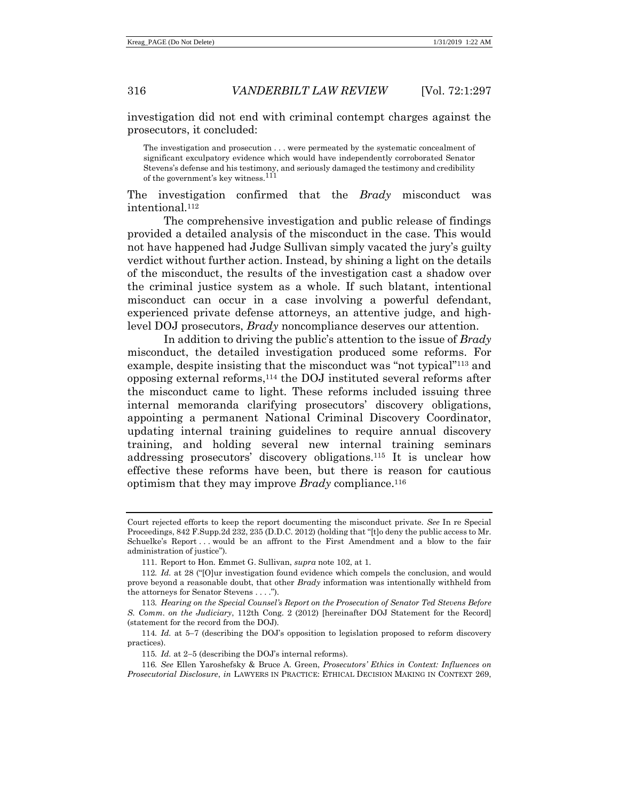investigation did not end with criminal contempt charges against the prosecutors, it concluded:

The investigation and prosecution . . . were permeated by the systematic concealment of significant exculpatory evidence which would have independently corroborated Senator Stevens's defense and his testimony, and seriously damaged the testimony and credibility of the government's key witness.<sup>111</sup>

The investigation confirmed that the *Brady* misconduct was intentional.<sup>112</sup>

The comprehensive investigation and public release of findings provided a detailed analysis of the misconduct in the case. This would not have happened had Judge Sullivan simply vacated the jury's guilty verdict without further action. Instead, by shining a light on the details of the misconduct, the results of the investigation cast a shadow over the criminal justice system as a whole. If such blatant, intentional misconduct can occur in a case involving a powerful defendant, experienced private defense attorneys, an attentive judge, and highlevel DOJ prosecutors, *Brady* noncompliance deserves our attention.

<span id="page-19-1"></span>In addition to driving the public's attention to the issue of *Brady* misconduct, the detailed investigation produced some reforms. For example, despite insisting that the misconduct was "not typical"<sup>113</sup> and opposing external reforms,<sup>114</sup> the DOJ instituted several reforms after the misconduct came to light. These reforms included issuing three internal memoranda clarifying prosecutors' discovery obligations, appointing a permanent National Criminal Discovery Coordinator, updating internal training guidelines to require annual discovery training, and holding several new internal training seminars addressing prosecutors' discovery obligations.<sup>115</sup> It is unclear how effective these reforms have been, but there is reason for cautious optimism that they may improve *Brady* compliance.<sup>116</sup>

Court rejected efforts to keep the report documenting the misconduct private. *See* In re Special Proceedings, 842 F.Supp.2d 232, 235 (D.D.C. 2012) (holding that "[t]o deny the public access to Mr. Schuelke's Report...would be an affront to the First Amendment and a blow to the fair administration of justice").

<span id="page-19-0"></span><sup>111.</sup> Report to Hon. Emmet G. Sullivan, *supra* note [102,](#page-18-1) at 1.

<sup>112</sup>*. Id.* at 28 ("[O]ur investigation found evidence which compels the conclusion, and would prove beyond a reasonable doubt, that other *Brady* information was intentionally withheld from the attorneys for Senator Stevens . . . .").

<sup>113</sup>*. Hearing on the Special Counsel's Report on the Prosecution of Senator Ted Stevens Before S. Comm. on the Judiciary*, 112th Cong. 2 (2012) [hereinafter DOJ Statement for the Record] (statement for the record from the DOJ).

<sup>114</sup>*. Id.* at 5−7 (describing the DOJ's opposition to legislation proposed to reform discovery practices).

<sup>115</sup>*. Id.* at 2−5 (describing the DOJ's internal reforms).

<sup>116</sup>*. See* Ellen Yaroshefsky & Bruce A. Green, *Prosecutors' Ethics in Context: Influences on Prosecutorial Disclosure*, *in* LAWYERS IN PRACTICE: ETHICAL DECISION MAKING IN CONTEXT 269,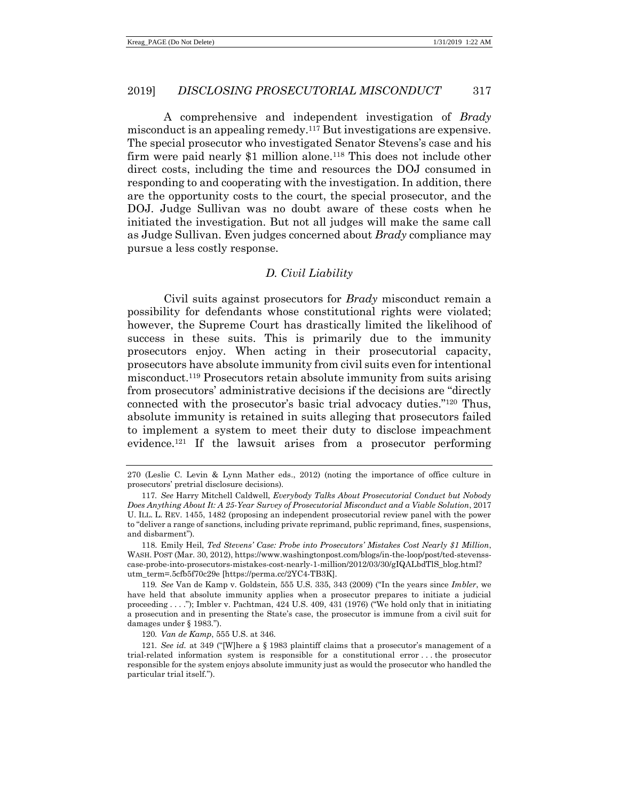A comprehensive and independent investigation of *Brady* misconduct is an appealing remedy.<sup>117</sup> But investigations are expensive. The special prosecutor who investigated Senator Stevens's case and his firm were paid nearly \$1 million alone.<sup>118</sup> This does not include other direct costs, including the time and resources the DOJ consumed in responding to and cooperating with the investigation. In addition, there are the opportunity costs to the court, the special prosecutor, and the DOJ. Judge Sullivan was no doubt aware of these costs when he initiated the investigation. But not all judges will make the same call as Judge Sullivan. Even judges concerned about *Brady* compliance may pursue a less costly response.

# <span id="page-20-0"></span>*D. Civil Liability*

Civil suits against prosecutors for *Brady* misconduct remain a possibility for defendants whose constitutional rights were violated; however, the Supreme Court has drastically limited the likelihood of success in these suits. This is primarily due to the immunity prosecutors enjoy. When acting in their prosecutorial capacity, prosecutors have absolute immunity from civil suits even for intentional misconduct. <sup>119</sup> Prosecutors retain absolute immunity from suits arising from prosecutors' administrative decisions if the decisions are "directly connected with the prosecutor's basic trial advocacy duties."<sup>120</sup> Thus, absolute immunity is retained in suits alleging that prosecutors failed to implement a system to meet their duty to disclose impeachment evidence.<sup>121</sup> If the lawsuit arises from a prosecutor performing

119*. See* Van de Kamp v. Goldstein, 555 U.S. 335, 343 (2009) ("In the years since *Imbler*, we have held that absolute immunity applies when a prosecutor prepares to initiate a judicial proceeding . . . ."); Imbler v. Pachtman, 424 U.S. 409, 431 (1976) ("We hold only that in initiating a prosecution and in presenting the State's case, the prosecutor is immune from a civil suit for damages under § 1983.").

120*. Van de Kamp*, 555 U.S. at 346.

<sup>270 (</sup>Leslie C. Levin & Lynn Mather eds., 2012) (noting the importance of office culture in prosecutors' pretrial disclosure decisions).

<sup>117</sup>*. See* Harry Mitchell Caldwell, *Everybody Talks About Prosecutorial Conduct but Nobody Does Anything About It: A 25-Year Survey of Prosecutorial Misconduct and a Viable Solution*, 2017 U. ILL. L. REV. 1455, 1482 (proposing an independent prosecutorial review panel with the power to "deliver a range of sanctions, including private reprimand, public reprimand, fines, suspensions, and disbarment").

<sup>118.</sup> Emily Heil, *Ted Stevens' Case: Probe into Prosecutors' Mistakes Cost Nearly \$1 Million*, WASH. POST (Mar. 30, 2012), https://www.washingtonpost.com/blogs/in-the-loop/post/ted-stevensscase-probe-into-prosecutors-mistakes-cost-nearly-1-million/2012/03/30/gIQALbdTlS\_blog.html? utm\_term=.5cfb5f70c29e [https://perma.cc/2YC4-TB3K].

<sup>121</sup>*. See id.* at 349 ("[W]here a § 1983 plaintiff claims that a prosecutor's management of a trial-related information system is responsible for a constitutional error . . . the prosecutor responsible for the system enjoys absolute immunity just as would the prosecutor who handled the particular trial itself.").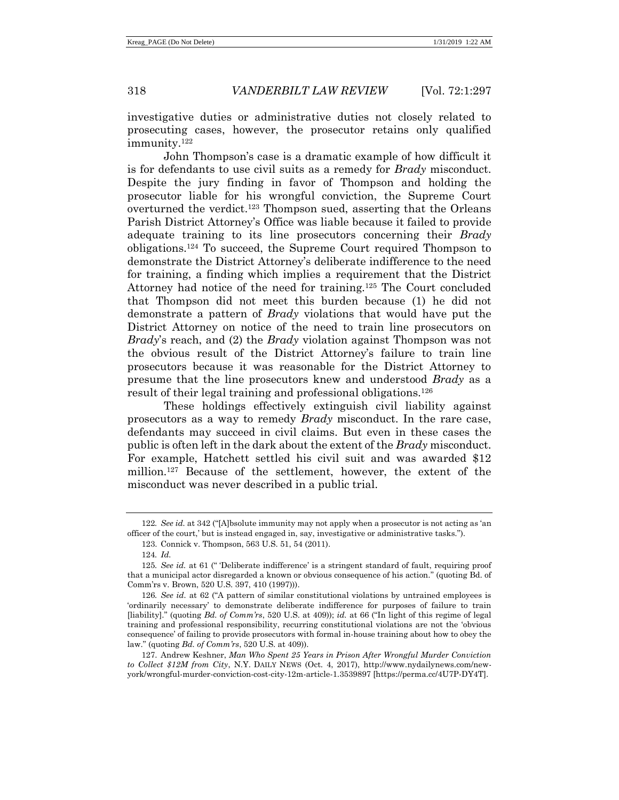investigative duties or administrative duties not closely related to prosecuting cases, however, the prosecutor retains only qualified immunity. 122

John Thompson's case is a dramatic example of how difficult it is for defendants to use civil suits as a remedy for *Brady* misconduct. Despite the jury finding in favor of Thompson and holding the prosecutor liable for his wrongful conviction, the Supreme Court overturned the verdict.<sup>123</sup> Thompson sued, asserting that the Orleans Parish District Attorney's Office was liable because it failed to provide adequate training to its line prosecutors concerning their *Brady* obligations.<sup>124</sup> To succeed, the Supreme Court required Thompson to demonstrate the District Attorney's deliberate indifference to the need for training, a finding which implies a requirement that the District Attorney had notice of the need for training.<sup>125</sup> The Court concluded that Thompson did not meet this burden because (1) he did not demonstrate a pattern of *Brady* violations that would have put the District Attorney on notice of the need to train line prosecutors on *Brady*'s reach, and (2) the *Brady* violation against Thompson was not the obvious result of the District Attorney's failure to train line prosecutors because it was reasonable for the District Attorney to presume that the line prosecutors knew and understood *Brady* as a result of their legal training and professional obligations.<sup>126</sup>

These holdings effectively extinguish civil liability against prosecutors as a way to remedy *Brady* misconduct. In the rare case, defendants may succeed in civil claims. But even in these cases the public is often left in the dark about the extent of the *Brady* misconduct. For example, Hatchett settled his civil suit and was awarded \$12 million.<sup>127</sup> Because of the settlement, however, the extent of the misconduct was never described in a public trial.

<sup>122</sup>*. See id.* at 342 ("[A]bsolute immunity may not apply when a prosecutor is not acting as 'an officer of the court,' but is instead engaged in, say, investigative or administrative tasks.").

<sup>123.</sup> Connick v. Thompson, 563 U.S. 51, 54 (2011).

<sup>124</sup>*. Id.*

<sup>125</sup>*. See id.* at 61 (" 'Deliberate indifference' is a stringent standard of fault, requiring proof that a municipal actor disregarded a known or obvious consequence of his action." (quoting Bd. of Comm'rs v. Brown, 520 U.S. 397, 410 (1997))).

<sup>126</sup>*. See id.* at 62 ("A pattern of similar constitutional violations by untrained employees is 'ordinarily necessary' to demonstrate deliberate indifference for purposes of failure to train [liability]." (quoting *Bd. of Comm'rs*, 520 U.S. at 409)); *id.* at 66 ("In light of this regime of legal training and professional responsibility, recurring constitutional violations are not the 'obvious consequence' of failing to provide prosecutors with formal in-house training about how to obey the law." (quoting *Bd. of Comm'rs*, 520 U.S. at 409)).

<sup>127.</sup> Andrew Keshner, *Man Who Spent 25 Years in Prison After Wrongful Murder Conviction to Collect \$12M from City*, N.Y. DAILY NEWS (Oct. 4, 2017), http://www.nydailynews.com/newyork/wrongful-murder-conviction-cost-city-12m-article-1.3539897 [https://perma.cc/4U7P-DY4T].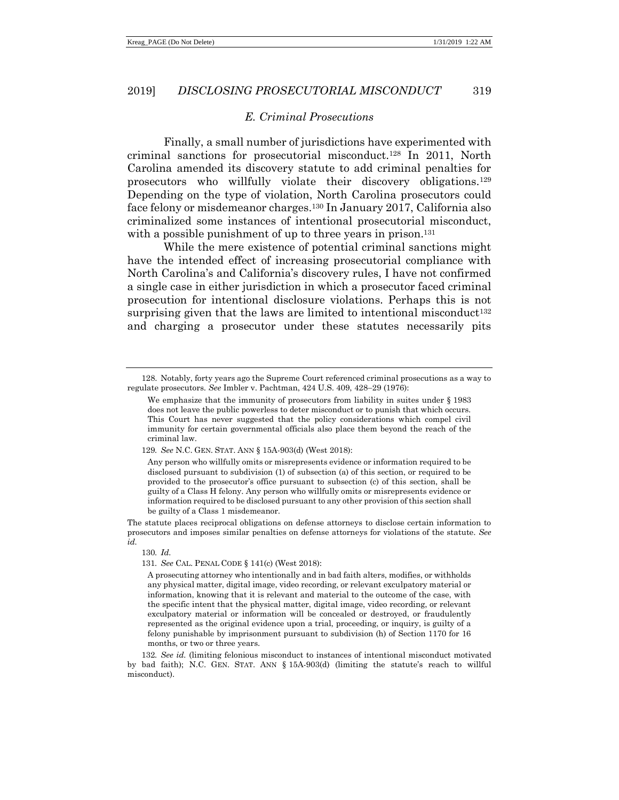# *E. Criminal Prosecutions*

Finally, a small number of jurisdictions have experimented with criminal sanctions for prosecutorial misconduct.<sup>128</sup> In 2011, North Carolina amended its discovery statute to add criminal penalties for prosecutors who willfully violate their discovery obligations.<sup>129</sup> Depending on the type of violation, North Carolina prosecutors could face felony or misdemeanor charges.<sup>130</sup> In January 2017, California also criminalized some instances of intentional prosecutorial misconduct, with a possible punishment of up to three years in prison.<sup>131</sup>

While the mere existence of potential criminal sanctions might have the intended effect of increasing prosecutorial compliance with North Carolina's and California's discovery rules, I have not confirmed a single case in either jurisdiction in which a prosecutor faced criminal prosecution for intentional disclosure violations. Perhaps this is not surprising given that the laws are limited to intentional misconduct<sup>132</sup> and charging a prosecutor under these statutes necessarily pits

129*. See* N.C. GEN. STAT. ANN § 15A-903(d) (West 2018):

The statute places reciprocal obligations on defense attorneys to disclose certain information to prosecutors and imposes similar penalties on defense attorneys for violations of the statute. *See id.*

130*. Id.*

<sup>128.</sup> Notably, forty years ago the Supreme Court referenced criminal prosecutions as a way to regulate prosecutors. *See* Imbler v. Pachtman, 424 U.S. 409, 428−29 (1976):

We emphasize that the immunity of prosecutors from liability in suites under § 1983 does not leave the public powerless to deter misconduct or to punish that which occurs. This Court has never suggested that the policy considerations which compel civil immunity for certain governmental officials also place them beyond the reach of the criminal law.

Any person who willfully omits or misrepresents evidence or information required to be disclosed pursuant to subdivision (1) of subsection (a) of this section, or required to be provided to the prosecutor's office pursuant to subsection (c) of this section, shall be guilty of a Class H felony. Any person who willfully omits or misrepresents evidence or information required to be disclosed pursuant to any other provision of this section shall be guilty of a Class 1 misdemeanor.

<sup>131</sup>*. See* CAL. PENAL CODE § 141(c) (West 2018):

A prosecuting attorney who intentionally and in bad faith alters, modifies, or withholds any physical matter, digital image, video recording, or relevant exculpatory material or information, knowing that it is relevant and material to the outcome of the case, with the specific intent that the physical matter, digital image, video recording, or relevant exculpatory material or information will be concealed or destroyed, or fraudulently represented as the original evidence upon a trial, proceeding, or inquiry, is guilty of a felony punishable by imprisonment pursuant to subdivision (h) of Section 1170 for 16 months, or two or three years.

<sup>132</sup>*. See id.* (limiting felonious misconduct to instances of intentional misconduct motivated by bad faith); N.C. GEN. STAT. ANN § 15A-903(d) (limiting the statute's reach to willful misconduct).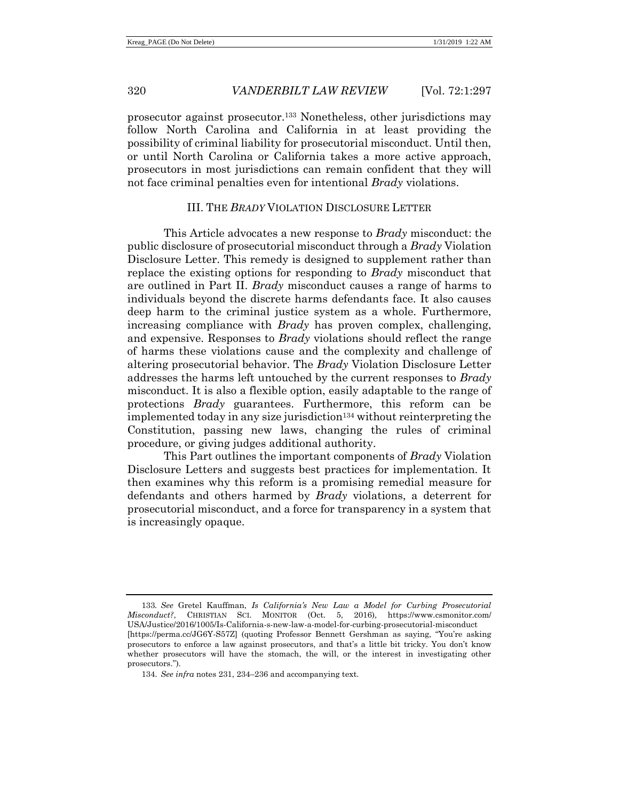prosecutor against prosecutor.<sup>133</sup> Nonetheless, other jurisdictions may follow North Carolina and California in at least providing the possibility of criminal liability for prosecutorial misconduct. Until then, or until North Carolina or California takes a more active approach, prosecutors in most jurisdictions can remain confident that they will not face criminal penalties even for intentional *Brady* violations.

# III. THE *BRADY* VIOLATION DISCLOSURE LETTER

This Article advocates a new response to *Brady* misconduct: the public disclosure of prosecutorial misconduct through a *Brady* Violation Disclosure Letter. This remedy is designed to supplement rather than replace the existing options for responding to *Brady* misconduct that are outlined in Part II. *Brady* misconduct causes a range of harms to individuals beyond the discrete harms defendants face. It also causes deep harm to the criminal justice system as a whole. Furthermore, increasing compliance with *Brady* has proven complex, challenging, and expensive. Responses to *Brady* violations should reflect the range of harms these violations cause and the complexity and challenge of altering prosecutorial behavior. The *Brady* Violation Disclosure Letter addresses the harms left untouched by the current responses to *Brady* misconduct. It is also a flexible option, easily adaptable to the range of protections *Brady* guarantees. Furthermore, this reform can be implemented today in any size jurisdiction<sup>134</sup> without reinterpreting the Constitution, passing new laws, changing the rules of criminal procedure, or giving judges additional authority.

This Part outlines the important components of *Brady* Violation Disclosure Letters and suggests best practices for implementation. It then examines why this reform is a promising remedial measure for defendants and others harmed by *Brady* violations, a deterrent for prosecutorial misconduct, and a force for transparency in a system that is increasingly opaque.

<sup>133</sup>*. See* Gretel Kauffman, *Is California's New Law a Model for Curbing Prosecutorial Misconduct?*, CHRISTIAN SCI. MONITOR (Oct. 5, 2016), https://www.csmonitor.com/ USA/Justice/2016/1005/Is-California-s-new-law-a-model-for-curbing-prosecutorial-misconduct [https://perma.cc/JG6Y-S57Z] (quoting Professor Bennett Gershman as saying, "You're asking prosecutors to enforce a law against prosecutors, and that's a little bit tricky. You don't know whether prosecutors will have the stomach, the will, or the interest in investigating other prosecutors.").

<sup>134.</sup> *See infra* notes [231,](#page-42-0) [234](#page-43-0)–[236](#page-43-1) and accompanying text.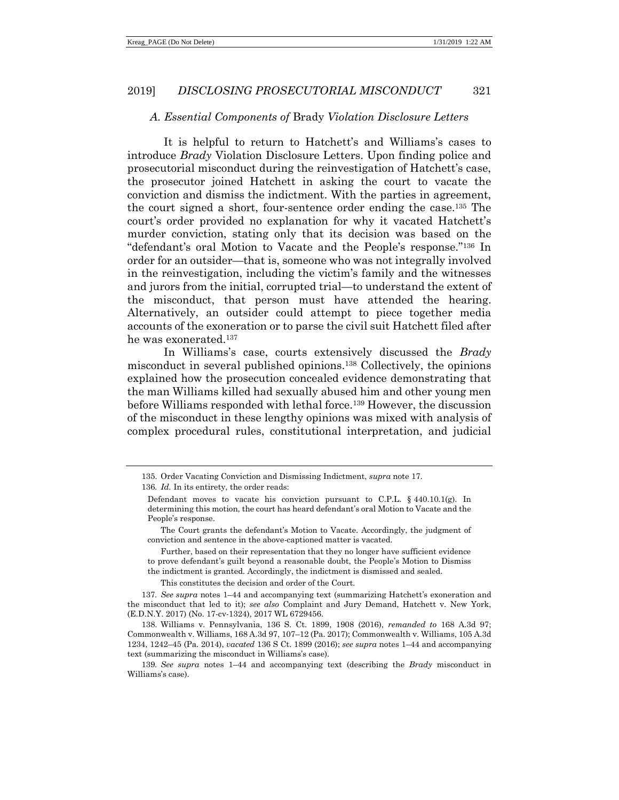#### *A. Essential Components of* Brady *Violation Disclosure Letters*

It is helpful to return to Hatchett's and Williams's cases to introduce *Brady* Violation Disclosure Letters. Upon finding police and prosecutorial misconduct during the reinvestigation of Hatchett's case, the prosecutor joined Hatchett in asking the court to vacate the conviction and dismiss the indictment. With the parties in agreement, the court signed a short, four-sentence order ending the case.<sup>135</sup> The court's order provided no explanation for why it vacated Hatchett's murder conviction, stating only that its decision was based on the "defendant's oral Motion to Vacate and the People's response."<sup>136</sup> In order for an outsider—that is, someone who was not integrally involved in the reinvestigation, including the victim's family and the witnesses and jurors from the initial, corrupted trial—to understand the extent of the misconduct, that person must have attended the hearing. Alternatively, an outsider could attempt to piece together media accounts of the exoneration or to parse the civil suit Hatchett filed after he was exonerated.<sup>137</sup>

In Williams's case, courts extensively discussed the *Brady* misconduct in several published opinions.<sup>138</sup> Collectively, the opinions explained how the prosecution concealed evidence demonstrating that the man Williams killed had sexually abused him and other young men before Williams responded with lethal force.<sup>139</sup> However, the discussion of the misconduct in these lengthy opinions was mixed with analysis of complex procedural rules, constitutional interpretation, and judicial

136*. Id.* In its entirety, the order reads:

This constitutes the decision and order of the Court.

137*. See supra* notes [1](#page-1-0)–[44](#page-7-1) and accompanying text (summarizing Hatchett's exoneration and the misconduct that led to it); *see also* Complaint and Jury Demand, Hatchett v. New York, (E.D.N.Y. 2017) (No. 17-cv-1324), 2017 WL 6729456.

<sup>135.</sup> Order Vacating Conviction and Dismissing Indictment, *supra* note [17.](#page-4-0)

Defendant moves to vacate his conviction pursuant to C.P.L.  $\S$  440.10.1(g). In determining this motion, the court has heard defendant's oral Motion to Vacate and the People's response.

The Court grants the defendant's Motion to Vacate. Accordingly, the judgment of conviction and sentence in the above-captioned matter is vacated.

Further, based on their representation that they no longer have sufficient evidence to prove defendant's guilt beyond a reasonable doubt, the People's Motion to Dismiss the indictment is granted. Accordingly, the indictment is dismissed and sealed.

<sup>138.</sup> Williams v. Pennsylvania, 136 S. Ct. 1899, 1908 (2016), *remanded to* 168 A.3d 97; Commonwealth v. Williams, 168 A.3d 97, 107–12 (Pa. 2017); Commonwealth v. Williams, 105 A.3d 1234, 1242–45 (Pa. 2014), *vacated* 136 S Ct. 1899 (2016); *see supra* notes [1](#page-1-0)–[44](#page-7-1) and accompanying text (summarizing the misconduct in Williams's case).

<sup>139</sup>*. See supra* notes [1](#page-1-0)–[44](#page-7-1) and accompanying text (describing the *Brady* misconduct in Williams's case).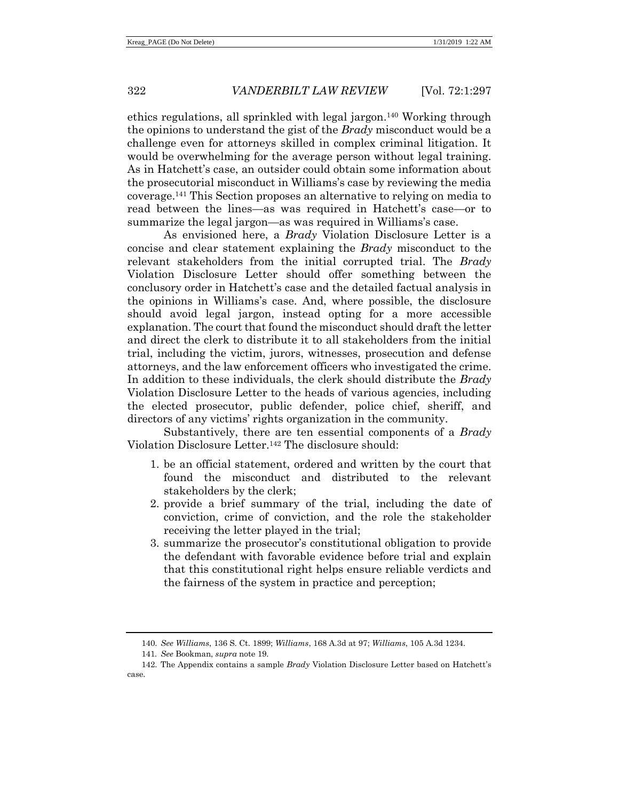ethics regulations, all sprinkled with legal jargon.<sup>140</sup> Working through the opinions to understand the gist of the *Brady* misconduct would be a challenge even for attorneys skilled in complex criminal litigation. It would be overwhelming for the average person without legal training. As in Hatchett's case, an outsider could obtain some information about the prosecutorial misconduct in Williams's case by reviewing the media coverage.<sup>141</sup> This Section proposes an alternative to relying on media to read between the lines—as was required in Hatchett's case—or to summarize the legal jargon—as was required in Williams's case.

As envisioned here, a *Brady* Violation Disclosure Letter is a concise and clear statement explaining the *Brady* misconduct to the relevant stakeholders from the initial corrupted trial. The *Brady* Violation Disclosure Letter should offer something between the conclusory order in Hatchett's case and the detailed factual analysis in the opinions in Williams's case. And, where possible, the disclosure should avoid legal jargon, instead opting for a more accessible explanation. The court that found the misconduct should draft the letter and direct the clerk to distribute it to all stakeholders from the initial trial, including the victim, jurors, witnesses, prosecution and defense attorneys, and the law enforcement officers who investigated the crime. In addition to these individuals, the clerk should distribute the *Brady* Violation Disclosure Letter to the heads of various agencies, including the elected prosecutor, public defender, police chief, sheriff, and directors of any victims' rights organization in the community.

Substantively, there are ten essential components of a *Brady* Violation Disclosure Letter.<sup>142</sup> The disclosure should:

- 1. be an official statement, ordered and written by the court that found the misconduct and distributed to the relevant stakeholders by the clerk;
- 2. provide a brief summary of the trial, including the date of conviction, crime of conviction, and the role the stakeholder receiving the letter played in the trial;
- 3. summarize the prosecutor's constitutional obligation to provide the defendant with favorable evidence before trial and explain that this constitutional right helps ensure reliable verdicts and the fairness of the system in practice and perception;

<sup>140.</sup> *See Williams*, 136 S. Ct. 1899; *Williams*, 168 A.3d at 97; *Williams*, 105 A.3d 1234.

<sup>141</sup>*. See* Bookman, *supra* not[e 19.](#page-4-1) 

<sup>142.</sup> The Appendix contains a sample *Brady* Violation Disclosure Letter based on Hatchett's case.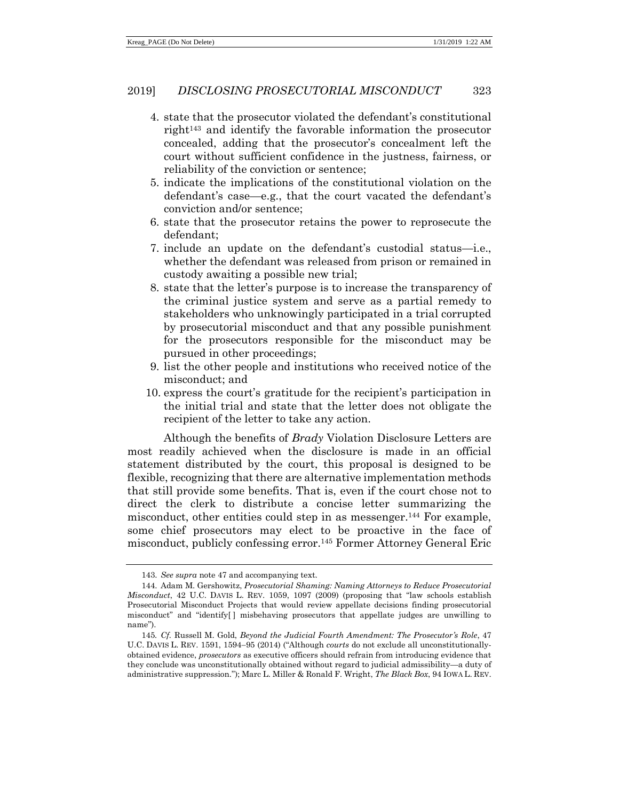- 4. state that the prosecutor violated the defendant's constitutional right<sup>143</sup> and identify the favorable information the prosecutor concealed, adding that the prosecutor's concealment left the court without sufficient confidence in the justness, fairness, or reliability of the conviction or sentence;
- 5. indicate the implications of the constitutional violation on the defendant's case—e.g., that the court vacated the defendant's conviction and/or sentence;
- 6. state that the prosecutor retains the power to reprosecute the defendant;
- 7. include an update on the defendant's custodial status—i.e., whether the defendant was released from prison or remained in custody awaiting a possible new trial;
- 8. state that the letter's purpose is to increase the transparency of the criminal justice system and serve as a partial remedy to stakeholders who unknowingly participated in a trial corrupted by prosecutorial misconduct and that any possible punishment for the prosecutors responsible for the misconduct may be pursued in other proceedings;
- 9. list the other people and institutions who received notice of the misconduct; and
- 10. express the court's gratitude for the recipient's participation in the initial trial and state that the letter does not obligate the recipient of the letter to take any action.

Although the benefits of *Brady* Violation Disclosure Letters are most readily achieved when the disclosure is made in an official statement distributed by the court, this proposal is designed to be flexible, recognizing that there are alternative implementation methods that still provide some benefits. That is, even if the court chose not to direct the clerk to distribute a concise letter summarizing the misconduct, other entities could step in as messenger.<sup>144</sup> For example, some chief prosecutors may elect to be proactive in the face of misconduct, publicly confessing error.<sup>145</sup> Former Attorney General Eric

<span id="page-26-0"></span><sup>143.</sup> *See supra* not[e 47](#page-8-0) and accompanying text.

<sup>144.</sup> Adam M. Gershowitz, *Prosecutorial Shaming: Naming Attorneys to Reduce Prosecutorial Misconduct*, 42 U.C. DAVIS L. REV. 1059, 1097 (2009) (proposing that "law schools establish Prosecutorial Misconduct Projects that would review appellate decisions finding prosecutorial misconduct" and "identify[ ] misbehaving prosecutors that appellate judges are unwilling to name").

<sup>145</sup>*. Cf.* Russell M. Gold, *Beyond the Judicial Fourth Amendment: The Prosecutor's Role*, 47 U.C. DAVIS L. REV. 1591, 1594−95 (2014) ("Although *courts* do not exclude all unconstitutionallyobtained evidence, *prosecutors* as executive officers should refrain from introducing evidence that they conclude was unconstitutionally obtained without regard to judicial admissibility—a duty of administrative suppression."); Marc L. Miller & Ronald F. Wright, *The Black Box*, 94 IOWA L. REV.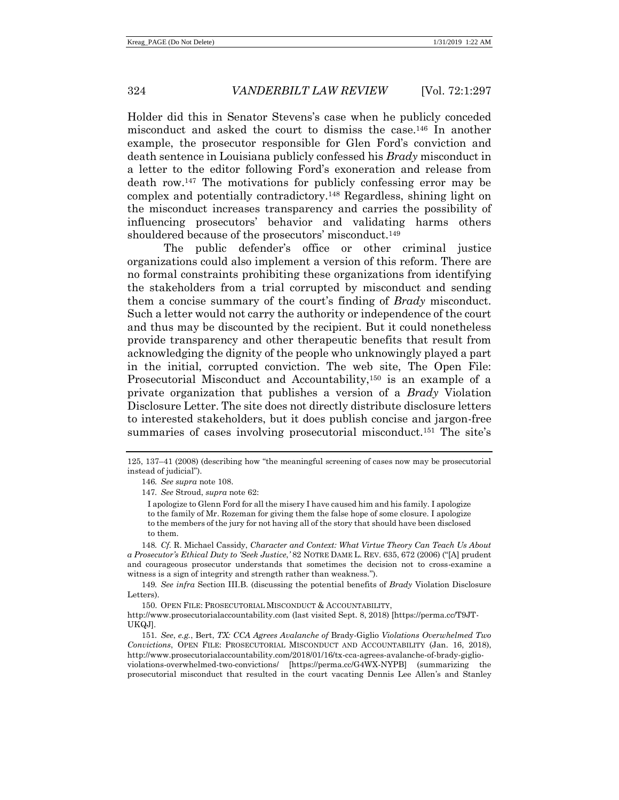Holder did this in Senator Stevens's case when he publicly conceded misconduct and asked the court to dismiss the case.<sup>146</sup> In another example, the prosecutor responsible for Glen Ford's conviction and death sentence in Louisiana publicly confessed his *Brady* misconduct in a letter to the editor following Ford's exoneration and release from death row.<sup>147</sup> The motivations for publicly confessing error may be complex and potentially contradictory.<sup>148</sup> Regardless, shining light on the misconduct increases transparency and carries the possibility of influencing prosecutors' behavior and validating harms others shouldered because of the prosecutors' misconduct.<sup>149</sup>

The public defender's office or other criminal justice organizations could also implement a version of this reform. There are no formal constraints prohibiting these organizations from identifying the stakeholders from a trial corrupted by misconduct and sending them a concise summary of the court's finding of *Brady* misconduct. Such a letter would not carry the authority or independence of the court and thus may be discounted by the recipient. But it could nonetheless provide transparency and other therapeutic benefits that result from acknowledging the dignity of the people who unknowingly played a part in the initial, corrupted conviction. The web site, The Open File: Prosecutorial Misconduct and Accountability,<sup>150</sup> is an example of a private organization that publishes a version of a *Brady* Violation Disclosure Letter. The site does not directly distribute disclosure letters to interested stakeholders, but it does publish concise and jargon-free summaries of cases involving prosecutorial misconduct.<sup>151</sup> The site's

<sup>125, 137</sup>–41 (2008) (describing how "the meaningful screening of cases now may be prosecutorial instead of judicial").

<sup>146</sup>*. See supra* not[e 108.](#page-18-2) 

<sup>147</sup>*. See* Stroud, *supra* note [62:](#page-11-0)

I apologize to Glenn Ford for all the misery I have caused him and his family. I apologize to the family of Mr. Rozeman for giving them the false hope of some closure. I apologize to the members of the jury for not having all of the story that should have been disclosed to them.

<sup>148</sup>*. Cf.* R. Michael Cassidy, *Character and Context: What Virtue Theory Can Teach Us About a Prosecutor's Ethical Duty to 'Seek Justice*,*'* 82 NOTRE DAME L. REV. 635, 672 (2006) ("[A] prudent and courageous prosecutor understands that sometimes the decision not to cross-examine a witness is a sign of integrity and strength rather than weakness.").

<sup>149</sup>*. See infra* Section III.B. (discussing the potential benefits of *Brady* Violation Disclosure Letters).

<sup>150.</sup> OPEN FILE: PROSECUTORIAL MISCONDUCT & ACCOUNTABILITY, http://www.prosecutorialaccountability.com (last visited Sept. 8, 2018) [https://perma.cc/T9JT-UKQJ].

<sup>151</sup>*. See*, *e.g.*, Bert, *TX: CCA Agrees Avalanche of* Brady-Giglio *Violations Overwhelmed Two Convictions*, OPEN FILE: PROSECUTORIAL MISCONDUCT AND ACCOUNTABILITY (Jan. 16, 2018), http://www.prosecutorialaccountability.com/2018/01/16/tx-cca-agrees-avalanche-of-brady-giglioviolations-overwhelmed-two-convictions/ [https://perma.cc/G4WX-NYPB] (summarizing the prosecutorial misconduct that resulted in the court vacating Dennis Lee Allen's and Stanley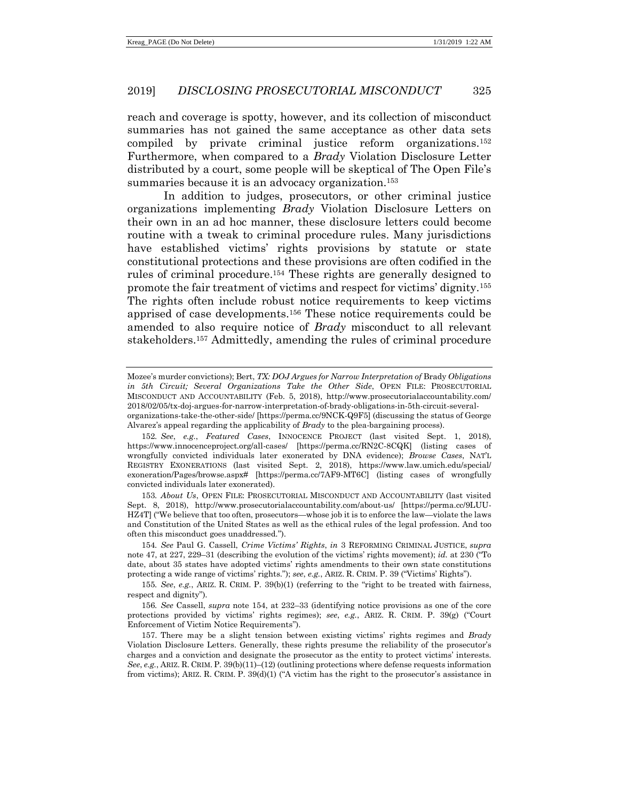reach and coverage is spotty, however, and its collection of misconduct summaries has not gained the same acceptance as other data sets compiled by private criminal justice reform organizations.<sup>152</sup> Furthermore, when compared to a *Brady* Violation Disclosure Letter distributed by a court, some people will be skeptical of The Open File's summaries because it is an advocacy organization.<sup>153</sup>

<span id="page-28-0"></span>In addition to judges, prosecutors, or other criminal justice organizations implementing *Brady* Violation Disclosure Letters on their own in an ad hoc manner, these disclosure letters could become routine with a tweak to criminal procedure rules. Many jurisdictions have established victims' rights provisions by statute or state constitutional protections and these provisions are often codified in the rules of criminal procedure.<sup>154</sup> These rights are generally designed to promote the fair treatment of victims and respect for victims' dignity.<sup>155</sup> The rights often include robust notice requirements to keep victims apprised of case developments.<sup>156</sup> These notice requirements could be amended to also require notice of *Brady* misconduct to all relevant stakeholders. <sup>157</sup> Admittedly, amending the rules of criminal procedure

Mozee's murder convictions); Bert, *TX: DOJ Argues for Narrow Interpretation of* Brady *Obligations in 5th Circuit; Several Organizations Take the Other Side*, OPEN FILE: PROSECUTORIAL MISCONDUCT AND ACCOUNTABILITY (Feb. 5, 2018), http://www.prosecutorialaccountability.com/ 2018/02/05/tx-doj-argues-for-narrow-interpretation-of-brady-obligations-in-5th-circuit-severalorganizations-take-the-other-side/ [https://perma.cc/9NCK-Q9F5] (discussing the status of George Alvarez's appeal regarding the applicability of *Brady* to the plea-bargaining process).

<sup>152</sup>*. See*, *e.g.*, *Featured Cases*, INNOCENCE PROJECT (last visited Sept. 1, 2018), https://www.innocenceproject.org/all-cases/ [https://perma.cc/RN2C-8CQK] (listing cases of wrongfully convicted individuals later exonerated by DNA evidence); *Browse Cases*, NAT'L REGISTRY EXONERATIONS (last visited Sept. 2, 2018), https://www.law.umich.edu/special/ exoneration/Pages/browse.aspx# [https://perma.cc/7AF9-MT6C] (listing cases of wrongfully convicted individuals later exonerated).

<sup>153</sup>*. About Us*, OPEN FILE: PROSECUTORIAL MISCONDUCT AND ACCOUNTABILITY (last visited Sept. 8, 2018), http://www.prosecutorialaccountability.com/about-us/ [https://perma.cc/9LUU-HZ4T] ("We believe that too often, prosecutors—whose job it is to enforce the law—violate the laws and Constitution of the United States as well as the ethical rules of the legal profession. And too often this misconduct goes unaddressed.").

<sup>154</sup>*. See* Paul G. Cassell, *Crime Victims' Rights*, *in* 3 REFORMING CRIMINAL JUSTICE, *supra* not[e 47,](#page-8-0) at 227, 229–31 (describing the evolution of the victims' rights movement); *id.* at 230 ("To date, about 35 states have adopted victims' rights amendments to their own state constitutions protecting a wide range of victims' rights."); *see*, *e.g.*, ARIZ. R. CRIM. P. 39 ("Victims' Rights").

<sup>155</sup>*. See*, *e.g.*, ARIZ. R. CRIM. P. 39(b)(1) (referring to the "right to be treated with fairness, respect and dignity").

<sup>156</sup>*. See* Cassell, *supra* note [154,](#page-28-0) at 232–33 (identifying notice provisions as one of the core protections provided by victims' rights regimes); *see*, *e.g.*, ARIZ. R. CRIM. P. 39(g) ("Court Enforcement of Victim Notice Requirements").

<sup>157.</sup> There may be a slight tension between existing victims' rights regimes and *Brady* Violation Disclosure Letters. Generally, these rights presume the reliability of the prosecutor's charges and a conviction and designate the prosecutor as the entity to protect victims' interests. *See*, *e.g.*, ARIZ. R. CRIM. P. 39(b)(11)–(12) (outlining protections where defense requests information from victims); ARIZ. R. CRIM. P. 39(d)(1) ("A victim has the right to the prosecutor's assistance in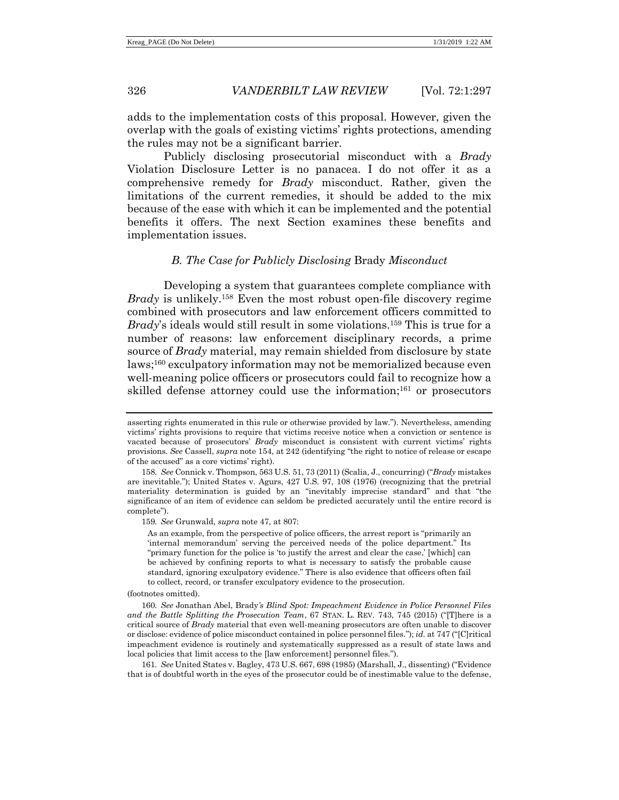adds to the implementation costs of this proposal. However, given the overlap with the goals of existing victims' rights protections, amending the rules may not be a significant barrier.

Publicly disclosing prosecutorial misconduct with a *Brady* Violation Disclosure Letter is no panacea. I do not offer it as a comprehensive remedy for *Brady* misconduct. Rather, given the limitations of the current remedies, it should be added to the mix because of the ease with which it can be implemented and the potential benefits it offers. The next Section examines these benefits and implementation issues.

#### *B. The Case for Publicly Disclosing* Brady *Misconduct*

Developing a system that guarantees complete compliance with *Brady* is unlikely. <sup>158</sup> Even the most robust open-file discovery regime combined with prosecutors and law enforcement officers committed to *Brady*'s ideals would still result in some violations.<sup>159</sup> This is true for a number of reasons: law enforcement disciplinary records, a prime source of *Brady* material, may remain shielded from disclosure by state laws;<sup>160</sup> exculpatory information may not be memorialized because even well-meaning police officers or prosecutors could fail to recognize how a skilled defense attorney could use the information;<sup>161</sup> or prosecutors

(footnotes omitted).

<span id="page-29-0"></span>asserting rights enumerated in this rule or otherwise provided by law."). Nevertheless, amending victims' rights provisions to require that victims receive notice when a conviction or sentence is vacated because of prosecutors' *Brady* misconduct is consistent with current victims' rights provisions. *See* Cassell, *supra* not[e 154,](#page-28-0) at 242 (identifying "the right to notice of release or escape of the accused" as a core victims' right).

<sup>158</sup>*. See* Connick v. Thompson, 563 U.S. 51, 73 (2011) (Scalia, J., concurring) ("*Brady* mistakes are inevitable."); United States v. Agurs, 427 U.S. 97, 108 (1976) (recognizing that the pretrial materiality determination is guided by an "inevitably imprecise standard" and that "the significance of an item of evidence can seldom be predicted accurately until the entire record is complete").

<sup>159</sup>*. See* Grunwald, *supra* note [47,](#page-8-0) at 807:

As an example, from the perspective of police officers, the arrest report is "primarily an 'internal memorandum' serving the perceived needs of the police department." Its "primary function for the police is 'to justify the arrest and clear the case,' [which] can be achieved by confining reports to what is necessary to satisfy the probable cause standard, ignoring exculpatory evidence." There is also evidence that officers often fail to collect, record, or transfer exculpatory evidence to the prosecution.

<sup>160</sup>*. See* Jonathan Abel, Brady*'s Blind Spot: Impeachment Evidence in Police Personnel Files and the Battle Splitting the Prosecution Team*, 67 STAN. L. REV. 743, 745 (2015) ("[T]here is a critical source of *Brady* material that even well-meaning prosecutors are often unable to discover or disclose: evidence of police misconduct contained in police personnel files."); *id.* at 747 ("[C]ritical impeachment evidence is routinely and systematically suppressed as a result of state laws and local policies that limit access to the [law enforcement] personnel files.").

<sup>161</sup>*. See* United States v. Bagley, 473 U.S. 667, 698 (1985) (Marshall, J., dissenting) ("Evidence that is of doubtful worth in the eyes of the prosecutor could be of inestimable value to the defense,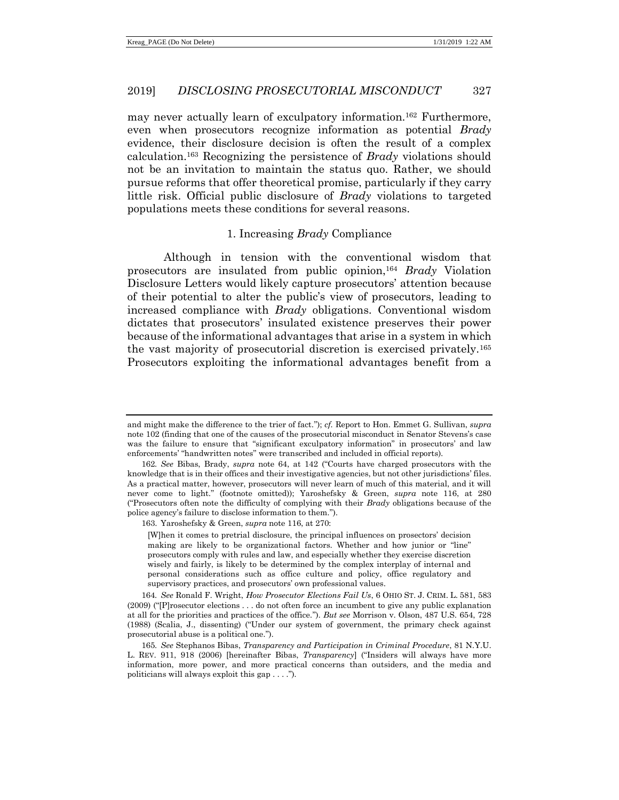may never actually learn of exculpatory information.<sup>162</sup> Furthermore, even when prosecutors recognize information as potential *Brady* evidence, their disclosure decision is often the result of a complex calculation.<sup>163</sup> Recognizing the persistence of *Brady* violations should not be an invitation to maintain the status quo. Rather, we should pursue reforms that offer theoretical promise, particularly if they carry little risk. Official public disclosure of *Brady* violations to targeted populations meets these conditions for several reasons.

# <span id="page-30-1"></span><span id="page-30-0"></span>1. Increasing *Brady* Compliance

Although in tension with the conventional wisdom that prosecutors are insulated from public opinion,<sup>164</sup> *Brady* Violation Disclosure Letters would likely capture prosecutors' attention because of their potential to alter the public's view of prosecutors, leading to increased compliance with *Brady* obligations. Conventional wisdom dictates that prosecutors' insulated existence preserves their power because of the informational advantages that arise in a system in which the vast majority of prosecutorial discretion is exercised privately.<sup>165</sup> Prosecutors exploiting the informational advantages benefit from a

and might make the difference to the trier of fact."); *cf.* Report to Hon. Emmet G. Sullivan, *supra* not[e 102](#page-18-1) (finding that one of the causes of the prosecutorial misconduct in Senator Stevens's case was the failure to ensure that "significant exculpatory information" in prosecutors' and law enforcements' "handwritten notes" were transcribed and included in official reports).

<sup>162</sup>*. See* Bibas, Brady, *supra* note [64,](#page-11-1) at 142 ("Courts have charged prosecutors with the knowledge that is in their offices and their investigative agencies, but not other jurisdictions' files. As a practical matter, however, prosecutors will never learn of much of this material, and it will never come to light." (footnote omitted)); Yaroshefsky & Green, *supra* note [116,](#page-19-0) at 280 ("Prosecutors often note the difficulty of complying with their *Brady* obligations because of the police agency's failure to disclose information to them.").

<sup>163.</sup> Yaroshefsky & Green, *supra* not[e 116,](#page-19-0) at 270:

<sup>[</sup>W]hen it comes to pretrial disclosure, the principal influences on prosectors' decision making are likely to be organizational factors. Whether and how junior or "line" prosecutors comply with rules and law, and especially whether they exercise discretion wisely and fairly, is likely to be determined by the complex interplay of internal and personal considerations such as office culture and policy, office regulatory and supervisory practices, and prosecutors' own professional values.

<sup>164</sup>*. See* Ronald F. Wright, *How Prosecutor Elections Fail Us*, 6 OHIO ST. J. CRIM. L. 581, 583 (2009) ("[P]rosecutor elections . . . do not often force an incumbent to give any public explanation at all for the priorities and practices of the office."). *But see* Morrison v. Olson, 487 U.S. 654, 728 (1988) (Scalia, J., dissenting) ("Under our system of government, the primary check against prosecutorial abuse is a political one.").

<sup>165</sup>*. See* Stephanos Bibas, *Transparency and Participation in Criminal Procedure*, 81 N.Y.U. L. REV. 911, 918 (2006) [hereinafter Bibas, *Transparency*] ("Insiders will always have more information, more power, and more practical concerns than outsiders, and the media and politicians will always exploit this gap . . . .").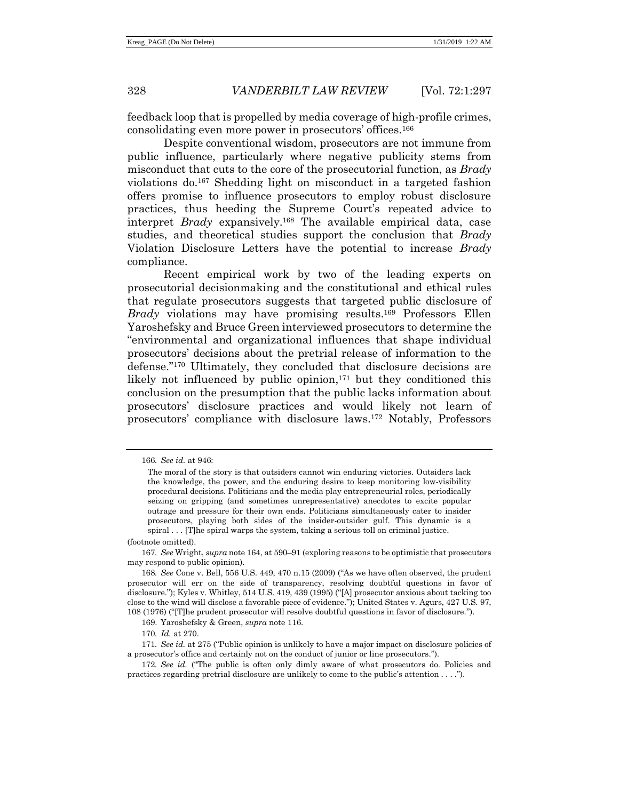feedback loop that is propelled by media coverage of high-profile crimes, consolidating even more power in prosecutors' offices.<sup>166</sup>

Despite conventional wisdom, prosecutors are not immune from public influence, particularly where negative publicity stems from misconduct that cuts to the core of the prosecutorial function, as *Brady* violations do.<sup>167</sup> Shedding light on misconduct in a targeted fashion offers promise to influence prosecutors to employ robust disclosure practices, thus heeding the Supreme Court's repeated advice to interpret *Brady* expansively.<sup>168</sup> The available empirical data, case studies, and theoretical studies support the conclusion that *Brady* Violation Disclosure Letters have the potential to increase *Brady* compliance.

Recent empirical work by two of the leading experts on prosecutorial decisionmaking and the constitutional and ethical rules that regulate prosecutors suggests that targeted public disclosure of *Brady* violations may have promising results. <sup>169</sup> Professors Ellen Yaroshefsky and Bruce Green interviewed prosecutors to determine the "environmental and organizational influences that shape individual prosecutors' decisions about the pretrial release of information to the defense."<sup>170</sup> Ultimately, they concluded that disclosure decisions are likely not influenced by public opinion, <sup>171</sup> but they conditioned this conclusion on the presumption that the public lacks information about prosecutors' disclosure practices and would likely not learn of prosecutors' compliance with disclosure laws.<sup>172</sup> Notably, Professors

170*. Id.* at 270.

<sup>166</sup>*. See id.* at 946:

The moral of the story is that outsiders cannot win enduring victories. Outsiders lack the knowledge, the power, and the enduring desire to keep monitoring low-visibility procedural decisions. Politicians and the media play entrepreneurial roles, periodically seizing on gripping (and sometimes unrepresentative) anecdotes to excite popular outrage and pressure for their own ends. Politicians simultaneously cater to insider prosecutors, playing both sides of the insider-outsider gulf. This dynamic is a spiral . . . [T]he spiral warps the system, taking a serious toll on criminal justice.

<sup>(</sup>footnote omitted).

<sup>167</sup>*. See* Wright, *supra* not[e 164,](#page-30-0) at 590–91 (exploring reasons to be optimistic that prosecutors may respond to public opinion).

<sup>168</sup>*. See* Cone v. Bell, 556 U.S. 449, 470 n.15 (2009) ("As we have often observed, the prudent prosecutor will err on the side of transparency, resolving doubtful questions in favor of disclosure."); Kyles v. Whitley, 514 U.S. 419, 439 (1995) ("[A] prosecutor anxious about tacking too close to the wind will disclose a favorable piece of evidence."); United States v. Agurs, 427 U.S. 97, 108 (1976) ("[T]he prudent prosecutor will resolve doubtful questions in favor of disclosure.").

<sup>169.</sup> Yaroshefsky & Green, *supra* not[e 116.](#page-19-0)

<sup>171</sup>*. See id.* at 275 ("Public opinion is unlikely to have a major impact on disclosure policies of a prosecutor's office and certainly not on the conduct of junior or line prosecutors.").

<sup>172</sup>*. See id.* ("The public is often only dimly aware of what prosecutors do. Policies and practices regarding pretrial disclosure are unlikely to come to the public's attention . . . .").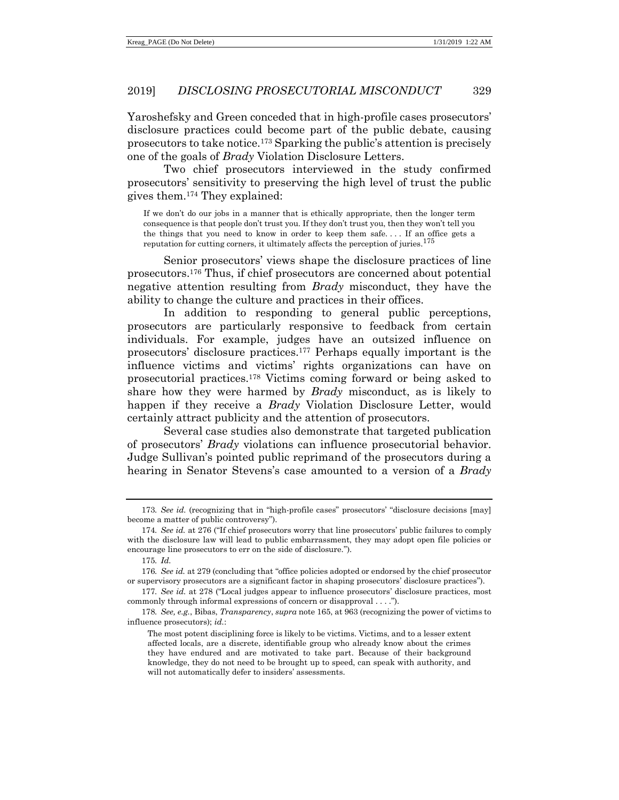Yaroshefsky and Green conceded that in high-profile cases prosecutors' disclosure practices could become part of the public debate, causing prosecutors to take notice.<sup>173</sup> Sparking the public's attention is precisely one of the goals of *Brady* Violation Disclosure Letters.

Two chief prosecutors interviewed in the study confirmed prosecutors' sensitivity to preserving the high level of trust the public gives them. <sup>174</sup> They explained:

If we don't do our jobs in a manner that is ethically appropriate, then the longer term consequence is that people don't trust you. If they don't trust you, then they won't tell you the things that you need to know in order to keep them safe. . . . If an office gets a reputation for cutting corners, it ultimately affects the perception of juries.<sup>175</sup>

Senior prosecutors' views shape the disclosure practices of line prosecutors.<sup>176</sup> Thus, if chief prosecutors are concerned about potential negative attention resulting from *Brady* misconduct, they have the ability to change the culture and practices in their offices.

In addition to responding to general public perceptions, prosecutors are particularly responsive to feedback from certain individuals. For example, judges have an outsized influence on prosecutors' disclosure practices.<sup>177</sup> Perhaps equally important is the influence victims and victims' rights organizations can have on prosecutorial practices.<sup>178</sup> Victims coming forward or being asked to share how they were harmed by *Brady* misconduct, as is likely to happen if they receive a *Brady* Violation Disclosure Letter, would certainly attract publicity and the attention of prosecutors.

Several case studies also demonstrate that targeted publication of prosecutors' *Brady* violations can influence prosecutorial behavior. Judge Sullivan's pointed public reprimand of the prosecutors during a hearing in Senator Stevens's case amounted to a version of a *Brady*

<sup>173</sup>*. See id.* (recognizing that in "high-profile cases" prosecutors' "disclosure decisions [may] become a matter of public controversy").

<sup>174</sup>*. See id.* at 276 ("If chief prosecutors worry that line prosecutors' public failures to comply with the disclosure law will lead to public embarrassment, they may adopt open file policies or encourage line prosecutors to err on the side of disclosure.").

<sup>175</sup>*. Id.*

<sup>176</sup>*. See id.* at 279 (concluding that "office policies adopted or endorsed by the chief prosecutor or supervisory prosecutors are a significant factor in shaping prosecutors' disclosure practices").

<sup>177</sup>*. See id.* at 278 ("Local judges appear to influence prosecutors' disclosure practices, most commonly through informal expressions of concern or disapproval . . . .").

<sup>178</sup>*. See, e.g.*, Bibas, *Transparency*, *supra* not[e 165,](#page-30-1) at 963 (recognizing the power of victims to influence prosecutors); *id.*:

The most potent disciplining force is likely to be victims. Victims, and to a lesser extent affected locals, are a discrete, identifiable group who already know about the crimes they have endured and are motivated to take part. Because of their background knowledge, they do not need to be brought up to speed, can speak with authority, and will not automatically defer to insiders' assessments.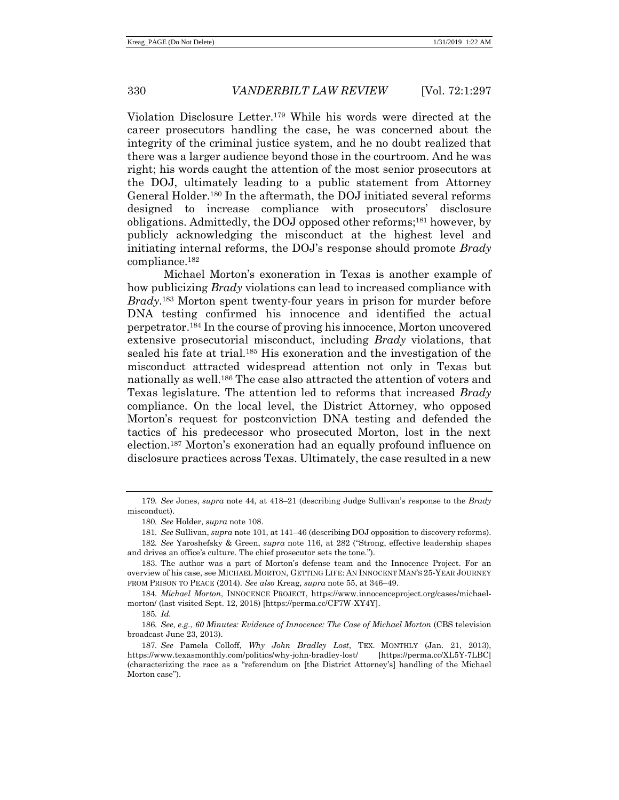Violation Disclosure Letter.<sup>179</sup> While his words were directed at the career prosecutors handling the case, he was concerned about the integrity of the criminal justice system, and he no doubt realized that there was a larger audience beyond those in the courtroom. And he was right; his words caught the attention of the most senior prosecutors at the DOJ, ultimately leading to a public statement from Attorney General Holder.<sup>180</sup> In the aftermath, the DOJ initiated several reforms designed to increase compliance with prosecutors' disclosure obligations. Admittedly, the DOJ opposed other reforms;<sup>181</sup> however, by publicly acknowledging the misconduct at the highest level and initiating internal reforms, the DOJ's response should promote *Brady* compliance.<sup>182</sup>

<span id="page-33-0"></span>Michael Morton's exoneration in Texas is another example of how publicizing *Brady* violations can lead to increased compliance with *Brady*. <sup>183</sup> Morton spent twenty-four years in prison for murder before DNA testing confirmed his innocence and identified the actual perpetrator.<sup>184</sup> In the course of proving his innocence, Morton uncovered extensive prosecutorial misconduct, including *Brady* violations, that sealed his fate at trial.<sup>185</sup> His exoneration and the investigation of the misconduct attracted widespread attention not only in Texas but nationally as well. <sup>186</sup> The case also attracted the attention of voters and Texas legislature. The attention led to reforms that increased *Brady* compliance. On the local level, the District Attorney, who opposed Morton's request for postconviction DNA testing and defended the tactics of his predecessor who prosecuted Morton, lost in the next election.<sup>187</sup> Morton's exoneration had an equally profound influence on disclosure practices across Texas. Ultimately, the case resulted in a new

<sup>179</sup>*. See* Jones, *supra* not[e 44,](#page-7-1) at 418–21 (describing Judge Sullivan's response to the *Brady* misconduct).

<sup>180</sup>*. See* Holder, *supra* note [108.](#page-18-2) 

<sup>181</sup>*. See* Sullivan, *supra* note [101,](#page-18-0) at 141–46 (describing DOJ opposition to discovery reforms).

<sup>182</sup>*. See* Yaroshefsky & Green, *supra* note [116,](#page-19-0) at 282 ("Strong, effective leadership shapes and drives an office's culture. The chief prosecutor sets the tone.").

<sup>183.</sup> The author was a part of Morton's defense team and the Innocence Project. For an overview of his case, see MICHAEL MORTON, GETTING LIFE: AN INNOCENT MAN'S 25-YEAR JOURNEY FROM PRISON TO PEACE (2014). *See also* Kreag, *supra* not[e 55,](#page-10-0) at 346–49.

<sup>184</sup>*. Michael Morton*, INNOCENCE PROJECT, https://www.innocenceproject.org/cases/michaelmorton/ (last visited Sept. 12, 2018) [https://perma.cc/CF7W-XY4Y].

<sup>185</sup>*. Id.*

<sup>186</sup>*. See, e.g.*, *60 Minutes: Evidence of Innocence: The Case of Michael Morton* (CBS television broadcast June 23, 2013).

<sup>187</sup>*. See* Pamela Colloff, *Why John Bradley Lost*, TEX. MONTHLY (Jan. 21, 2013), https://www.texasmonthly.com/politics/why-john-bradley-lost/ [https://perma.cc/XL5Y-7LBC] (characterizing the race as a "referendum on [the District Attorney's] handling of the Michael Morton case").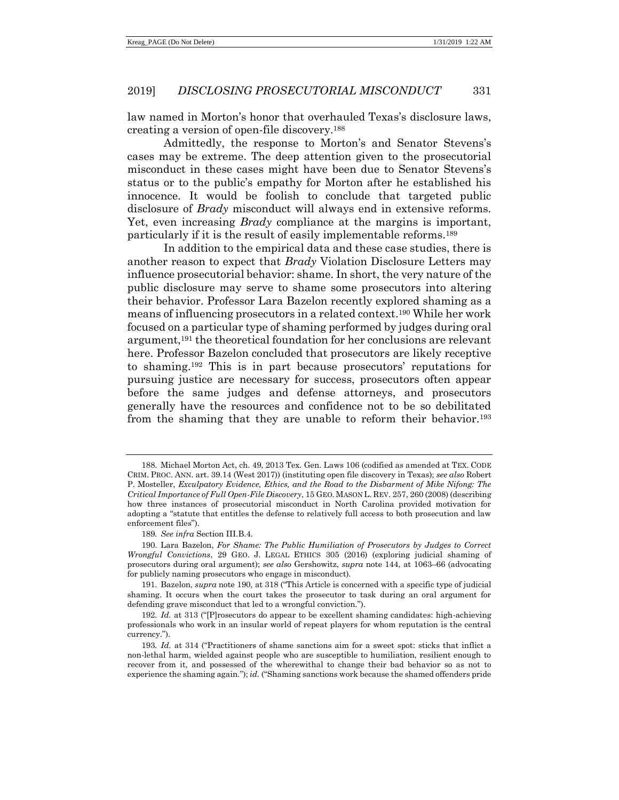<span id="page-34-1"></span>law named in Morton's honor that overhauled Texas's disclosure laws, creating a version of open-file discovery.<sup>188</sup>

Admittedly, the response to Morton's and Senator Stevens's cases may be extreme. The deep attention given to the prosecutorial misconduct in these cases might have been due to Senator Stevens's status or to the public's empathy for Morton after he established his innocence. It would be foolish to conclude that targeted public disclosure of *Brady* misconduct will always end in extensive reforms. Yet, even increasing *Brady* compliance at the margins is important, particularly if it is the result of easily implementable reforms.<sup>189</sup>

<span id="page-34-0"></span>In addition to the empirical data and these case studies, there is another reason to expect that *Brady* Violation Disclosure Letters may influence prosecutorial behavior: shame. In short, the very nature of the public disclosure may serve to shame some prosecutors into altering their behavior. Professor Lara Bazelon recently explored shaming as a means of influencing prosecutors in a related context.<sup>190</sup> While her work focused on a particular type of shaming performed by judges during oral argument,<sup>191</sup> the theoretical foundation for her conclusions are relevant here. Professor Bazelon concluded that prosecutors are likely receptive to shaming.<sup>192</sup> This is in part because prosecutors' reputations for pursuing justice are necessary for success, prosecutors often appear before the same judges and defense attorneys, and prosecutors generally have the resources and confidence not to be so debilitated from the shaming that they are unable to reform their behavior.<sup>193</sup>

<sup>188.</sup> Michael Morton Act, ch. 49, 2013 Tex. Gen. Laws 106 (codified as amended at TEX. CODE CRIM. PROC. ANN. art. 39.14 (West 2017)) (instituting open file discovery in Texas); *see also* Robert P. Mosteller, *Exculpatory Evidence, Ethics, and the Road to the Disbarment of Mike Nifong: The Critical Importance of Full Open-File Discovery*, 15 GEO. MASON L. REV. 257, 260 (2008) (describing how three instances of prosecutorial misconduct in North Carolina provided motivation for adopting a "statute that entitles the defense to relatively full access to both prosecution and law enforcement files").

<sup>189</sup>*. See infra* Section III.B.4.

<sup>190.</sup> Lara Bazelon, *For Shame: The Public Humiliation of Prosecutors by Judges to Correct Wrongful Convictions*, 29 GEO. J. LEGAL ETHICS 305 (2016) (exploring judicial shaming of prosecutors during oral argument); *see also* Gershowitz, *supra* not[e 144,](#page-26-0) at 1063–66 (advocating for publicly naming prosecutors who engage in misconduct).

<sup>191.</sup> Bazelon, *supra* not[e 190,](#page-34-0) at 318 ("This Article is concerned with a specific type of judicial shaming. It occurs when the court takes the prosecutor to task during an oral argument for defending grave misconduct that led to a wrongful conviction.").

<sup>192</sup>*. Id.* at 313 ("[P]rosecutors do appear to be excellent shaming candidates: high-achieving professionals who work in an insular world of repeat players for whom reputation is the central currency.").

<sup>193</sup>*. Id.* at 314 ("Practitioners of shame sanctions aim for a sweet spot: sticks that inflict a non-lethal harm, wielded against people who are susceptible to humiliation, resilient enough to recover from it, and possessed of the wherewithal to change their bad behavior so as not to experience the shaming again."); *id.* ("Shaming sanctions work because the shamed offenders pride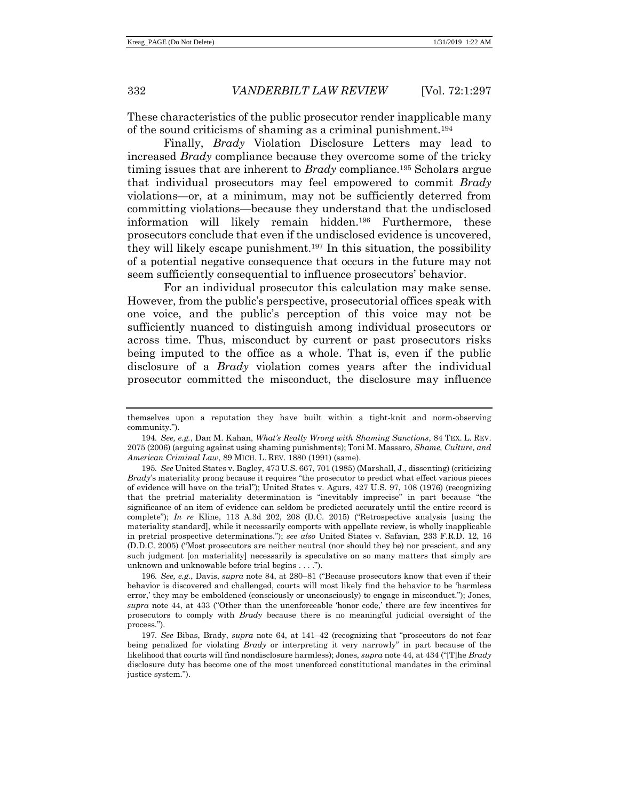These characteristics of the public prosecutor render inapplicable many of the sound criticisms of shaming as a criminal punishment.<sup>194</sup>

Finally, *Brady* Violation Disclosure Letters may lead to increased *Brady* compliance because they overcome some of the tricky timing issues that are inherent to *Brady* compliance.<sup>195</sup> Scholars argue that individual prosecutors may feel empowered to commit *Brady* violations—or, at a minimum, may not be sufficiently deterred from committing violations—because they understand that the undisclosed information will likely remain hidden.<sup>196</sup> Furthermore, these prosecutors conclude that even if the undisclosed evidence is uncovered, they will likely escape punishment.<sup>197</sup> In this situation, the possibility of a potential negative consequence that occurs in the future may not seem sufficiently consequential to influence prosecutors' behavior.

For an individual prosecutor this calculation may make sense. However, from the public's perspective, prosecutorial offices speak with one voice, and the public's perception of this voice may not be sufficiently nuanced to distinguish among individual prosecutors or across time. Thus, misconduct by current or past prosecutors risks being imputed to the office as a whole. That is, even if the public disclosure of a *Brady* violation comes years after the individual prosecutor committed the misconduct, the disclosure may influence

themselves upon a reputation they have built within a tight-knit and norm-observing community.").

<sup>194</sup>*. See, e.g.*, Dan M. Kahan, *What's Really Wrong with Shaming Sanctions*, 84 TEX. L. REV. 2075 (2006) (arguing against using shaming punishments); Toni M. Massaro, *Shame, Culture, and American Criminal Law*, 89 MICH. L. REV. 1880 (1991) (same).

<sup>195</sup>*. See* United States v. Bagley, 473 U.S. 667, 701 (1985) (Marshall, J., dissenting) (criticizing *Brady*'s materiality prong because it requires "the prosecutor to predict what effect various pieces of evidence will have on the trial"); United States v. Agurs, 427 U.S. 97, 108 (1976) (recognizing that the pretrial materiality determination is "inevitably imprecise" in part because "the significance of an item of evidence can seldom be predicted accurately until the entire record is complete"); *In re* Kline, 113 A.3d 202, 208 (D.C. 2015) ("Retrospective analysis [using the materiality standard], while it necessarily comports with appellate review, is wholly inapplicable in pretrial prospective determinations."); *see also* United States v. Safavian, 233 F.R.D. 12, 16 (D.D.C. 2005) ("Most prosecutors are neither neutral (nor should they be) nor prescient, and any such judgment [on materiality] necessarily is speculative on so many matters that simply are unknown and unknowable before trial begins . . . .").

<sup>196</sup>*. See, e.g.*, Davis, *supra* note [84,](#page-15-0) at 280–81 ("Because prosecutors know that even if their behavior is discovered and challenged, courts will most likely find the behavior to be 'harmless error,' they may be emboldened (consciously or unconsciously) to engage in misconduct."); Jones, *supra* note [44,](#page-7-1) at 433 ("Other than the unenforceable 'honor code,' there are few incentives for prosecutors to comply with *Brady* because there is no meaningful judicial oversight of the process.").

<sup>197</sup>*. See* Bibas, Brady, *supra* note [64,](#page-11-1) at 141–42 (recognizing that "prosecutors do not fear being penalized for violating *Brady* or interpreting it very narrowly" in part because of the likelihood that courts will find nondisclosure harmless); Jones, *supra* not[e 44,](#page-7-1) at 434 ("[T]he *Brady* disclosure duty has become one of the most unenforced constitutional mandates in the criminal justice system.").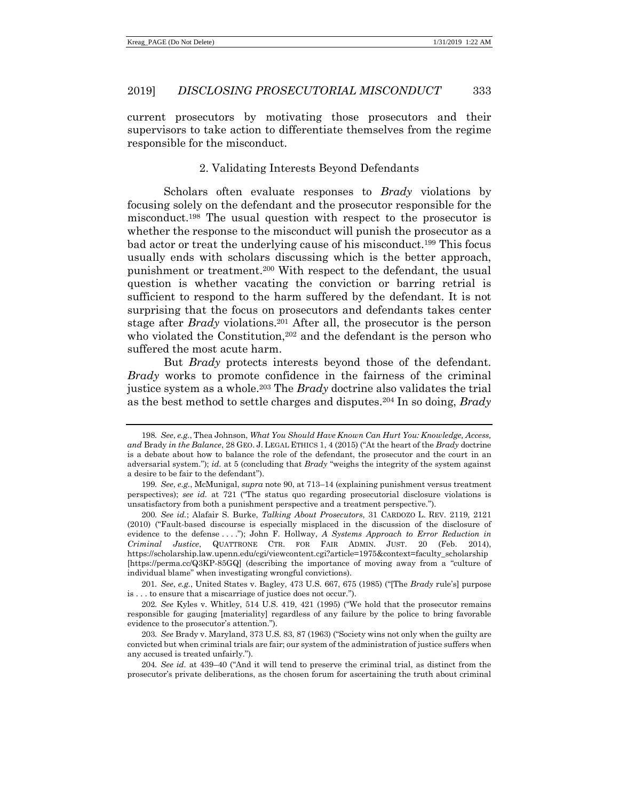current prosecutors by motivating those prosecutors and their supervisors to take action to differentiate themselves from the regime responsible for the misconduct.

#### 2. Validating Interests Beyond Defendants

Scholars often evaluate responses to *Brady* violations by focusing solely on the defendant and the prosecutor responsible for the misconduct.<sup>198</sup> The usual question with respect to the prosecutor is whether the response to the misconduct will punish the prosecutor as a bad actor or treat the underlying cause of his misconduct.<sup>199</sup> This focus usually ends with scholars discussing which is the better approach, punishment or treatment.<sup>200</sup> With respect to the defendant, the usual question is whether vacating the conviction or barring retrial is sufficient to respond to the harm suffered by the defendant. It is not surprising that the focus on prosecutors and defendants takes center stage after *Brady* violations.<sup>201</sup> After all, the prosecutor is the person who violated the Constitution,<sup>202</sup> and the defendant is the person who suffered the most acute harm.

But *Brady* protects interests beyond those of the defendant. *Brady* works to promote confidence in the fairness of the criminal justice system as a whole. <sup>203</sup> The *Brady* doctrine also validates the trial as the best method to settle charges and disputes.<sup>204</sup> In so doing, *Brady*

201*. See*, *e.g.*, United States v. Bagley, 473 U.S. 667, 675 (1985) ("[The *Brady* rule's] purpose is . . . to ensure that a miscarriage of justice does not occur.").

202*. See* Kyles v. Whitley, 514 U.S. 419, 421 (1995) ("We hold that the prosecutor remains responsible for gauging [materiality] regardless of any failure by the police to bring favorable evidence to the prosecutor's attention.").

203*. See* Brady v. Maryland, 373 U.S. 83, 87 (1963) ("Society wins not only when the guilty are convicted but when criminal trials are fair; our system of the administration of justice suffers when any accused is treated unfairly.").

204*. See id.* at 439–40 ("And it will tend to preserve the criminal trial, as distinct from the prosecutor's private deliberations, as the chosen forum for ascertaining the truth about criminal

<sup>198</sup>*. See*, *e.g.*, Thea Johnson, *What You Should Have Known Can Hurt You: Knowledge, Access, and* Brady *in the Balance*, 28 GEO. J. LEGAL ETHICS 1, 4 (2015) ("At the heart of the *Brady* doctrine is a debate about how to balance the role of the defendant, the prosecutor and the court in an adversarial system."); *id.* at 5 (concluding that *Brady* "weighs the integrity of the system against a desire to be fair to the defendant").

<sup>199</sup>*. See*, *e.g.*, McMunigal, *supra* not[e 90,](#page-16-1) at 713–14 (explaining punishment versus treatment perspectives); *see id.* at 721 ("The status quo regarding prosecutorial disclosure violations is unsatisfactory from both a punishment perspective and a treatment perspective.").

<sup>200</sup>*. See id.*; Alafair S. Burke, *Talking About Prosecutors*, 31 CARDOZO L. REV. 2119, 2121 (2010) ("Fault-based discourse is especially misplaced in the discussion of the disclosure of evidence to the defense . . . ."); John F. Hollway, *A Systems Approach to Error Reduction in Criminal Justice*, QUATTRONE CTR. FOR FAIR ADMIN. JUST. 20 (Feb. 2014), https://scholarship.law.upenn.edu/cgi/viewcontent.cgi?article=1975&context=faculty\_scholarship [https://perma.cc/Q3KP-85GQ] (describing the importance of moving away from a "culture of individual blame" when investigating wrongful convictions).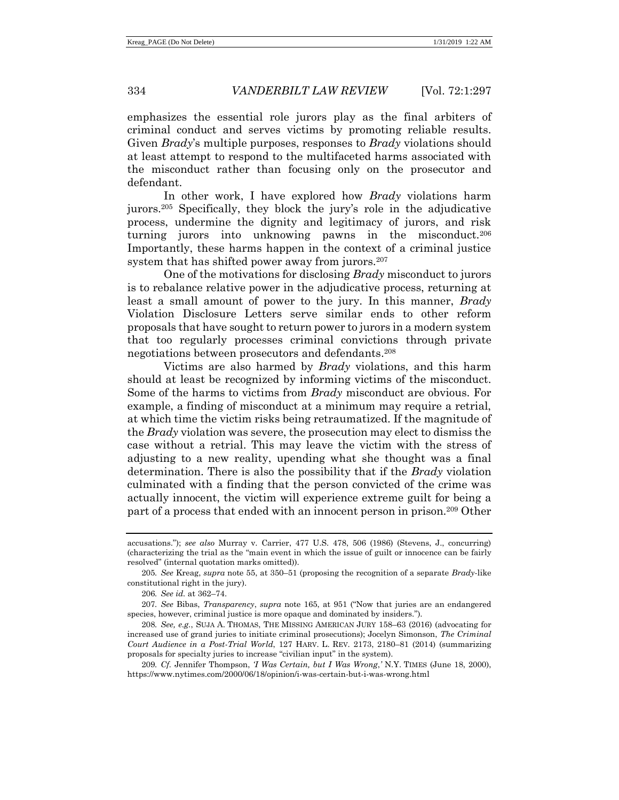emphasizes the essential role jurors play as the final arbiters of criminal conduct and serves victims by promoting reliable results. Given *Brady*'s multiple purposes, responses to *Brady* violations should at least attempt to respond to the multifaceted harms associated with the misconduct rather than focusing only on the prosecutor and defendant.

In other work, I have explored how *Brady* violations harm jurors.<sup>205</sup> Specifically, they block the jury's role in the adjudicative process, undermine the dignity and legitimacy of jurors, and risk turning jurors into unknowing pawns in the misconduct.<sup>206</sup> Importantly, these harms happen in the context of a criminal justice system that has shifted power away from jurors.<sup>207</sup>

One of the motivations for disclosing *Brady* misconduct to jurors is to rebalance relative power in the adjudicative process, returning at least a small amount of power to the jury. In this manner, *Brady* Violation Disclosure Letters serve similar ends to other reform proposals that have sought to return power to jurors in a modern system that too regularly processes criminal convictions through private negotiations between prosecutors and defendants. 208

<span id="page-37-0"></span>Victims are also harmed by *Brady* violations, and this harm should at least be recognized by informing victims of the misconduct. Some of the harms to victims from *Brady* misconduct are obvious. For example, a finding of misconduct at a minimum may require a retrial, at which time the victim risks being retraumatized. If the magnitude of the *Brady* violation was severe, the prosecution may elect to dismiss the case without a retrial. This may leave the victim with the stress of adjusting to a new reality, upending what she thought was a final determination. There is also the possibility that if the *Brady* violation culminated with a finding that the person convicted of the crime was actually innocent, the victim will experience extreme guilt for being a part of a process that ended with an innocent person in prison.<sup>209</sup> Other

accusations."); *see also* Murray v. Carrier, 477 U.S. 478, 506 (1986) (Stevens, J., concurring) (characterizing the trial as the "main event in which the issue of guilt or innocence can be fairly resolved" (internal quotation marks omitted)).

<sup>205</sup>*. See* Kreag, *supra* not[e 55,](#page-10-0) at 350–51 (proposing the recognition of a separate *Brady*-like constitutional right in the jury).

<span id="page-37-1"></span><sup>206</sup>*. See id.* at 362–74.

<sup>207</sup>*. See* Bibas, *Transparency*, *supra* note [165,](#page-30-1) at 951 ("Now that juries are an endangered species, however, criminal justice is more opaque and dominated by insiders.").

<sup>208</sup>*. See, e.g.*, SUJA A. THOMAS, THE MISSING AMERICAN JURY 158–63 (2016) (advocating for increased use of grand juries to initiate criminal prosecutions); Jocelyn Simonson, *The Criminal Court Audience in a Post-Trial World*, 127 HARV. L. REV. 2173, 2180–81 (2014) (summarizing proposals for specialty juries to increase "civilian input" in the system).

<sup>209</sup>*. Cf.* Jennifer Thompson, *'I Was Certain, but I Was Wrong*,*'* N.Y. TIMES (June 18, 2000), https://www.nytimes.com/2000/06/18/opinion/i-was-certain-but-i-was-wrong.html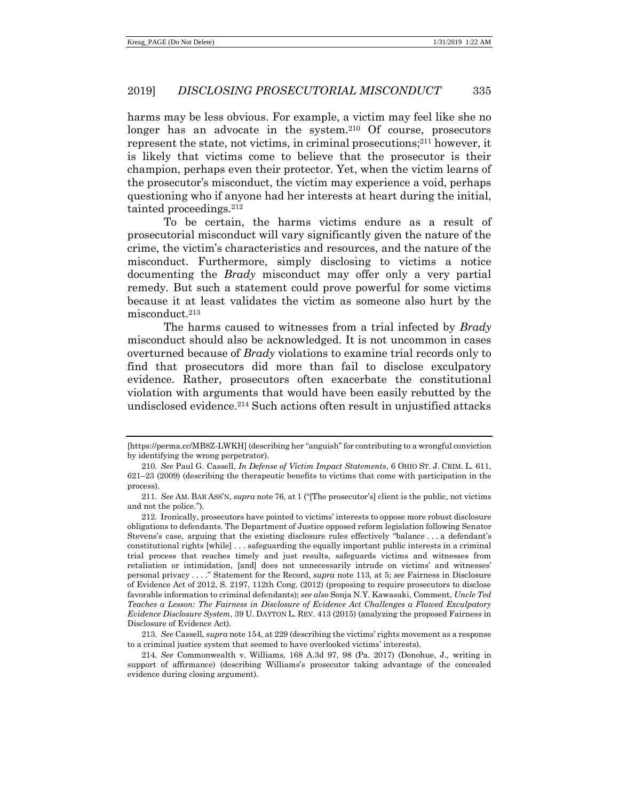harms may be less obvious. For example, a victim may feel like she no longer has an advocate in the system.<sup>210</sup> Of course, prosecutors represent the state, not victims, in criminal prosecutions; <sup>211</sup> however, it is likely that victims come to believe that the prosecutor is their champion, perhaps even their protector. Yet, when the victim learns of the prosecutor's misconduct, the victim may experience a void, perhaps questioning who if anyone had her interests at heart during the initial, tainted proceedings.<sup>212</sup>

To be certain, the harms victims endure as a result of prosecutorial misconduct will vary significantly given the nature of the crime, the victim's characteristics and resources, and the nature of the misconduct. Furthermore, simply disclosing to victims a notice documenting the *Brady* misconduct may offer only a very partial remedy. But such a statement could prove powerful for some victims because it at least validates the victim as someone also hurt by the misconduct.<sup>213</sup>

The harms caused to witnesses from a trial infected by *Brady* misconduct should also be acknowledged. It is not uncommon in cases overturned because of *Brady* violations to examine trial records only to find that prosecutors did more than fail to disclose exculpatory evidence. Rather, prosecutors often exacerbate the constitutional violation with arguments that would have been easily rebutted by the undisclosed evidence.<sup>214</sup> Such actions often result in unjustified attacks

213*. See* Cassell, *supra* not[e 154,](#page-28-0) at 229 (describing the victims' rights movement as a response to a criminal justice system that seemed to have overlooked victims' interests).

214*. See* Commonwealth v. Williams, 168 A.3d 97, 98 (Pa. 2017) (Donohue, J., writing in support of affirmance) (describing Williams's prosecutor taking advantage of the concealed evidence during closing argument).

<sup>[</sup>https://perma.cc/MB8Z-LWKH] (describing her "anguish"for contributing to a wrongful conviction by identifying the wrong perpetrator).

<sup>210</sup>*. See* Paul G. Cassell, *In Defense of Victim Impact Statements*, 6 OHIO ST. J. CRIM. L. 611, 621–23 (2009) (describing the therapeutic benefits to victims that come with participation in the process).

<sup>211.</sup> *See* AM. BAR ASS'N, *supra* note [76,](#page-14-0) at 1 ("[The prosecutor's] client is the public, not victims and not the police.").

<sup>212.</sup> Ironically, prosecutors have pointed to victims' interests to oppose more robust disclosure obligations to defendants. The Department of Justice opposed reform legislation following Senator Stevens's case, arguing that the existing disclosure rules effectively "balance . . . a defendant's constitutional rights [while] . . . safeguarding the equally important public interests in a criminal trial process that reaches timely and just results, safeguards victims and witnesses from retaliation or intimidation, [and] does not unnecessarily intrude on victims' and witnesses' personal privacy . . . ." Statement for the Record, *supra* note [113,](#page-19-1) at 5; *see* Fairness in Disclosure of Evidence Act of 2012, S. 2197, 112th Cong. (2012) (proposing to require prosecutors to disclose favorable information to criminal defendants); *see also* Sonja N.Y. Kawasaki, Comment, *Uncle Ted Teaches a Lesson: The Fairness in Disclosure of Evidence Act Challenges a Flawed Exculpatory Evidence Disclosure System*, 39 U. DAYTON L. REV. 413 (2015) (analyzing the proposed Fairness in Disclosure of Evidence Act).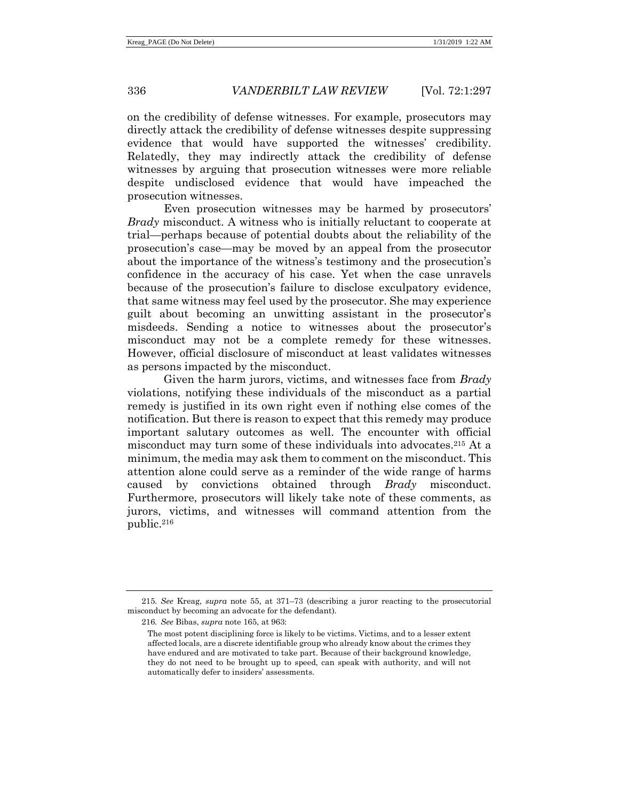on the credibility of defense witnesses. For example, prosecutors may directly attack the credibility of defense witnesses despite suppressing evidence that would have supported the witnesses' credibility. Relatedly, they may indirectly attack the credibility of defense witnesses by arguing that prosecution witnesses were more reliable despite undisclosed evidence that would have impeached the prosecution witnesses.

Even prosecution witnesses may be harmed by prosecutors' *Brady* misconduct. A witness who is initially reluctant to cooperate at trial—perhaps because of potential doubts about the reliability of the prosecution's case—may be moved by an appeal from the prosecutor about the importance of the witness's testimony and the prosecution's confidence in the accuracy of his case. Yet when the case unravels because of the prosecution's failure to disclose exculpatory evidence, that same witness may feel used by the prosecutor. She may experience guilt about becoming an unwitting assistant in the prosecutor's misdeeds. Sending a notice to witnesses about the prosecutor's misconduct may not be a complete remedy for these witnesses. However, official disclosure of misconduct at least validates witnesses as persons impacted by the misconduct.

Given the harm jurors, victims, and witnesses face from *Brady* violations, notifying these individuals of the misconduct as a partial remedy is justified in its own right even if nothing else comes of the notification. But there is reason to expect that this remedy may produce important salutary outcomes as well. The encounter with official misconduct may turn some of these individuals into advocates.<sup>215</sup> At a minimum, the media may ask them to comment on the misconduct. This attention alone could serve as a reminder of the wide range of harms caused by convictions obtained through *Brady* misconduct. Furthermore, prosecutors will likely take note of these comments, as jurors, victims, and witnesses will command attention from the public.<sup>216</sup>

<sup>215</sup>*. See* Kreag, *supra* note [55,](#page-10-0) at 371–73 (describing a juror reacting to the prosecutorial misconduct by becoming an advocate for the defendant).

<sup>216</sup>*. See* Bibas, *supra* not[e 165,](#page-30-1) at 963:

The most potent disciplining force is likely to be victims. Victims, and to a lesser extent affected locals, are a discrete identifiable group who already know about the crimes they have endured and are motivated to take part. Because of their background knowledge, they do not need to be brought up to speed, can speak with authority, and will not automatically defer to insiders' assessments.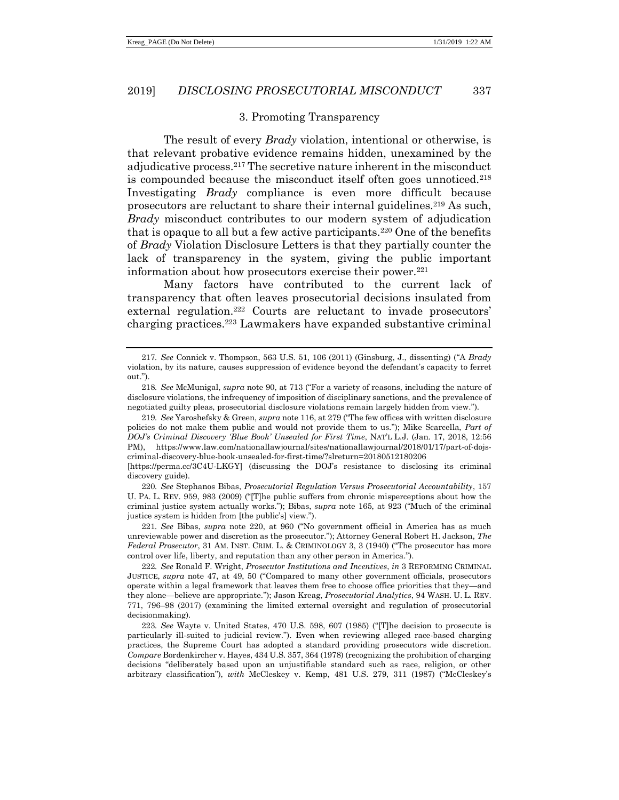#### <span id="page-40-2"></span><span id="page-40-0"></span>3. Promoting Transparency

The result of every *Brady* violation, intentional or otherwise, is that relevant probative evidence remains hidden, unexamined by the adjudicative process.<sup>217</sup> The secretive nature inherent in the misconduct is compounded because the misconduct itself often goes unnoticed.<sup>218</sup> Investigating *Brady* compliance is even more difficult because prosecutors are reluctant to share their internal guidelines.<sup>219</sup> As such, *Brady* misconduct contributes to our modern system of adjudication that is opaque to all but a few active participants.<sup>220</sup> One of the benefits of *Brady* Violation Disclosure Letters is that they partially counter the lack of transparency in the system, giving the public important information about how prosecutors exercise their power.<sup>221</sup>

<span id="page-40-1"></span>Many factors have contributed to the current lack of transparency that often leaves prosecutorial decisions insulated from external regulation.<sup>222</sup> Courts are reluctant to invade prosecutors' charging practices.<sup>223</sup> Lawmakers have expanded substantive criminal

220*. See* Stephanos Bibas, *Prosecutorial Regulation Versus Prosecutorial Accountability*, 157 U. PA. L. REV. 959, 983 (2009) ("[T]he public suffers from chronic misperceptions about how the criminal justice system actually works."); Bibas, *supra* note [165,](#page-30-1) at 923 ("Much of the criminal justice system is hidden from [the public's] view.").

221*. See* Bibas, *supra* note [220,](#page-40-0) at 960 ("No government official in America has as much unreviewable power and discretion as the prosecutor."); Attorney General Robert H. Jackson, *The Federal Prosecutor*, 31 AM. INST. CRIM. L. & CRIMINOLOGY 3, 3 (1940) ("The prosecutor has more control over life, liberty, and reputation than any other person in America.").

222*. See* Ronald F. Wright, *Prosecutor Institutions and Incentives*, *in* 3 REFORMING CRIMINAL JUSTICE, *supra* note [47,](#page-8-0) at 49, 50 ("Compared to many other government officials, prosecutors operate within a legal framework that leaves them free to choose office priorities that they—and they alone—believe are appropriate."); Jason Kreag, *Prosecutorial Analytics*, 94 WASH. U. L. REV. 771, 796–98 (2017) (examining the limited external oversight and regulation of prosecutorial decisionmaking).

223*. See* Wayte v. United States, 470 U.S. 598, 607 (1985) ("[T]he decision to prosecute is particularly ill-suited to judicial review."). Even when reviewing alleged race-based charging practices, the Supreme Court has adopted a standard providing prosecutors wide discretion. *Compare* Bordenkircher v. Hayes, 434 U.S. 357, 364 (1978) (recognizing the prohibition of charging decisions "deliberately based upon an unjustifiable standard such as race, religion, or other arbitrary classification"), *with* McCleskey v. Kemp, 481 U.S. 279, 311 (1987) ("McCleskey's

<sup>217</sup>*. See* Connick v. Thompson, 563 U.S. 51, 106 (2011) (Ginsburg, J., dissenting) ("A *Brady* violation, by its nature, causes suppression of evidence beyond the defendant's capacity to ferret out.").

<sup>218</sup>*. See* McMunigal, *supra* not[e 90,](#page-16-1) at 713 ("For a variety of reasons, including the nature of disclosure violations, the infrequency of imposition of disciplinary sanctions, and the prevalence of negotiated guilty pleas, prosecutorial disclosure violations remain largely hidden from view.").

<sup>219</sup>*. See* Yaroshefsky & Green, *supra* not[e 116,](#page-19-0) at 279 ("The few offices with written disclosure policies do not make them public and would not provide them to us."); Mike Scarcella, *Part of DOJ's Criminal Discovery 'Blue Book' Unsealed for First Time*, NAT'L L.J. (Jan. 17, 2018, 12:56 PM), https://www.law.com/nationallawjournal/sites/nationallawjournal/2018/01/17/part-of-dojscriminal-discovery-blue-book-unsealed-for-first-time/?slreturn=20180512180206

<sup>[</sup>https://perma.cc/3C4U-LKGY] (discussing the DOJ's resistance to disclosing its criminal discovery guide).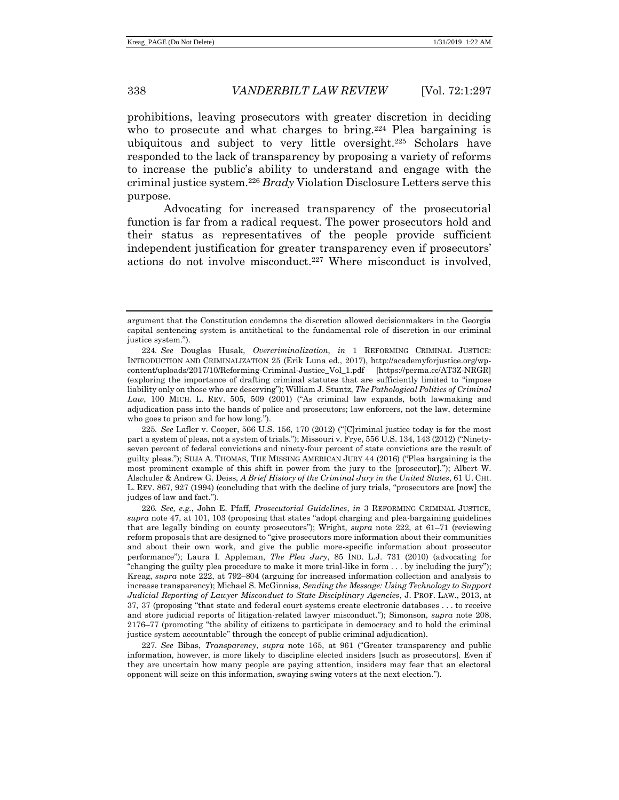<span id="page-41-0"></span>prohibitions, leaving prosecutors with greater discretion in deciding who to prosecute and what charges to bring.<sup>224</sup> Plea bargaining is ubiquitous and subject to very little oversight.<sup>225</sup> Scholars have responded to the lack of transparency by proposing a variety of reforms to increase the public's ability to understand and engage with the criminal justice system.<sup>226</sup> *Brady* Violation Disclosure Letters serve this purpose.

Advocating for increased transparency of the prosecutorial function is far from a radical request. The power prosecutors hold and their status as representatives of the people provide sufficient independent justification for greater transparency even if prosecutors' actions do not involve misconduct.<sup>227</sup> Where misconduct is involved,

225*. See* Lafler v. Cooper, 566 U.S. 156, 170 (2012) ("[C]riminal justice today is for the most part a system of pleas, not a system of trials."); Missouri v. Frye, 556 U.S. 134, 143 (2012) ("Ninetyseven percent of federal convictions and ninety-four percent of state convictions are the result of guilty pleas."); SUJA A. THOMAS, THE MISSING AMERICAN JURY 44 (2016) ("Plea bargaining is the most prominent example of this shift in power from the jury to the [prosecutor]."); Albert W. Alschuler & Andrew G. Deiss, *A Brief History of the Criminal Jury in the United States*, 61 U. CHI. L. REV. 867, 927 (1994) (concluding that with the decline of jury trials, "prosecutors are [now] the judges of law and fact.").

226*. See, e.g.*, John E. Pfaff, *Prosecutorial Guidelines*, *in* 3 REFORMING CRIMINAL JUSTICE, *supra* note [47,](#page-8-0) at 101, 103 (proposing that states "adopt charging and plea-bargaining guidelines that are legally binding on county prosecutors"); Wright, *supra* note [222,](#page-40-1) at 61–71 (reviewing reform proposals that are designed to "give prosecutors more information about their communities and about their own work, and give the public more-specific information about prosecutor performance"); Laura I. Appleman, *The Plea Jury*, 85 IND. L.J. 731 (2010) (advocating for "changing the guilty plea procedure to make it more trial-like in form . . . by including the jury"); Kreag, *supra* note [222,](#page-40-1) at 792–804 (arguing for increased information collection and analysis to increase transparency); Michael S. McGinniss, *Sending the Message: Using Technology to Support Judicial Reporting of Lawyer Misconduct to State Disciplinary Agencies*, J. PROF. LAW., 2013, at 37, 37 (proposing "that state and federal court systems create electronic databases . . . to receive and store judicial reports of litigation-related lawyer misconduct."); Simonson, *supra* note [208,](#page-37-0) 2176–77 (promoting "the ability of citizens to participate in democracy and to hold the criminal justice system accountable" through the concept of public criminal adjudication).

227*. See* Bibas, *Transparency*, *supra* note [165,](#page-30-1) at 961 ("Greater transparency and public information, however, is more likely to discipline elected insiders [such as prosecutors]. Even if they are uncertain how many people are paying attention, insiders may fear that an electoral opponent will seize on this information, swaying swing voters at the next election.").

argument that the Constitution condemns the discretion allowed decisionmakers in the Georgia capital sentencing system is antithetical to the fundamental role of discretion in our criminal justice system.").

<sup>224</sup>*. See* Douglas Husak, *Overcriminalization*, *in* 1 REFORMING CRIMINAL JUSTICE: INTRODUCTION AND CRIMINALIZATION 25 (Erik Luna ed., 2017), http://academyforjustice.org/wpcontent/uploads/2017/10/Reforming-Criminal-Justice\_Vol\_1.pdf [https://perma.cc/AT3Z-NRGR] (exploring the importance of drafting criminal statutes that are sufficiently limited to "impose liability only on those who are deserving"); William J. Stuntz, *The Pathological Politics of Criminal Law*, 100 MICH. L. REV. 505, 509 (2001) ("As criminal law expands, both lawmaking and adjudication pass into the hands of police and prosecutors; law enforcers, not the law, determine who goes to prison and for how long.").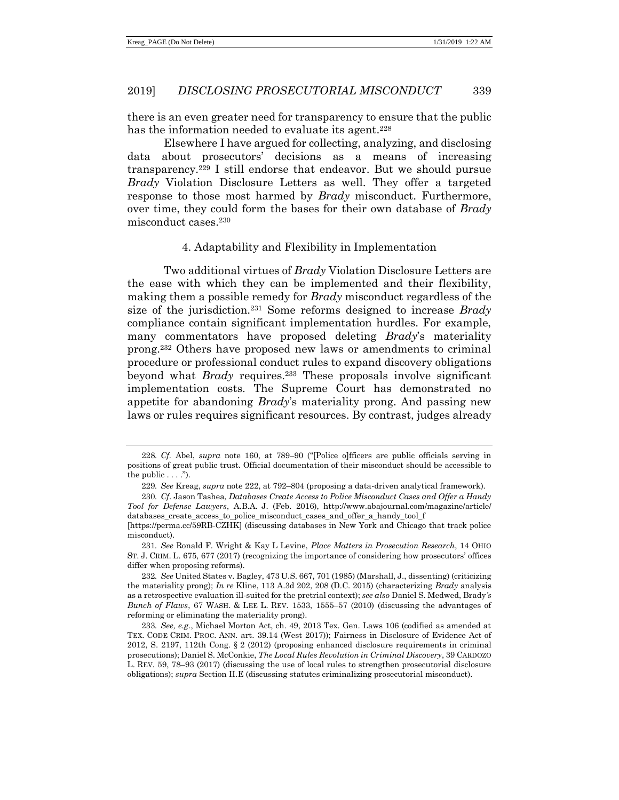there is an even greater need for transparency to ensure that the public has the information needed to evaluate its agent.<sup>228</sup>

Elsewhere I have argued for collecting, analyzing, and disclosing data about prosecutors' decisions as a means of increasing transparency.<sup>229</sup> I still endorse that endeavor. But we should pursue *Brady* Violation Disclosure Letters as well. They offer a targeted response to those most harmed by *Brady* misconduct. Furthermore, over time, they could form the bases for their own database of *Brady* misconduct cases.<sup>230</sup>

## <span id="page-42-1"></span><span id="page-42-0"></span>4. Adaptability and Flexibility in Implementation

Two additional virtues of *Brady* Violation Disclosure Letters are the ease with which they can be implemented and their flexibility, making them a possible remedy for *Brady* misconduct regardless of the size of the jurisdiction.<sup>231</sup> Some reforms designed to increase *Brady* compliance contain significant implementation hurdles. For example, many commentators have proposed deleting *Brady*'s materiality prong.<sup>232</sup> Others have proposed new laws or amendments to criminal procedure or professional conduct rules to expand discovery obligations beyond what *Brady* requires.<sup>233</sup> These proposals involve significant implementation costs. The Supreme Court has demonstrated no appetite for abandoning *Brady*'s materiality prong. And passing new laws or rules requires significant resources. By contrast, judges already

<sup>228</sup>*. Cf.* Abel, *supra* note [160,](#page-29-0) at 789–90 ("[Police o]fficers are public officials serving in positions of great public trust. Official documentation of their misconduct should be accessible to the public  $\dots$ .").

<sup>229</sup>*. See* Kreag, *supra* not[e 222,](#page-40-1) at 792–804 (proposing a data-driven analytical framework).

<sup>230</sup>*. Cf*. Jason Tashea, *Databases Create Access to Police Misconduct Cases and Offer a Handy Tool for Defense Lawyers*, A.B.A. J. (Feb. 2016), http://www.abajournal.com/magazine/article/ databases\_create\_access\_to\_police\_misconduct\_cases\_and\_offer\_a\_handy\_tool\_f

<sup>[</sup>https://perma.cc/59RB-CZHK] (discussing databases in New York and Chicago that track police misconduct).

<sup>231</sup>*. See* Ronald F. Wright & Kay L Levine, *Place Matters in Prosecution Research*, 14 OHIO ST. J. CRIM. L. 675, 677 (2017) (recognizing the importance of considering how prosecutors' offices differ when proposing reforms).

<sup>232</sup>*. See* United States v. Bagley, 473 U.S. 667, 701 (1985) (Marshall, J., dissenting) (criticizing the materiality prong); *In re* Kline, 113 A.3d 202, 208 (D.C. 2015) (characterizing *Brady* analysis as a retrospective evaluation ill-suited for the pretrial context); *see also* Daniel S. Medwed, Brady*'s Bunch of Flaws*, 67 WASH. & LEE L. REV. 1533, 1555–57 (2010) (discussing the advantages of reforming or eliminating the materiality prong).

<sup>233</sup>*. See, e.g.*, Michael Morton Act, ch. 49, 2013 Tex. Gen. Laws 106 (codified as amended at TEX. CODE CRIM. PROC. ANN. art. 39.14 (West 2017)); Fairness in Disclosure of Evidence Act of 2012, S. 2197, 112th Cong. § 2 (2012) (proposing enhanced disclosure requirements in criminal prosecutions); Daniel S. McConkie, *The Local Rules Revolution in Criminal Discovery*, 39 CARDOZO L. REV. 59, 78–93 (2017) (discussing the use of local rules to strengthen prosecutorial disclosure obligations); *supra* Section II.E (discussing statutes criminalizing prosecutorial misconduct).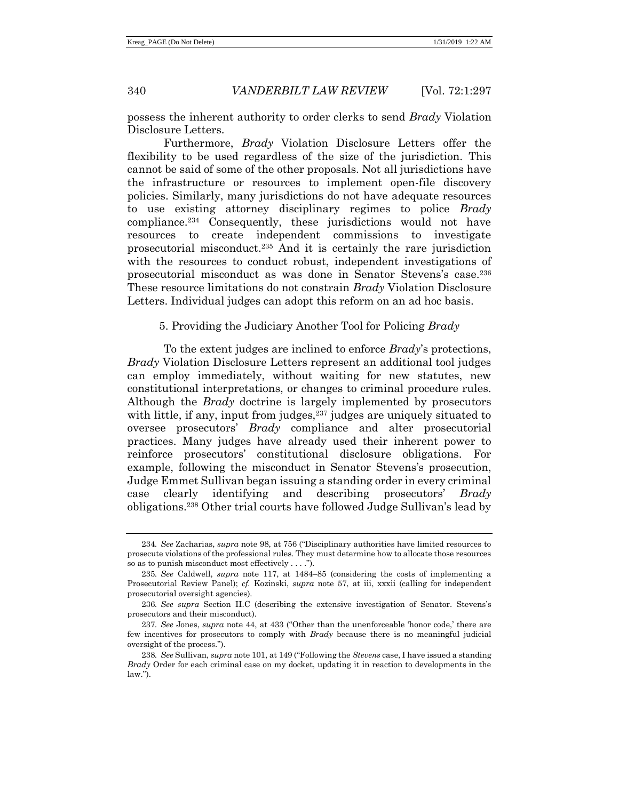possess the inherent authority to order clerks to send *Brady* Violation Disclosure Letters.

<span id="page-43-0"></span>Furthermore, *Brady* Violation Disclosure Letters offer the flexibility to be used regardless of the size of the jurisdiction. This cannot be said of some of the other proposals. Not all jurisdictions have the infrastructure or resources to implement open-file discovery policies. Similarly, many jurisdictions do not have adequate resources to use existing attorney disciplinary regimes to police *Brady* compliance.<sup>234</sup> Consequently, these jurisdictions would not have resources to create independent commissions to investigate prosecutorial misconduct.<sup>235</sup> And it is certainly the rare jurisdiction with the resources to conduct robust, independent investigations of prosecutorial misconduct as was done in Senator Stevens's case.<sup>236</sup> These resource limitations do not constrain *Brady* Violation Disclosure Letters. Individual judges can adopt this reform on an ad hoc basis.

#### <span id="page-43-1"></span>5. Providing the Judiciary Another Tool for Policing *Brady*

To the extent judges are inclined to enforce *Brady*'s protections, *Brady* Violation Disclosure Letters represent an additional tool judges can employ immediately, without waiting for new statutes, new constitutional interpretations, or changes to criminal procedure rules. Although the *Brady* doctrine is largely implemented by prosecutors with little, if any, input from judges,<sup>237</sup> judges are uniquely situated to oversee prosecutors' *Brady* compliance and alter prosecutorial practices. Many judges have already used their inherent power to reinforce prosecutors' constitutional disclosure obligations. For example, following the misconduct in Senator Stevens's prosecution, Judge Emmet Sullivan began issuing a standing order in every criminal case clearly identifying and describing prosecutors' *Brady* obligations.<sup>238</sup> Other trial courts have followed Judge Sullivan's lead by

<sup>234</sup>*. See* Zacharias, *supra* note [98,](#page-17-0) at 756 ("Disciplinary authorities have limited resources to prosecute violations of the professional rules. They must determine how to allocate those resources so as to punish misconduct most effectively . . . .").

<sup>235</sup>*. See* Caldwell, *supra* note [117,](#page-20-0) at 1484–85 (considering the costs of implementing a Prosecutorial Review Panel); *cf.* Kozinski, *supra* note [57,](#page-10-1) at iii, xxxii (calling for independent prosecutorial oversight agencies).

<sup>236</sup>*. See supra* Section II.C (describing the extensive investigation of Senator. Stevens's prosecutors and their misconduct).

<sup>237</sup>*. See* Jones, *supra* note [44,](#page-7-1) at 433 ("Other than the unenforceable 'honor code,' there are few incentives for prosecutors to comply with *Brady* because there is no meaningful judicial oversight of the process.").

<sup>238</sup>*. See* Sullivan, *supra* not[e 101,](#page-18-0) at 149 ("Following the *Stevens* case, I have issued a standing *Brady* Order for each criminal case on my docket, updating it in reaction to developments in the law.").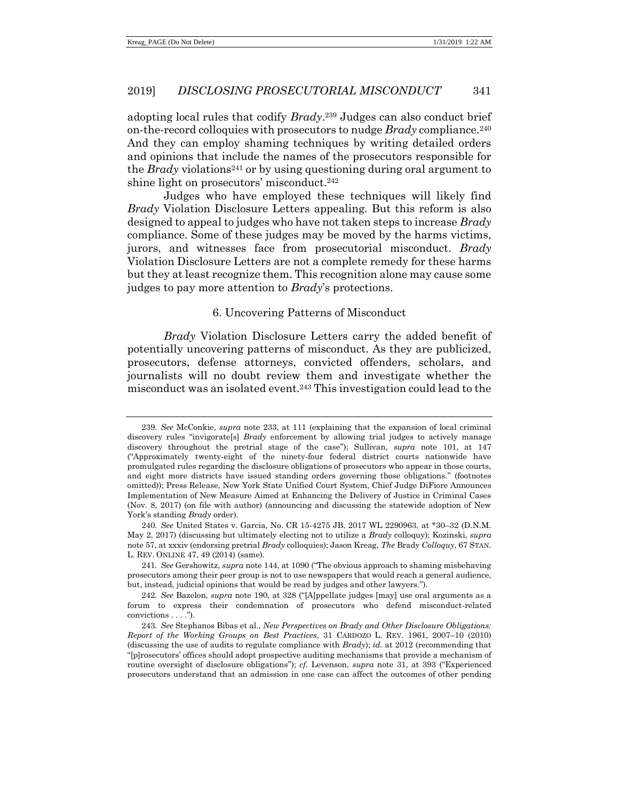adopting local rules that codify *Brady*. <sup>239</sup> Judges can also conduct brief on-the-record colloquies with prosecutors to nudge *Brady* compliance.<sup>240</sup> And they can employ shaming techniques by writing detailed orders and opinions that include the names of the prosecutors responsible for the *Brady* violations<sup>241</sup> or by using questioning during oral argument to shine light on prosecutors' misconduct.<sup>242</sup>

Judges who have employed these techniques will likely find *Brady* Violation Disclosure Letters appealing. But this reform is also designed to appeal to judges who have not taken steps to increase *Brady* compliance. Some of these judges may be moved by the harms victims, jurors, and witnesses face from prosecutorial misconduct. *Brady* Violation Disclosure Letters are not a complete remedy for these harms but they at least recognize them. This recognition alone may cause some judges to pay more attention to *Brady*'s protections.

#### 6. Uncovering Patterns of Misconduct

*Brady* Violation Disclosure Letters carry the added benefit of potentially uncovering patterns of misconduct. As they are publicized, prosecutors, defense attorneys, convicted offenders, scholars, and journalists will no doubt review them and investigate whether the misconduct was an isolated event.<sup>243</sup> This investigation could lead to the

<sup>239</sup>*. See* McConkie, *supra* note [233,](#page-42-1) at 111 (explaining that the expansion of local criminal discovery rules "invigorate[s] *Brady* enforcement by allowing trial judges to actively manage discovery throughout the pretrial stage of the case"); Sullivan, *supra* note [101,](#page-18-0) at 147 ("Approximately twenty-eight of the ninety-four federal district courts nationwide have promulgated rules regarding the disclosure obligations of prosecutors who appear in those courts, and eight more districts have issued standing orders governing those obligations." (footnotes omitted)); Press Release, New York State Unified Court System, Chief Judge DiFiore Announces Implementation of New Measure Aimed at Enhancing the Delivery of Justice in Criminal Cases (Nov. 8, 2017) (on file with author) (announcing and discussing the statewide adoption of New York's standing *Brady* order).

<sup>240</sup>*. See* United States v. Garcia, No. CR 15-4275 JB, 2017 WL 2290963, at \*30–32 (D.N.M. May 2, 2017) (discussing but ultimately electing not to utilize a *Brady* colloquy); Kozinski, *supra* note [57,](#page-10-1) at xxxiv (endorsing pretrial *Brady* colloquies); Jason Kreag, *The* Brady *Colloquy*, 67 STAN. L. REV. ONLINE 47, 49 (2014) (same).

<sup>241</sup>*. See* Gershowitz, *supra* note [144,](#page-26-0) at 1090 ("The obvious approach to shaming misbehaving prosecutors among their peer group is not to use newspapers that would reach a general audience, but, instead, judicial opinions that would be read by judges and other lawyers.").

<sup>242</sup>*. See* Bazelon, *supra* note [190,](#page-34-0) at 328 ("[A]ppellate judges [may] use oral arguments as a forum to express their condemnation of prosecutors who defend misconduct-related convictions . . . .").

<sup>243</sup>*. See* Stephanos Bibas et al., *New Perspectives on Brady and Other Disclosure Obligations: Report of the Working Groups on Best Practices*, 31 CARDOZO L. REV. 1961, 2007–10 (2010) (discussing the use of audits to regulate compliance with *Brady*); *id.* at 2012 (recommending that "[p]rosecutors' offices should adopt prospective auditing mechanisms that provide a mechanism of routine oversight of disclosure obligations"); *cf.* Levenson, *supra* note [31,](#page-5-0) at 393 ("Experienced prosecutors understand that an admission in one case can affect the outcomes of other pending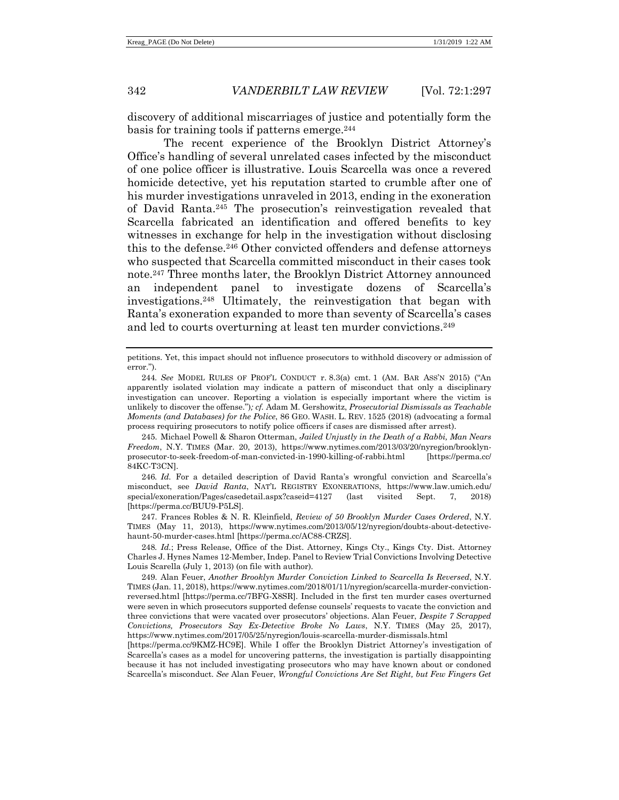discovery of additional miscarriages of justice and potentially form the basis for training tools if patterns emerge.<sup>244</sup>

The recent experience of the Brooklyn District Attorney's Office's handling of several unrelated cases infected by the misconduct of one police officer is illustrative. Louis Scarcella was once a revered homicide detective, yet his reputation started to crumble after one of his murder investigations unraveled in 2013, ending in the exoneration of David Ranta.<sup>245</sup> The prosecution's reinvestigation revealed that Scarcella fabricated an identification and offered benefits to key witnesses in exchange for help in the investigation without disclosing this to the defense.<sup>246</sup> Other convicted offenders and defense attorneys who suspected that Scarcella committed misconduct in their cases took note.<sup>247</sup> Three months later, the Brooklyn District Attorney announced an independent panel to investigate dozens of Scarcella's investigations.<sup>248</sup> Ultimately, the reinvestigation that began with Ranta's exoneration expanded to more than seventy of Scarcella's cases and led to courts overturning at least ten murder convictions.<sup>249</sup>

245. Michael Powell & Sharon Otterman, *Jailed Unjustly in the Death of a Rabbi, Man Nears Freedom*, N.Y. TIMES (Mar. 20, 2013), https://www.nytimes.com/2013/03/20/nyregion/brooklynprosecutor-to-seek-freedom-of-man-convicted-in-1990-killing-of-rabbi.html [https://perma.cc/ 84KC-T3CN].

246*. Id.* For a detailed description of David Ranta's wrongful conviction and Scarcella's misconduct, see *David Ranta*, NAT'L REGISTRY EXONERATIONS, https://www.law.umich.edu/ special/exoneration/Pages/casedetail.aspx?caseid=4127 (last visited Sept. 7, 2018) [https://perma.cc/BUU9-P5LS].

247. Frances Robles & N. R. Kleinfield, *Review of 50 Brooklyn Murder Cases Ordered*, N.Y. TIMES (May 11, 2013), https://www.nytimes.com/2013/05/12/nyregion/doubts-about-detectivehaunt-50-murder-cases.html [https://perma.cc/AC88-CRZS].

248*. Id.*; Press Release, Office of the Dist. Attorney, Kings Cty., Kings Cty. Dist. Attorney Charles J. Hynes Names 12-Member, Indep. Panel to Review Trial Convictions Involving Detective Louis Scarella (July 1, 2013) (on file with author).

249. Alan Feuer, *Another Brooklyn Murder Conviction Linked to Scarcella Is Reversed*, N.Y. TIMES (Jan. 11, 2018), https://www.nytimes.com/2018/01/11/nyregion/scarcella-murder-convictionreversed.html [https://perma.cc/7BFG-X8SR]. Included in the first ten murder cases overturned were seven in which prosecutors supported defense counsels' requests to vacate the conviction and three convictions that were vacated over prosecutors' objections. Alan Feuer, *Despite 7 Scrapped Convictions, Prosecutors Say Ex-Detective Broke No Laws*, N.Y. TIMES (May 25, 2017), https://www.nytimes.com/2017/05/25/nyregion/louis-scarcella-murder-dismissals.html

[https://perma.cc/9KMZ-HC9E]. While I offer the Brooklyn District Attorney's investigation of Scarcella's cases as a model for uncovering patterns, the investigation is partially disappointing because it has not included investigating prosecutors who may have known about or condoned Scarcella's misconduct. *See* Alan Feuer, *Wrongful Convictions Are Set Right, but Few Fingers Get* 

petitions. Yet, this impact should not influence prosecutors to withhold discovery or admission of error.").

<sup>244</sup>*. See* MODEL RULES OF PROF'L CONDUCT r. 8.3(a) cmt. 1 (AM. BAR ASS'N 2015) ("An apparently isolated violation may indicate a pattern of misconduct that only a disciplinary investigation can uncover. Reporting a violation is especially important where the victim is unlikely to discover the offense.")*; cf.* Adam M. Gershowitz, *Prosecutorial Dismissals as Teachable Moments (and Databases) for the Police*, 86 GEO. WASH. L. REV. 1525 (2018) (advocating a formal process requiring prosecutors to notify police officers if cases are dismissed after arrest).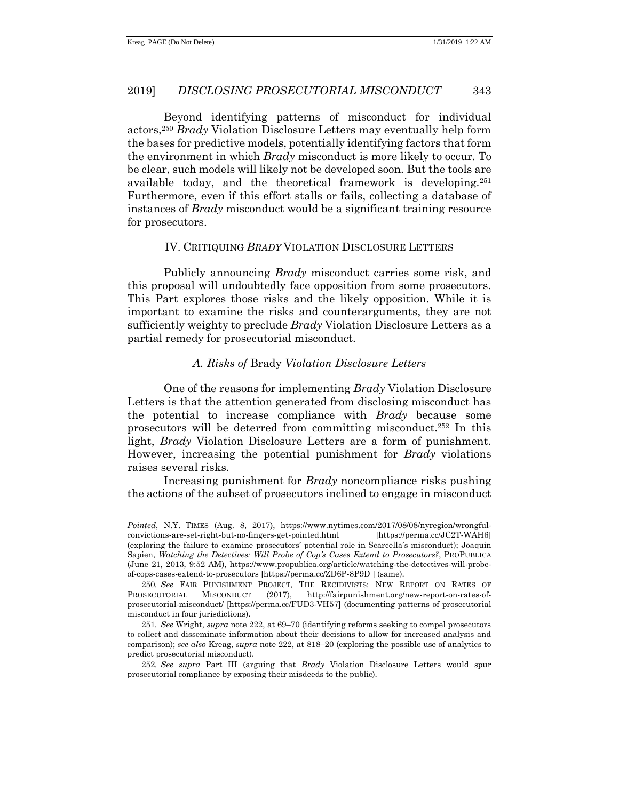Beyond identifying patterns of misconduct for individual actors,<sup>250</sup> *Brady* Violation Disclosure Letters may eventually help form the bases for predictive models, potentially identifying factors that form the environment in which *Brady* misconduct is more likely to occur. To be clear, such models will likely not be developed soon. But the tools are available today, and the theoretical framework is developing.<sup>251</sup> Furthermore, even if this effort stalls or fails, collecting a database of instances of *Brady* misconduct would be a significant training resource for prosecutors.

# IV. CRITIQUING *BRADY* VIOLATION DISCLOSURE LETTERS

Publicly announcing *Brady* misconduct carries some risk, and this proposal will undoubtedly face opposition from some prosecutors. This Part explores those risks and the likely opposition. While it is important to examine the risks and counterarguments, they are not sufficiently weighty to preclude *Brady* Violation Disclosure Letters as a partial remedy for prosecutorial misconduct.

# *A. Risks of* Brady *Violation Disclosure Letters*

One of the reasons for implementing *Brady* Violation Disclosure Letters is that the attention generated from disclosing misconduct has the potential to increase compliance with *Brady* because some prosecutors will be deterred from committing misconduct.<sup>252</sup> In this light, *Brady* Violation Disclosure Letters are a form of punishment. However, increasing the potential punishment for *Brady* violations raises several risks.

Increasing punishment for *Brady* noncompliance risks pushing the actions of the subset of prosecutors inclined to engage in misconduct

*Pointed*, N.Y. TIMES (Aug. 8, 2017), https://www.nytimes.com/2017/08/08/nyregion/wrongfulconvictions-are-set-right-but-no-fingers-get-pointed.html (exploring the failure to examine prosecutors' potential role in Scarcella's misconduct); Joaquin Sapien, *Watching the Detectives: Will Probe of Cop's Cases Extend to Prosecutors?*, PROPUBLICA (June 21, 2013, 9:52 AM), https://www.propublica.org/article/watching-the-detectives-will-probeof-cops-cases-extend-to-prosecutors [https://perma.cc/ZD6P-8P9D ] (same).

<sup>250</sup>*. See* FAIR PUNISHMENT PROJECT, THE RECIDIVISTS: NEW REPORT ON RATES OF PROSECUTORIAL MISCONDUCT (2017), http://fairpunishment.org/new-report-on-rates-ofprosecutorial-misconduct/ [https://perma.cc/FUD3-VH57] (documenting patterns of prosecutorial misconduct in four jurisdictions).

<sup>251</sup>*. See* Wright, *supra* not[e 222,](#page-40-1) at 69–70 (identifying reforms seeking to compel prosecutors to collect and disseminate information about their decisions to allow for increased analysis and comparison); *see also* Kreag, *supra* not[e 222,](#page-40-1) at 818–20 (exploring the possible use of analytics to predict prosecutorial misconduct).

<sup>252</sup>*. See supra* Part III (arguing that *Brady* Violation Disclosure Letters would spur prosecutorial compliance by exposing their misdeeds to the public).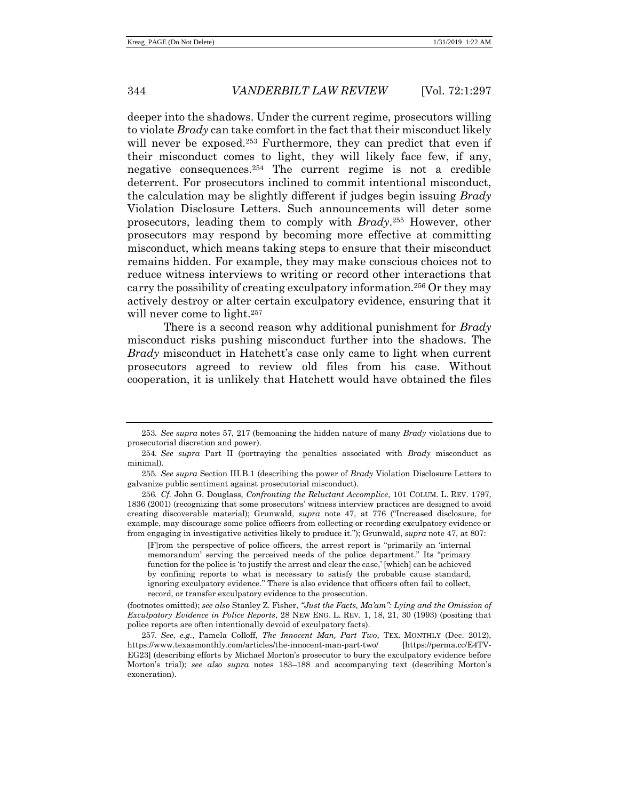deeper into the shadows. Under the current regime, prosecutors willing to violate *Brady* can take comfort in the fact that their misconduct likely will never be exposed.<sup>253</sup> Furthermore, they can predict that even if their misconduct comes to light, they will likely face few, if any, negative consequences.<sup>254</sup> The current regime is not a credible deterrent. For prosecutors inclined to commit intentional misconduct, the calculation may be slightly different if judges begin issuing *Brady* Violation Disclosure Letters. Such announcements will deter some prosecutors, leading them to comply with *Brady*. <sup>255</sup> However, other prosecutors may respond by becoming more effective at committing misconduct, which means taking steps to ensure that their misconduct remains hidden. For example, they may make conscious choices not to reduce witness interviews to writing or record other interactions that carry the possibility of creating exculpatory information.<sup>256</sup> Or they may actively destroy or alter certain exculpatory evidence, ensuring that it will never come to light.<sup>257</sup>

There is a second reason why additional punishment for *Brady* misconduct risks pushing misconduct further into the shadows. The *Brady* misconduct in Hatchett's case only came to light when current prosecutors agreed to review old files from his case. Without cooperation, it is unlikely that Hatchett would have obtained the files

[F]rom the perspective of police officers, the arrest report is "primarily an 'internal memorandum' serving the perceived needs of the police department." Its "primary function for the police is 'to justify the arrest and clear the case,' [which] can be achieved by confining reports to what is necessary to satisfy the probable cause standard, ignoring exculpatory evidence." There is also evidence that officers often fail to collect, record, or transfer exculpatory evidence to the prosecution.

(footnotes omitted); *see also* Stanley Z. Fisher, *"Just the Facts, Ma'am": Lying and the Omission of Exculpatory Evidence in Police Reports*, 28 NEW ENG. L. REV. 1, 18, 21, 30 (1993) (positing that police reports are often intentionally devoid of exculpatory facts).

<sup>253</sup>*. See supra* notes [57,](#page-10-1) [217](#page-40-2) (bemoaning the hidden nature of many *Brady* violations due to prosecutorial discretion and power).

<sup>254</sup>*. See supra* Part II (portraying the penalties associated with *Brady* misconduct as minimal).

<sup>255</sup>*. See supra* Section III.B.1 (describing the power of *Brady* Violation Disclosure Letters to galvanize public sentiment against prosecutorial misconduct).

<sup>256</sup>*. Cf.* John G. Douglass, *Confronting the Reluctant Accomplice*, 101 COLUM. L. REV. 1797, 1836 (2001) (recognizing that some prosecutors' witness interview practices are designed to avoid creating discoverable material); Grunwald, *supra* note [47,](#page-8-0) at 776 ("Increased disclosure, for example, may discourage some police officers from collecting or recording exculpatory evidence or from engaging in investigative activities likely to produce it."); Grunwald, *supra* note [47,](#page-8-0) at 807:

<sup>257</sup>*. See*, *e.g.*, Pamela Colloff, *The Innocent Man, Part Two*, TEX. MONTHLY (Dec. 2012), https://www.texasmonthly.com/articles/the-innocent-man-part-two/ [https://perma.cc/E4TV-EG23] (describing efforts by Michael Morton's prosecutor to bury the exculpatory evidence before Morton's trial); *see also supra* notes [183](#page-33-0)–[188](#page-34-1) and accompanying text (describing Morton's exoneration).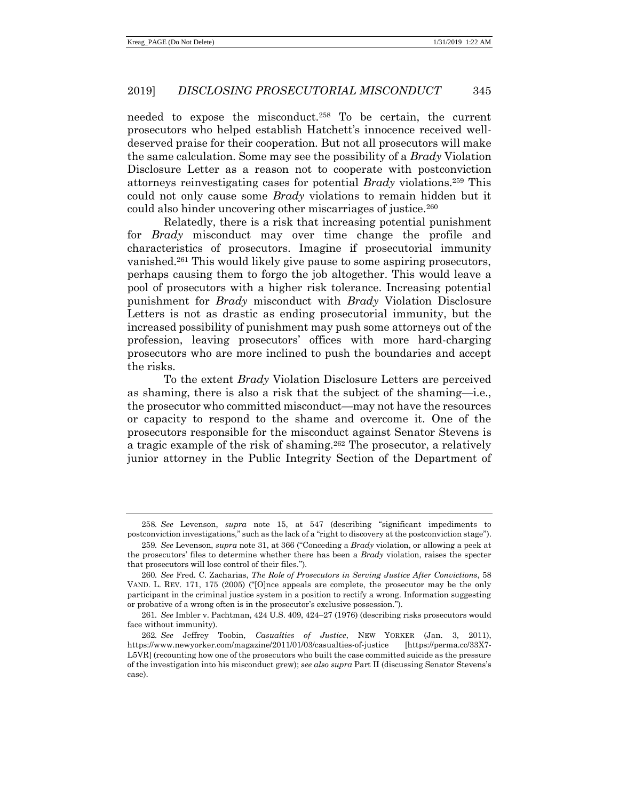needed to expose the misconduct.<sup>258</sup> To be certain, the current prosecutors who helped establish Hatchett's innocence received welldeserved praise for their cooperation. But not all prosecutors will make the same calculation. Some may see the possibility of a *Brady* Violation Disclosure Letter as a reason not to cooperate with postconviction attorneys reinvestigating cases for potential *Brady* violations.<sup>259</sup> This could not only cause some *Brady* violations to remain hidden but it could also hinder uncovering other miscarriages of justice.<sup>260</sup>

Relatedly, there is a risk that increasing potential punishment for *Brady* misconduct may over time change the profile and characteristics of prosecutors. Imagine if prosecutorial immunity vanished.<sup>261</sup> This would likely give pause to some aspiring prosecutors, perhaps causing them to forgo the job altogether. This would leave a pool of prosecutors with a higher risk tolerance. Increasing potential punishment for *Brady* misconduct with *Brady* Violation Disclosure Letters is not as drastic as ending prosecutorial immunity, but the increased possibility of punishment may push some attorneys out of the profession, leaving prosecutors' offices with more hard-charging prosecutors who are more inclined to push the boundaries and accept the risks.

<span id="page-48-0"></span>To the extent *Brady* Violation Disclosure Letters are perceived as shaming, there is also a risk that the subject of the shaming—i.e., the prosecutor who committed misconduct—may not have the resources or capacity to respond to the shame and overcome it. One of the prosecutors responsible for the misconduct against Senator Stevens is a tragic example of the risk of shaming.<sup>262</sup> The prosecutor, a relatively junior attorney in the Public Integrity Section of the Department of

<sup>258</sup>*. See* Levenson, *supra* note [15,](#page-3-1) at 547 (describing "significant impediments to postconviction investigations," such as the lack of a "right to discovery at the postconviction stage").

<sup>259</sup>*. See* Levenson, *supra* note [31,](#page-5-0) at 366 ("Conceding a *Brady* violation, or allowing a peek at the prosecutors' files to determine whether there has been a *Brady* violation, raises the specter that prosecutors will lose control of their files.").

<sup>260</sup>*. See* Fred. C. Zacharias, *The Role of Prosecutors in Serving Justice After Convictions*, 58 VAND. L. REV. 171, 175 (2005) ("[O]nce appeals are complete, the prosecutor may be the only participant in the criminal justice system in a position to rectify a wrong. Information suggesting or probative of a wrong often is in the prosecutor's exclusive possession.").

<sup>261</sup>*. See* Imbler v. Pachtman, 424 U.S. 409, 424–27 (1976) (describing risks prosecutors would face without immunity).

<sup>262</sup>*. See* Jeffrey Toobin, *Casualties of Justice*, NEW YORKER (Jan. 3, 2011), https://www.newyorker.com/magazine/2011/01/03/casualties-of-justice L5VR] (recounting how one of the prosecutors who built the case committed suicide as the pressure of the investigation into his misconduct grew); *see also supra* Part II (discussing Senator Stevens's case).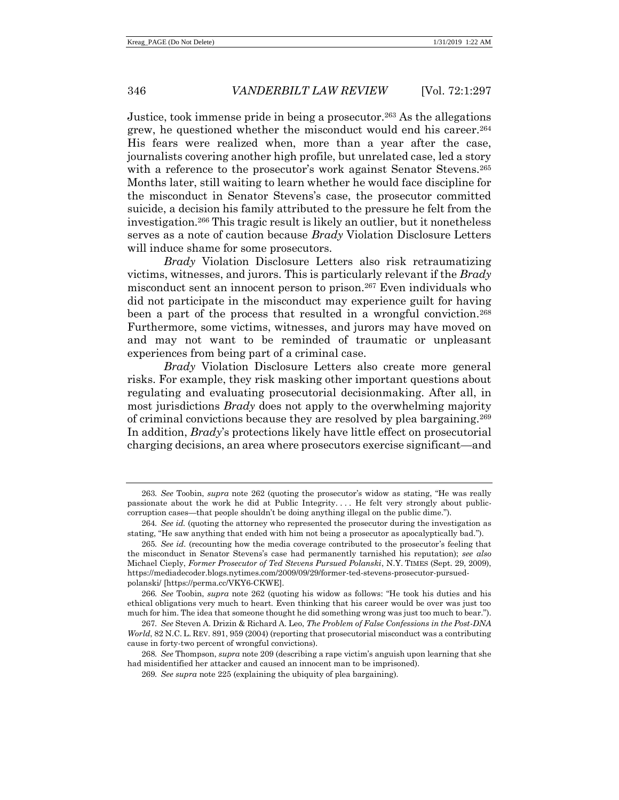Justice, took immense pride in being a prosecutor.<sup>263</sup> As the allegations grew, he questioned whether the misconduct would end his career.<sup>264</sup> His fears were realized when, more than a year after the case, journalists covering another high profile, but unrelated case, led a story with a reference to the prosecutor's work against Senator Stevens.<sup>265</sup> Months later, still waiting to learn whether he would face discipline for the misconduct in Senator Stevens's case, the prosecutor committed suicide, a decision his family attributed to the pressure he felt from the investigation.<sup>266</sup> This tragic result is likely an outlier, but it nonetheless serves as a note of caution because *Brady* Violation Disclosure Letters will induce shame for some prosecutors.

*Brady* Violation Disclosure Letters also risk retraumatizing victims, witnesses, and jurors. This is particularly relevant if the *Brady* misconduct sent an innocent person to prison.<sup>267</sup> Even individuals who did not participate in the misconduct may experience guilt for having been a part of the process that resulted in a wrongful conviction.<sup>268</sup> Furthermore, some victims, witnesses, and jurors may have moved on and may not want to be reminded of traumatic or unpleasant experiences from being part of a criminal case.

*Brady* Violation Disclosure Letters also create more general risks. For example, they risk masking other important questions about regulating and evaluating prosecutorial decisionmaking. After all, in most jurisdictions *Brady* does not apply to the overwhelming majority of criminal convictions because they are resolved by plea bargaining.<sup>269</sup> In addition, *Brady*'s protections likely have little effect on prosecutorial charging decisions, an area where prosecutors exercise significant—and

<sup>263</sup>*. See* Toobin, *supra* note [262](#page-48-0) (quoting the prosecutor's widow as stating, "He was really passionate about the work he did at Public Integrity. . . . He felt very strongly about publiccorruption cases—that people shouldn't be doing anything illegal on the public dime.").

<sup>264</sup>*. See id.* (quoting the attorney who represented the prosecutor during the investigation as stating, "He saw anything that ended with him not being a prosecutor as apocalyptically bad.").

<sup>265</sup>*. See id.* (recounting how the media coverage contributed to the prosecutor's feeling that the misconduct in Senator Stevens's case had permanently tarnished his reputation); *see also* Michael Cieply, *Former Prosecutor of Ted Stevens Pursued Polanski*, N.Y. TIMES (Sept. 29, 2009), https://mediadecoder.blogs.nytimes.com/2009/09/29/former-ted-stevens-prosecutor-pursuedpolanski/ [https://perma.cc/VKY6-CKWE].

<sup>266</sup>*. See* Toobin, *supra* note [262](#page-48-0) (quoting his widow as follows: "He took his duties and his ethical obligations very much to heart. Even thinking that his career would be over was just too much for him. The idea that someone thought he did something wrong was just too much to bear.").

<sup>267</sup>*. See* Steven A. Drizin & Richard A. Leo, *The Problem of False Confessions in the Post-DNA World*, 82 N.C. L. REV. 891, 959 (2004) (reporting that prosecutorial misconduct was a contributing cause in forty-two percent of wrongful convictions).

<sup>268</sup>*. See* Thompson, *supra* not[e 209](#page-37-1) (describing a rape victim's anguish upon learning that she had misidentified her attacker and caused an innocent man to be imprisoned).

<sup>269</sup>*. See supra* not[e 225](#page-41-0) (explaining the ubiquity of plea bargaining).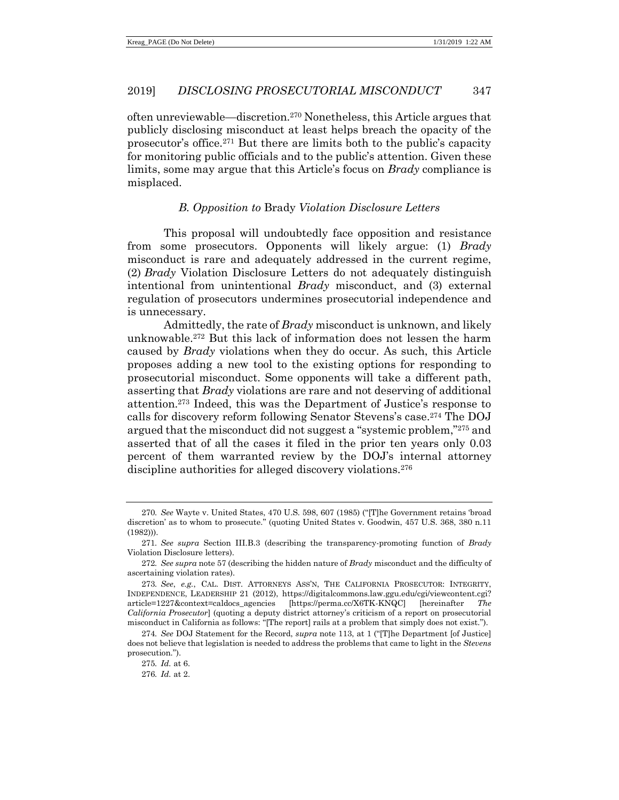often unreviewable—discretion.<sup>270</sup> Nonetheless, this Article argues that publicly disclosing misconduct at least helps breach the opacity of the prosecutor's office.<sup>271</sup> But there are limits both to the public's capacity for monitoring public officials and to the public's attention. Given these limits, some may argue that this Article's focus on *Brady* compliance is misplaced.

# *B. Opposition to* Brady *Violation Disclosure Letters*

This proposal will undoubtedly face opposition and resistance from some prosecutors. Opponents will likely argue: (1) *Brady* misconduct is rare and adequately addressed in the current regime, (2) *Brady* Violation Disclosure Letters do not adequately distinguish intentional from unintentional *Brady* misconduct, and (3) external regulation of prosecutors undermines prosecutorial independence and is unnecessary.

<span id="page-50-0"></span>Admittedly, the rate of *Brady* misconduct is unknown, and likely unknowable.<sup>272</sup> But this lack of information does not lessen the harm caused by *Brady* violations when they do occur. As such, this Article proposes adding a new tool to the existing options for responding to prosecutorial misconduct. Some opponents will take a different path, asserting that *Brady* violations are rare and not deserving of additional attention.<sup>273</sup> Indeed, this was the Department of Justice's response to calls for discovery reform following Senator Stevens's case.<sup>274</sup> The DOJ argued that the misconduct did not suggest a "systemic problem,"<sup>275</sup> and asserted that of all the cases it filed in the prior ten years only 0.03 percent of them warranted review by the DOJ's internal attorney discipline authorities for alleged discovery violations.<sup>276</sup>

<sup>270</sup>*. See* Wayte v. United States, 470 U.S. 598, 607 (1985) ("[T]he Government retains 'broad discretion' as to whom to prosecute." (quoting United States v. Goodwin, 457 U.S. 368, 380 n.11 (1982))).

<sup>271</sup>*. See supra* Section III.B.3 (describing the transparency-promoting function of *Brady* Violation Disclosure letters).

<sup>272</sup>*. See supra* not[e 57](#page-10-1) (describing the hidden nature of *Brady* misconduct and the difficulty of ascertaining violation rates).

<sup>273</sup>*. See*, *e.g.*, CAL. DIST. ATTORNEYS ASS'N, THE CALIFORNIA PROSECUTOR: INTEGRITY, INDEPENDENCE, LEADERSHIP 21 (2012), https://digitalcommons.law.ggu.edu/cgi/viewcontent.cgi? article=1227&context=caldocs\_agencies [https://perma.cc/X6TK-KNQC] [hereinafter *The California Prosecutor*] (quoting a deputy district attorney's criticism of a report on prosecutorial misconduct in California as follows: "[The report] rails at a problem that simply does not exist.").

<sup>274</sup>*. See* DOJ Statement for the Record, *supra* not[e 113,](#page-19-1) at 1 ("[T]he Department [of Justice] does not believe that legislation is needed to address the problems that came to light in the *Stevens* prosecution.").

<sup>275</sup>*. Id.* at 6.

<sup>276</sup>*. Id.* at 2.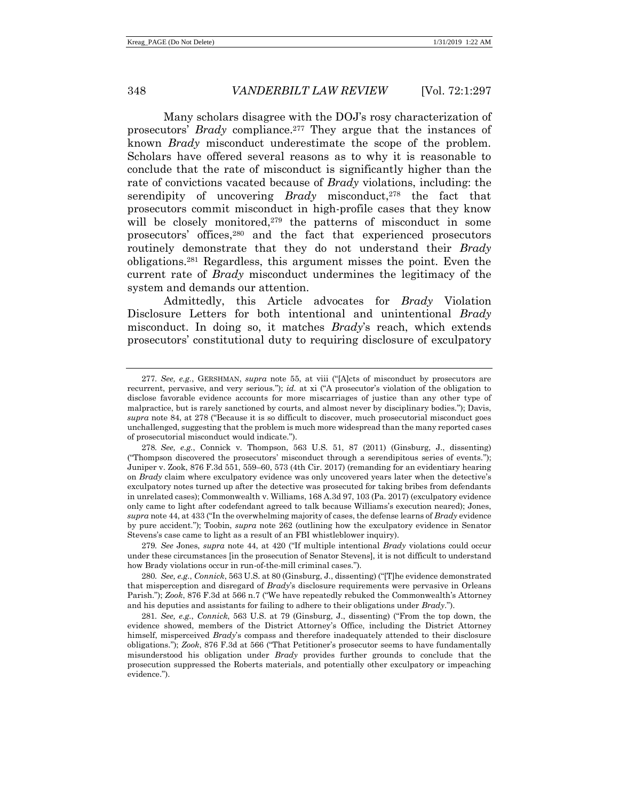<span id="page-51-0"></span>Many scholars disagree with the DOJ's rosy characterization of prosecutors' *Brady* compliance.<sup>277</sup> They argue that the instances of known *Brady* misconduct underestimate the scope of the problem. Scholars have offered several reasons as to why it is reasonable to conclude that the rate of misconduct is significantly higher than the rate of convictions vacated because of *Brady* violations, including: the serendipity of uncovering *Brady* misconduct,<sup>278</sup> the fact that prosecutors commit misconduct in high-profile cases that they know will be closely monitored,<sup>279</sup> the patterns of misconduct in some prosecutors' offices,<sup>280</sup> and the fact that experienced prosecutors routinely demonstrate that they do not understand their *Brady* obligations.<sup>281</sup> Regardless, this argument misses the point. Even the current rate of *Brady* misconduct undermines the legitimacy of the system and demands our attention.

<span id="page-51-1"></span>Admittedly, this Article advocates for *Brady* Violation Disclosure Letters for both intentional and unintentional *Brady* misconduct. In doing so, it matches *Brady*'s reach, which extends prosecutors' constitutional duty to requiring disclosure of exculpatory

278*. See, e.g.*, Connick v. Thompson, 563 U.S. 51, 87 (2011) (Ginsburg, J., dissenting) ("Thompson discovered the prosecutors' misconduct through a serendipitous series of events."); Juniper v. Zook, 876 F.3d 551, 559–60, 573 (4th Cir. 2017) (remanding for an evidentiary hearing on *Brady* claim where exculpatory evidence was only uncovered years later when the detective's exculpatory notes turned up after the detective was prosecuted for taking bribes from defendants in unrelated cases); Commonwealth v. Williams, 168 A.3d 97, 103 (Pa. 2017) (exculpatory evidence only came to light after codefendant agreed to talk because Williams's execution neared); Jones, *supra* not[e 44,](#page-7-1) at 433 ("In the overwhelming majority of cases, the defense learns of *Brady* evidence by pure accident."); Toobin, *supra* note [262](#page-48-0) (outlining how the exculpatory evidence in Senator Stevens's case came to light as a result of an FBI whistleblower inquiry).

279*. See* Jones, *supra* note [44,](#page-7-1) at 420 ("If multiple intentional *Brady* violations could occur under these circumstances [in the prosecution of Senator Stevens], it is not difficult to understand how Brady violations occur in run-of-the-mill criminal cases.").

280*. See, e.g.*, *Connick*, 563 U.S. at 80 (Ginsburg, J., dissenting) ("[T]he evidence demonstrated that misperception and disregard of *Brady*'s disclosure requirements were pervasive in Orleans Parish."); *Zook*, 876 F.3d at 566 n.7 ("We have repeatedly rebuked the Commonwealth's Attorney and his deputies and assistants for failing to adhere to their obligations under *Brady*.").

281*. See, e.g.*, *Connick*, 563 U.S. at 79 (Ginsburg, J., dissenting) ("From the top down, the evidence showed, members of the District Attorney's Office, including the District Attorney himself, misperceived *Brady*'s compass and therefore inadequately attended to their disclosure obligations."); *Zook*, 876 F.3d at 566 ("That Petitioner's prosecutor seems to have fundamentally misunderstood his obligation under *Brady* provides further grounds to conclude that the prosecution suppressed the Roberts materials, and potentially other exculpatory or impeaching evidence.").

<sup>277</sup>*. See, e.g.*, GERSHMAN, *supra* note [55,](#page-10-0) at viii ("[A]cts of misconduct by prosecutors are recurrent, pervasive, and very serious."); *id.* at xi ("A prosecutor's violation of the obligation to disclose favorable evidence accounts for more miscarriages of justice than any other type of malpractice, but is rarely sanctioned by courts, and almost never by disciplinary bodies."); Davis, *supra* note [84,](#page-15-0) at 278 ("Because it is so difficult to discover, much prosecutorial misconduct goes unchallenged, suggesting that the problem is much more widespread than the many reported cases of prosecutorial misconduct would indicate.").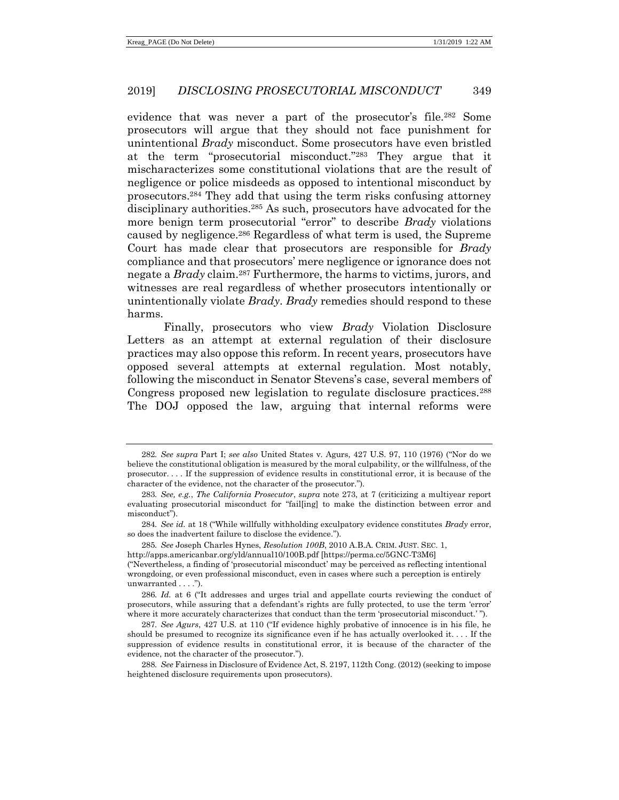evidence that was never a part of the prosecutor's file.<sup>282</sup> Some prosecutors will argue that they should not face punishment for unintentional *Brady* misconduct. Some prosecutors have even bristled at the term "prosecutorial misconduct."<sup>283</sup> They argue that it mischaracterizes some constitutional violations that are the result of negligence or police misdeeds as opposed to intentional misconduct by prosecutors.<sup>284</sup> They add that using the term risks confusing attorney disciplinary authorities.<sup>285</sup> As such, prosecutors have advocated for the more benign term prosecutorial "error" to describe *Brady* violations caused by negligence.<sup>286</sup> Regardless of what term is used, the Supreme Court has made clear that prosecutors are responsible for *Brady* compliance and that prosecutors' mere negligence or ignorance does not negate a *Brady* claim.<sup>287</sup> Furthermore, the harms to victims, jurors, and witnesses are real regardless of whether prosecutors intentionally or unintentionally violate *Brady*. *Brady* remedies should respond to these harms.

Finally, prosecutors who view *Brady* Violation Disclosure Letters as an attempt at external regulation of their disclosure practices may also oppose this reform. In recent years, prosecutors have opposed several attempts at external regulation. Most notably, following the misconduct in Senator Stevens's case, several members of Congress proposed new legislation to regulate disclosure practices.<sup>288</sup> The DOJ opposed the law, arguing that internal reforms were

<sup>282</sup>*. See supra* Part I; *see also* United States v. Agurs, 427 U.S. 97, 110 (1976) ("Nor do we believe the constitutional obligation is measured by the moral culpability, or the willfulness, of the prosecutor. . . . If the suppression of evidence results in constitutional error, it is because of the character of the evidence, not the character of the prosecutor.").

<sup>283</sup>*. See, e.g.*, *The California Prosecutor*, *supra* note [273,](#page-50-0) at 7 (criticizing a multiyear report evaluating prosecutorial misconduct for "fail[ing] to make the distinction between error and misconduct").

<sup>284</sup>*. See id.* at 18 ("While willfully withholding exculpatory evidence constitutes *Brady* error, so does the inadvertent failure to disclose the evidence.").

<sup>285</sup>*. See* Joseph Charles Hynes, *Resolution 100B*, 2010 A.B.A. CRIM. JUST. SEC. 1, http://apps.americanbar.org/yld/annual10/100B.pdf [https://perma.cc/5GNC-T3M6]

<sup>(</sup>"Nevertheless, a finding of 'prosecutorial misconduct' may be perceived as reflecting intentional wrongdoing, or even professional misconduct, even in cases where such a perception is entirely unwarranted . . . .").

<sup>286</sup>*. Id.* at 6 ("It addresses and urges trial and appellate courts reviewing the conduct of prosecutors, while assuring that a defendant's rights are fully protected, to use the term 'error' where it more accurately characterizes that conduct than the term 'prosecutorial misconduct.' ").

<sup>287</sup>*. See Agurs*, 427 U.S. at 110 ("If evidence highly probative of innocence is in his file, he should be presumed to recognize its significance even if he has actually overlooked it. . . . If the suppression of evidence results in constitutional error, it is because of the character of the evidence, not the character of the prosecutor.").

<sup>288</sup>*. See* Fairness in Disclosure of Evidence Act, S. 2197, 112th Cong. (2012) (seeking to impose heightened disclosure requirements upon prosecutors).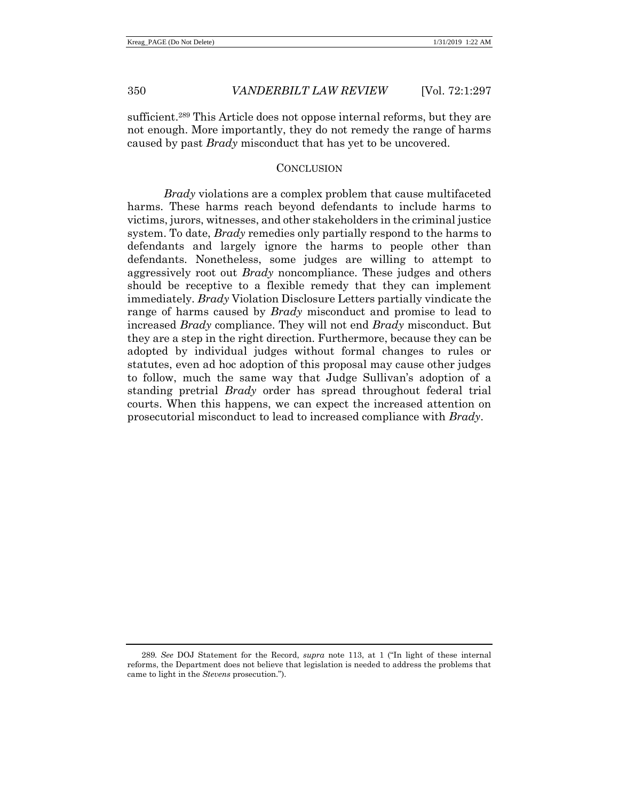sufficient.<sup>289</sup> This Article does not oppose internal reforms, but they are not enough. More importantly, they do not remedy the range of harms caused by past *Brady* misconduct that has yet to be uncovered.

#### **CONCLUSION**

*Brady* violations are a complex problem that cause multifaceted harms. These harms reach beyond defendants to include harms to victims, jurors, witnesses, and other stakeholders in the criminal justice system. To date, *Brady* remedies only partially respond to the harms to defendants and largely ignore the harms to people other than defendants. Nonetheless, some judges are willing to attempt to aggressively root out *Brady* noncompliance. These judges and others should be receptive to a flexible remedy that they can implement immediately. *Brady* Violation Disclosure Letters partially vindicate the range of harms caused by *Brady* misconduct and promise to lead to increased *Brady* compliance. They will not end *Brady* misconduct. But they are a step in the right direction. Furthermore, because they can be adopted by individual judges without formal changes to rules or statutes, even ad hoc adoption of this proposal may cause other judges to follow, much the same way that Judge Sullivan's adoption of a standing pretrial *Brady* order has spread throughout federal trial courts. When this happens, we can expect the increased attention on prosecutorial misconduct to lead to increased compliance with *Brady*.

<sup>289</sup>*. See* DOJ Statement for the Record, *supra* note [113,](#page-19-1) at 1 ("In light of these internal reforms, the Department does not believe that legislation is needed to address the problems that came to light in the *Stevens* prosecution.").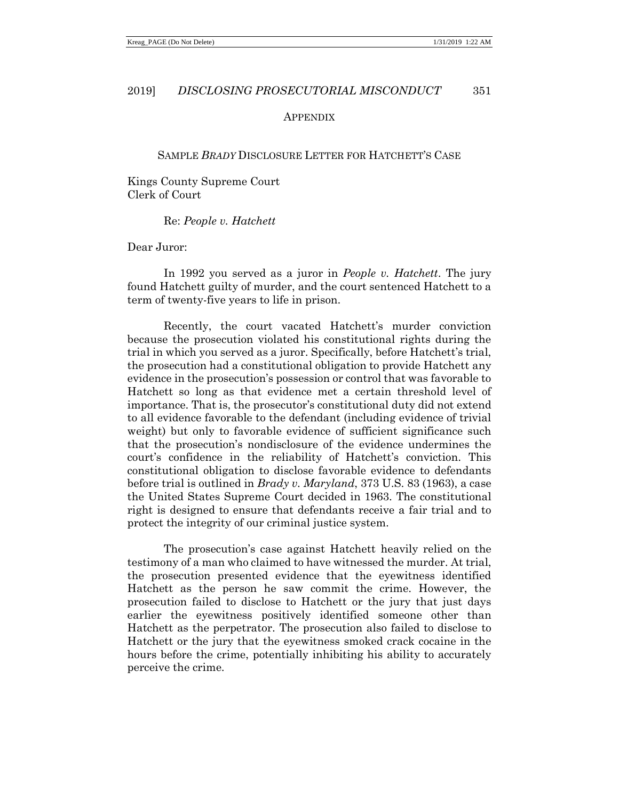#### APPENDIX

#### SAMPLE *BRADY* DISCLOSURE LETTER FOR HATCHETT'S CASE

Kings County Supreme Court Clerk of Court

Re: *People v. Hatchett*

Dear Juror:

In 1992 you served as a juror in *People v. Hatchett*. The jury found Hatchett guilty of murder, and the court sentenced Hatchett to a term of twenty-five years to life in prison.

Recently, the court vacated Hatchett's murder conviction because the prosecution violated his constitutional rights during the trial in which you served as a juror. Specifically, before Hatchett's trial, the prosecution had a constitutional obligation to provide Hatchett any evidence in the prosecution's possession or control that was favorable to Hatchett so long as that evidence met a certain threshold level of importance. That is, the prosecutor's constitutional duty did not extend to all evidence favorable to the defendant (including evidence of trivial weight) but only to favorable evidence of sufficient significance such that the prosecution's nondisclosure of the evidence undermines the court's confidence in the reliability of Hatchett's conviction. This constitutional obligation to disclose favorable evidence to defendants before trial is outlined in *Brady v. Maryland*, 373 U.S. 83 (1963), a case the United States Supreme Court decided in 1963. The constitutional right is designed to ensure that defendants receive a fair trial and to protect the integrity of our criminal justice system.

The prosecution's case against Hatchett heavily relied on the testimony of a man who claimed to have witnessed the murder. At trial, the prosecution presented evidence that the eyewitness identified Hatchett as the person he saw commit the crime. However, the prosecution failed to disclose to Hatchett or the jury that just days earlier the eyewitness positively identified someone other than Hatchett as the perpetrator. The prosecution also failed to disclose to Hatchett or the jury that the eyewitness smoked crack cocaine in the hours before the crime, potentially inhibiting his ability to accurately perceive the crime.